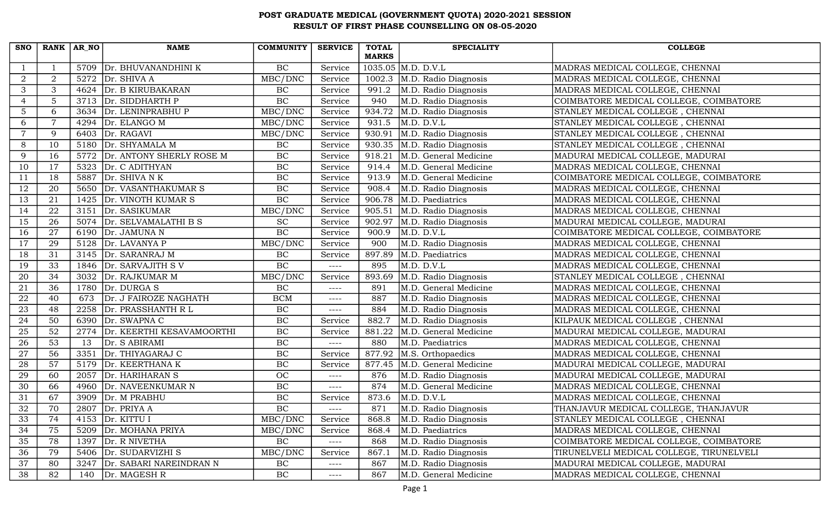| <b>SNO</b>     | RANK AR NO      |      | <b>NAME</b>                | <b>COMMUNITY</b> | <b>SERVICE</b> | <b>TOTAL</b> | <b>SPECIALITY</b>     | <b>COLLEGE</b>                           |
|----------------|-----------------|------|----------------------------|------------------|----------------|--------------|-----------------------|------------------------------------------|
|                |                 |      |                            |                  |                | <b>MARKS</b> |                       |                                          |
|                |                 | 5709 | Dr. BHUVANANDHINI K        | BC               | Service        |              | 1035.05 M.D. D.V.L    | MADRAS MEDICAL COLLEGE, CHENNAI          |
| $\overline{2}$ | $\overline{2}$  |      | 5272 $Dr.$ SHIVA A         | MBC/DNC          | Service        | 1002.3       | M.D. Radio Diagnosis  | MADRAS MEDICAL COLLEGE, CHENNAI          |
| 3              | 3               |      | 4624 Dr. B KIRUBAKARAN     | BC               | Service        | 991.2        | M.D. Radio Diagnosis  | MADRAS MEDICAL COLLEGE, CHENNAI          |
| $\overline{4}$ | 5               |      | 3713 Dr. SIDDHARTH P       | BC               | Service        | 940          | M.D. Radio Diagnosis  | COIMBATORE MEDICAL COLLEGE, COIMBATORE   |
| $\overline{5}$ | 6               | 3634 | Dr. LENINPRABHU P          | MBC/DNC          | Service        | 934.72       | M.D. Radio Diagnosis  | STANLEY MEDICAL COLLEGE, CHENNAI         |
| 6              |                 | 4294 | Dr. ELANGO M               | MBC/DNC          | Service        | 931.5        | M.D. D.V.L            | STANLEY MEDICAL COLLEGE, CHENNAI         |
| $\overline{7}$ | $\mathbf Q$     | 6403 | Dr. RAGAVI                 | MBC/DNC          | Service        | 930.91       | M.D. Radio Diagnosis  | STANLEY MEDICAL COLLEGE, CHENNAI         |
| 8              | 10              |      | 5180 Dr. SHYAMALA M        | BC               | Service        | 930.35       | M.D. Radio Diagnosis  | STANLEY MEDICAL COLLEGE, CHENNAI         |
| 9              | 16              | 5772 | Dr. ANTONY SHERLY ROSE M   | BC               | Service        | 918.21       | M.D. General Medicine | MADURAI MEDICAL COLLEGE, MADURAI         |
| 10             | 17              | 5323 | Dr. C ADITHYAN             | BC               | Service        | 914.4        | M.D. General Medicine | MADRAS MEDICAL COLLEGE, CHENNAI          |
| 11             | 18              | 5887 | Dr. SHIVA N K              | BC               | Service        | 913.9        | M.D. General Medicine | COIMBATORE MEDICAL COLLEGE, COIMBATORE   |
| 12             | 20              | 5650 | Dr. VASANTHAKUMAR S        | $\rm BC$         | Service        | 908.4        | M.D. Radio Diagnosis  | MADRAS MEDICAL COLLEGE, CHENNAI          |
| 13             | 21              |      | 1425 Dr. VINOTH KUMAR S    | BC               | Service        | 906.78       | M.D. Paediatrics      | MADRAS MEDICAL COLLEGE, CHENNAI          |
| 14             | 22              | 3151 | Dr. SASIKUMAR              | MBC/DNC          | Service        | 905.51       | M.D. Radio Diagnosis  | MADRAS MEDICAL COLLEGE, CHENNAI          |
| 15             | 26              | 5074 | Dr. SELVAMALATHI B S       | <b>SC</b>        | Service        | 902.97       | M.D. Radio Diagnosis  | MADURAI MEDICAL COLLEGE, MADURAI         |
| 16             | 27              | 6190 | Dr. JAMUNA N               | BC               | Service        | 900.9        | M.D. D.V.L            | COIMBATORE MEDICAL COLLEGE, COIMBATORE   |
| 17             | 29              |      | 5128 Dr. LAVANYA P         | MBC/DNC          | Service        | 900          | M.D. Radio Diagnosis  | MADRAS MEDICAL COLLEGE, CHENNAI          |
| 18             | 31              |      | 3145 Dr. SARANRAJ M        | BC               | Service        | 897.89       | M.D. Paediatrics      | MADRAS MEDICAL COLLEGE, CHENNAI          |
| 19             | 33              | 1846 | Dr. SARVAJITH SV           | BC               | $---$          | 895          | M.D. D.V.L            | MADRAS MEDICAL COLLEGE, CHENNAI          |
| 20             | 34              | 3032 | Dr. RAJKUMAR M             | MBC/DNC          | Service        | 893.69       | M.D. Radio Diagnosis  | STANLEY MEDICAL COLLEGE, CHENNAI         |
| 21             | 36              | 1780 | Dr. DURGA S                | BC               | $--- -$        | 891          | M.D. General Medicine | MADRAS MEDICAL COLLEGE, CHENNAI          |
| 22             | 40              | 673  | Dr. J FAIROZE NAGHATH      | <b>BCM</b>       | $--- -$        | 887          | M.D. Radio Diagnosis  | MADRAS MEDICAL COLLEGE, CHENNAI          |
| 23             | 48              | 2258 | Dr. PRASSHANTH R L         | BC               | $--- -$        | 884          | M.D. Radio Diagnosis  | MADRAS MEDICAL COLLEGE, CHENNAI          |
| 24             | 50              | 6390 | Dr. SWAPNA C               | BC               | Service        | 882.7        | M.D. Radio Diagnosis  | KILPAUK MEDICAL COLLEGE, CHENNAI         |
| 25             | 52              | 2774 | Dr. KEERTHI KESAVAMOORTHI  | BC               | Service        | 881.22       | M.D. General Medicine | MADURAI MEDICAL COLLEGE, MADURAI         |
| 26             | $\overline{53}$ | 13   | Dr. S ABIRAMI              | BC               | $--- -$        | 880          | M.D. Paediatrics      | MADRAS MEDICAL COLLEGE, CHENNAI          |
| 27             | 56              | 3351 | Dr. THIYAGARAJ C           | BC               | Service        | 877.92       | M.S. Orthopaedics     | MADRAS MEDICAL COLLEGE, CHENNAI          |
| 28             | 57              | 5179 | Dr. KEERTHANA K            | BC               | Service        | 877.45       | M.D. General Medicine | MADURAI MEDICAL COLLEGE, MADURAI         |
| 29             | 60              | 2057 | Dr. HARIHARAN S            | OC               | $--- -$        | 876          | M.D. Radio Diagnosis  | MADURAI MEDICAL COLLEGE, MADURAI         |
| 30             | 66              | 4960 | Dr. NAVEENKUMAR N          | $\rm BC$         | $---$          | 874          | M.D. General Medicine | MADRAS MEDICAL COLLEGE, CHENNAI          |
| 31             | 67              | 3909 | Dr. M PRABHU               | BC               | Service        | 873.6        | M.D. D.V.L            | MADRAS MEDICAL COLLEGE, CHENNAI          |
| 32             | 70              |      | 2807 $Dr. PRIYA A$         | BC               | ----           | 871          | M.D. Radio Diagnosis  | THANJAVUR MEDICAL COLLEGE, THANJAVUR     |
| 33             | 74              | 4153 | Dr. KITTU I                | MBC/DNC          | Service        | 868.8        | M.D. Radio Diagnosis  | STANLEY MEDICAL COLLEGE, CHENNAI         |
| 34             | 75              |      | 5209 Dr. MOHANA PRIYA      | MBC/DNC          | Service        | 868.4        | M.D. Paediatrics      | MADRAS MEDICAL COLLEGE, CHENNAI          |
| 35             | 78              |      | 1397 $\vert$ Dr. R NIVETHA | BC               | ----           | 868          | M.D. Radio Diagnosis  | COIMBATORE MEDICAL COLLEGE, COIMBATORE   |
| 36             | 79              |      | 5406 Dr. SUDARVIZHI S      | MBC/DNC          | Service        | 867.1        | M.D. Radio Diagnosis  | TIRUNELVELI MEDICAL COLLEGE, TIRUNELVELI |
| 37             | 80              | 3247 | Dr. SABARI NAREINDRAN N    | BC               | $---$          | 867          | M.D. Radio Diagnosis  | MADURAI MEDICAL COLLEGE, MADURAI         |
| 38             | 82              | 140  | Dr. MAGESH R               | BC               | ----           | 867          | M.D. General Medicine | MADRAS MEDICAL COLLEGE, CHENNAI          |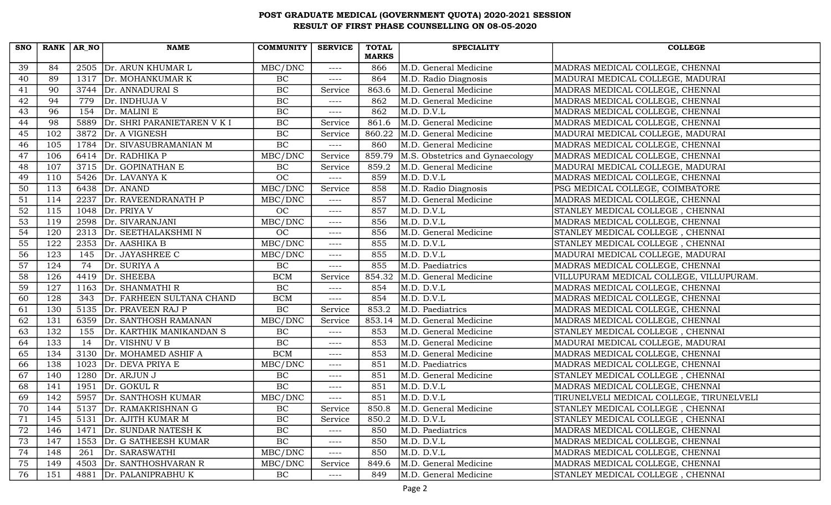| <b>SNO</b> | $RANK   AR_N$ |      | <b>NAME</b>                  | COMMUNITY                          | <b>SERVICE</b> | <b>TOTAL</b> | <b>SPECIALITY</b>               | <b>COLLEGE</b>                           |
|------------|---------------|------|------------------------------|------------------------------------|----------------|--------------|---------------------------------|------------------------------------------|
|            |               |      |                              |                                    |                | <b>MARKS</b> |                                 |                                          |
| 39         | 84            | 2505 | Dr. ARUN KHUMAR L            | MBC/DNC                            | $--- -$        | 866          | M.D. General Medicine           | MADRAS MEDICAL COLLEGE, CHENNAI          |
| 40         | 89            |      | 1317 Dr. MOHANKUMAR K        | $\rm BC$                           | $--- -$        | 864          | M.D. Radio Diagnosis            | MADURAI MEDICAL COLLEGE, MADURAI         |
| 41         | 90            |      | 3744   Dr. ANNADURAI S       | $\rm BC$                           | Service        | 863.6        | M.D. General Medicine           | MADRAS MEDICAL COLLEGE, CHENNAI          |
| 42         | 94            | 779  | Dr. INDHUJA V                | <b>BC</b>                          | ----           | 862          | M.D. General Medicine           | MADRAS MEDICAL COLLEGE, CHENNAI          |
| 43         | 96            | 154  | Dr. MALINI E                 | BC                                 | $--- -$        | 862          | M.D. D.V.L                      | MADRAS MEDICAL COLLEGE, CHENNAI          |
| 44         | 98            | 5889 | Dr. SHRI PARANIETAREN V K I  | BC                                 | Service        | 861.6        | M.D. General Medicine           | MADRAS MEDICAL COLLEGE, CHENNAI          |
| 45         | 102           | 3872 | Dr. A VIGNESH                | BC                                 | Service        | 860.22       | M.D. General Medicine           | MADURAI MEDICAL COLLEGE, MADURAI         |
| 46         | 105           |      | 1784   Dr. SIVASUBRAMANIAN M | BC                                 | $--- -$        | 860          | M.D. General Medicine           | MADRAS MEDICAL COLLEGE, CHENNAI          |
| 47         | 106           |      | 6414 $\vert$ Dr. RADHIKA P   | MBC/DNC                            | Service        | 859.79       | M.S. Obstetrics and Gynaecology | MADRAS MEDICAL COLLEGE, CHENNAI          |
| 48         | 107           |      | 3715 Dr. GOPINATHAN E        | BC                                 | Service        | 859.2        | M.D. General Medicine           | MADURAI MEDICAL COLLEGE, MADURAI         |
| 49         | 110           |      | 5426 $Dr. LAVANYA K$         | OC                                 | $--- -$        | 859          | M.D. D.V.L                      | MADRAS MEDICAL COLLEGE, CHENNAI          |
| 50         | 113           |      | 6438 $Dr. ANAND$             | MBC/DNC                            | Service        | 858          | M.D. Radio Diagnosis            | PSG MEDICAL COLLEGE, COIMBATORE          |
| 51         | 114           |      | 2237 Dr. RAVEENDRANATH P     | MBC/DNC                            | ----           | 857          | M.D. General Medicine           | MADRAS MEDICAL COLLEGE, CHENNAI          |
| 52         | 115           | 1048 | Dr. PRIYA V                  | OC                                 | $--- -$        | 857          | M.D. D.V.L                      | STANLEY MEDICAL COLLEGE, CHENNAI         |
| 53         | 119           | 2598 | Dr. SIVARANJANI              | MBC/DNC                            | $--- -$        | 856          | M.D. D.V.L                      | MADRAS MEDICAL COLLEGE, CHENNAI          |
| 54         | 120           | 2313 | Dr. SEETHALAKSHMIN           | OC                                 | $---$          | 856          | M.D. General Medicine           | STANLEY MEDICAL COLLEGE, CHENNAI         |
| 55         | 122           |      | 2353 $Dr. AASHIKA B$         | $\overline{\text{MBC}/\text{DNC}}$ | $---$          | 855          | M.D. D.V.L                      | STANLEY MEDICAL COLLEGE, CHENNAI         |
| 56         | 123           | 145  | Dr. JAYASHREE C              | MBC/DNC                            | $--- -$        | 855          | M.D. D.V.L                      | MADURAI MEDICAL COLLEGE, MADURAI         |
| 57         | 124           | 74   | Dr. SURIYA A                 | BC                                 | $--- -$        | 855          | M.D. Paediatrics                | MADRAS MEDICAL COLLEGE, CHENNAI          |
| 58         | 126           |      | 4419 Dr. SHEEBA              | <b>BCM</b>                         | Service        | 854.32       | M.D. General Medicine           | VILLUPURAM MEDICAL COLLEGE, VILLUPURAM.  |
| 59         | 127           |      | 1163 Dr. SHANMATHI R         | $\rm BC$                           | ----           | 854          | M.D. D.V.L                      | MADRAS MEDICAL COLLEGE, CHENNAI          |
| 60         | 128           | 343  | Dr. FARHEEN SULTANA CHAND    | <b>BCM</b>                         | $--- -$        | 854          | M.D. D.V.L                      | MADRAS MEDICAL COLLEGE, CHENNAI          |
| 61         | 130           | 5135 | Dr. PRAVEEN RAJ P            | $\rm BC$                           | Service        | 853.2        | M.D. Paediatrics                | MADRAS MEDICAL COLLEGE, CHENNAI          |
| 62         | 131           | 6359 | Dr. SANTHOSH RAMANAN         | MBC/DNC                            | Service        | 853.14       | M.D. General Medicine           | MADRAS MEDICAL COLLEGE, CHENNAI          |
| 63         | 132           | 155  | Dr. KARTHIK MANIKANDAN S     | BC                                 | $--- -$        | 853          | M.D. General Medicine           | STANLEY MEDICAL COLLEGE, CHENNAI         |
| 64         | 133           | 14   | Dr. VISHNU V B               | BC                                 | $--- -$        | 853          | M.D. General Medicine           | MADURAI MEDICAL COLLEGE, MADURAI         |
| 65         | 134           |      | 3130 Dr. MOHAMED ASHIF A     | <b>BCM</b>                         | $--- -$        | 853          | M.D. General Medicine           | MADRAS MEDICAL COLLEGE, CHENNAI          |
| 66         | 138           | 1023 | Dr. DEVA PRIYA E             | MBC/DNC                            | ----           | 851          | M.D. Paediatrics                | MADRAS MEDICAL COLLEGE, CHENNAI          |
| 67         | 140           | 1280 | Dr. ARJUN J                  | BC                                 | $--- -$        | 851          | M.D. General Medicine           | STANLEY MEDICAL COLLEGE, CHENNAI         |
| 68         | 141           | 1951 | Dr. GOKUL R                  | BC                                 | $--- -$        | 851          | M.D. D.V.L                      | MADRAS MEDICAL COLLEGE, CHENNAI          |
| 69         | 142           |      | 5957 Dr. SANTHOSH KUMAR      | MBC/DNC                            | $--- -$        | 851          | M.D. D.V.L                      | TIRUNELVELI MEDICAL COLLEGE, TIRUNELVELI |
| 70         | 144           |      | 5137 Dr. RAMAKRISHNAN G      | $\rm BC$                           | Service        | 850.8        | M.D. General Medicine           | STANLEY MEDICAL COLLEGE, CHENNAI         |
| 71         | 145           | 5131 | Dr. AJITH KUMAR M            | $\rm BC$                           | Service        | 850.2        | M.D. D.V.L                      | STANLEY MEDICAL COLLEGE, CHENNAI         |
| 72         | 146           | 1471 | Dr. SUNDAR NATESH K          | BC                                 | $--- -$        | 850          | M.D. Paediatrics                | MADRAS MEDICAL COLLEGE, CHENNAI          |
| 73         | 147           |      | 1553 Dr. G SATHEESH KUMAR    | $\overline{BC}$                    | ----           | 850          | M.D. D.V.L                      | MADRAS MEDICAL COLLEGE, CHENNAI          |
| 74         | 148           | 261  | Dr. SARASWATHI               | MBC/DNC                            | $--- -$        | 850          | M.D. D.V.L                      | MADRAS MEDICAL COLLEGE, CHENNAI          |
| 75         | 149           | 4503 | Dr. SANTHOSHVARAN R          | MBC/DNC                            | Service        | 849.6        | M.D. General Medicine           | MADRAS MEDICAL COLLEGE, CHENNAI          |
| 76         | 151           | 4881 | Dr. PALANIPRABHU K           | BC                                 | ----           | 849          | M.D. General Medicine           | STANLEY MEDICAL COLLEGE, CHENNAI         |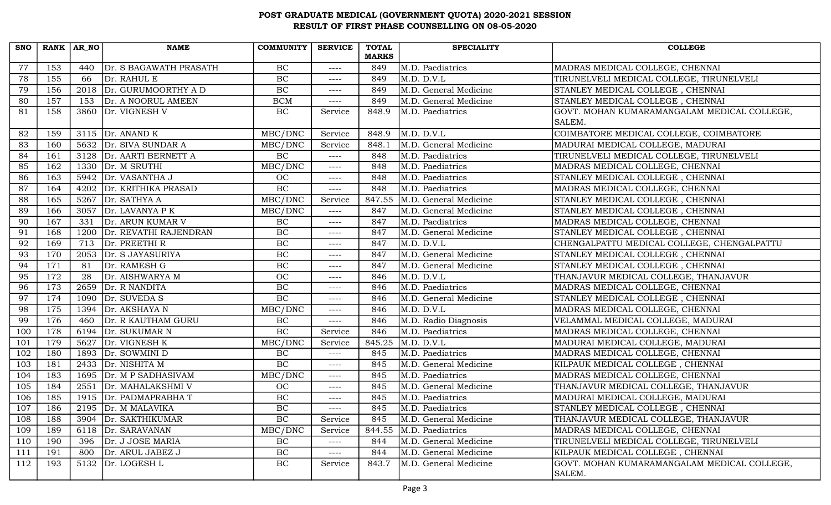| <b>SNO</b> | $RANK   AR_N$ |      | <b>NAME</b>              | <b>COMMUNITY</b> | <b>SERVICE</b> | <b>TOTAL</b> | <b>SPECIALITY</b>         | <b>COLLEGE</b>                              |
|------------|---------------|------|--------------------------|------------------|----------------|--------------|---------------------------|---------------------------------------------|
|            |               |      |                          |                  |                | <b>MARKS</b> |                           |                                             |
| 77         | 153           | 440  | Dr. S BAGAWATH PRASATH   | BC               | $---$          | 849          | M.D. Paediatrics          | MADRAS MEDICAL COLLEGE, CHENNAI             |
| 78         | 155           | 66   | Dr. RAHUL E              | BC               | $--- -$        | 849          | M.D. D.V.L                | TIRUNELVELI MEDICAL COLLEGE, TIRUNELVELI    |
| 79         | 156           |      | 2018 Dr. GURUMOORTHY A D | $\rm BC$         | $--- -$        | 849          | M.D. General Medicine     | STANLEY MEDICAL COLLEGE, CHENNAI            |
| 80         | 157           | 153  | Dr. A NOORUL AMEEN       | <b>BCM</b>       | $--- -$        | 849          | M.D. General Medicine     | STANLEY MEDICAL COLLEGE, CHENNAI            |
| 81         | 158           | 3860 | Dr. VIGNESH V            | BC               | Service        | 848.9        | M.D. Paediatrics          | GOVT. MOHAN KUMARAMANGALAM MEDICAL COLLEGE, |
|            |               |      |                          |                  |                |              |                           | SALEM.                                      |
| 82         | 159           |      | 3115 $Dr. ANAND K$       | MBC/DNC          | Service        | 848.9        | M.D. D.V.L                | COIMBATORE MEDICAL COLLEGE, COIMBATORE      |
| 83         | 160           |      | 5632 Dr. SIVA SUNDAR A   | MBC/DNC          | Service        | 848.1        | M.D. General Medicine     | MADURAI MEDICAL COLLEGE, MADURAI            |
| 84         | 161           |      | 3128 Dr. AARTI BERNETT A | $\rm BC$         | $--- -$        | 848          | M.D. Paediatrics          | TIRUNELVELI MEDICAL COLLEGE, TIRUNELVELI    |
| 85         | 162           |      | 1330 $Dr. M$ SRUTHI      | MBC/DNC          | $---$          | 848          | M.D. Paediatrics          | MADRAS MEDICAL COLLEGE, CHENNAI             |
| 86         | 163           |      | 5942 Dr. VASANTHA J      | OC               | $--- -$        | 848          | M.D. Paediatrics          | STANLEY MEDICAL COLLEGE, CHENNAI            |
| 87         | 164           |      | 4202 Dr. KRITHIKA PRASAD | BC               | $---$          | 848          | M.D. Paediatrics          | MADRAS MEDICAL COLLEGE, CHENNAI             |
| 88         | 165           |      | 5267 $Dr. SATHYA A$      | MBC/DNC          | Service        | 847.55       | M.D. General Medicine     | STANLEY MEDICAL COLLEGE, CHENNAI            |
| 89         | 166           | 3057 | Dr. LAVANYA P K          | MBC/DNC          | $--- -$        | 847          | M.D. General Medicine     | STANLEY MEDICAL COLLEGE, CHENNAI            |
| 90         | 167           | 331  | Dr. ARUN KUMAR V         | BC               | $---$          | 847          | M.D. Paediatrics          | MADRAS MEDICAL COLLEGE, CHENNAI             |
| 91         | 168           | 1200 | Dr. REVATHI RAJENDRAN    | BC               | $--- -$        | 847          | M.D. General Medicine     | STANLEY MEDICAL COLLEGE, CHENNAI            |
| 92         | 169           |      | 713 $\vert$ Dr. PREETHIR | BC               | $--- -$        | 847          | $M.D.$ $\overline{D.V.L}$ | CHENGALPATTU MEDICAL COLLEGE, CHENGALPATTU  |
| 93         | 170           |      | 2053 Dr. S JAYASURIYA    | $\overline{BC}$  | ----           | 847          | M.D. General Medicine     | STANLEY MEDICAL COLLEGE, CHENNAI            |
| 94         | 171           | 81   | Dr. RAMESH G             | BC               | $--- - -$      | 847          | M.D. General Medicine     | STANLEY MEDICAL COLLEGE, CHENNAI            |
| 95         | 172           | 28   | Dr. AISHWARYA M          | OC               | $--- -$        | 846          | M.D. D.V.L                | THANJAVUR MEDICAL COLLEGE, THANJAVUR        |
| 96         | 173           |      | 2659 Dr. R NANDITA       | BC               | $--- -$        | 846          | M.D. Paediatrics          | MADRAS MEDICAL COLLEGE, CHENNAI             |
| 97         | 174           |      | 1090 Dr. SUVEDA S        | $\overline{BC}$  | $--- -$        | 846          | M.D. General Medicine     | STANLEY MEDICAL COLLEGE, CHENNAI            |
| 98         | 175           | 1394 | Dr. AKSHAYA N            | MBC/DNC          | ----           | 846          | M.D. D.V.L                | MADRAS MEDICAL COLLEGE, CHENNAI             |
| 99         | 176           | 460  | Dr. R KAUTHAM GURU       | BC               | $--- -$        | 846          | M.D. Radio Diagnosis      | VELAMMAL MEDICAL COLLEGE, MADURAI           |
| 100        | 178           |      | 6194 Dr. SUKUMAR N       | BC               | Service        | 846          | M.D. Paediatrics          | MADRAS MEDICAL COLLEGE, CHENNAI             |
| 101        | 179           |      | 5627 Dr. VIGNESH K       | MBC/DNC          | Service        | 845.25       | M.D. D.V.L                | MADURAI MEDICAL COLLEGE, MADURAI            |
| 102        | 180           |      | 1893 Dr. SOWMINI D       | $\rm BC$         | $--- -$        | 845          | M.D. Paediatrics          | MADRAS MEDICAL COLLEGE, CHENNAI             |
| 103        | 181           | 2433 | Dr. NISHITA M            | $\rm BC$         | $---$          | 845          | M.D. General Medicine     | KILPAUK MEDICAL COLLEGE, CHENNAI            |
| 104        | 183           | 1695 | Dr. M P SADHASIVAM       | MBC/DNC          | $--- -$        | 845          | M.D. Paediatrics          | MADRAS MEDICAL COLLEGE, CHENNAI             |
| 105        | 184           | 2551 | Dr. MAHALAKSHMI V        | <b>OC</b>        | $--- -$        | 845          | M.D. General Medicine     | THANJAVUR MEDICAL COLLEGE, THANJAVUR        |
| 106        | 185           |      | 1915   Dr. PADMAPRABHA T | BC               | $--- -$        | 845          | M.D. Paediatrics          | MADURAI MEDICAL COLLEGE, MADURAI            |
| 107        | 186           |      | 2195   Dr. M MALAVIKA    | $\rm BC$         | $--- - -$      | 845          | M.D. Paediatrics          | STANLEY MEDICAL COLLEGE, CHENNAI            |
| 108        | 188           | 3904 | Dr. SAKTHIKUMAR          | <b>BC</b>        | Service        | 845          | M.D. General Medicine     | THANJAVUR MEDICAL COLLEGE, THANJAVUR        |
| 109        | 189           | 6118 | Dr. SARAVANAN            | MBC/DNC          | Service        | 844.55       | M.D. Paediatrics          | MADRAS MEDICAL COLLEGE, CHENNAI             |
| 110        | 190           | 396  | Dr. J JOSE MARIA         | BC               | $--- - -$      | 844          | M.D. General Medicine     | TIRUNELVELI MEDICAL COLLEGE, TIRUNELVELI    |
| 111        | 191           | 800  | Dr. ARUL JABEZ J         | $\rm BC$         | $--- -$        | 844          | M.D. General Medicine     | KILPAUK MEDICAL COLLEGE, CHENNAI            |
| 112        | 193           | 5132 | Dr. LOGESH L             | BC               | Service        | 843.7        | M.D. General Medicine     | GOVT. MOHAN KUMARAMANGALAM MEDICAL COLLEGE, |
|            |               |      |                          |                  |                |              |                           | SALEM.                                      |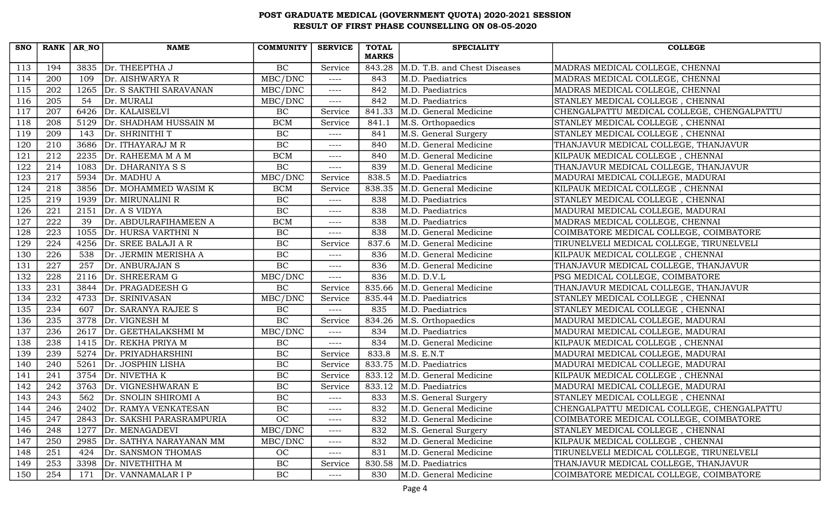| <b>SNO</b> | $RANK   AR_N$ |      | <b>NAME</b>                 | <b>COMMUNITY</b> | <b>SERVICE</b> | <b>TOTAL</b><br><b>MARKS</b> | <b>SPECIALITY</b>            | <b>COLLEGE</b>                             |
|------------|---------------|------|-----------------------------|------------------|----------------|------------------------------|------------------------------|--------------------------------------------|
| 113        | 194           | 3835 | Dr. THEEPTHA J              | BC               | Service        | 843.28                       | M.D. T.B. and Chest Diseases | MADRAS MEDICAL COLLEGE, CHENNAI            |
| 114        | 200           | 109  | Dr. AISHWARYA R             | MBC/DNC          | $---$          | 843                          | M.D. Paediatrics             | MADRAS MEDICAL COLLEGE, CHENNAI            |
| 115        | 202           | 1265 | Dr. S SAKTHI SARAVANAN      | MBC/DNC          | $---$          | 842                          | M.D. Paediatrics             | MADRAS MEDICAL COLLEGE, CHENNAI            |
| 116        | 205           | 54   | Dr. MURALI                  | MBC/DNC          | $---$          | 842                          | M.D. Paediatrics             | STANLEY MEDICAL COLLEGE, CHENNAI           |
| 117        | 207           | 6426 | Dr. KALAISELVI              | BC               | Service        | 841.33                       | M.D. General Medicine        | CHENGALPATTU MEDICAL COLLEGE, CHENGALPATTU |
| 118        | 208           | 5129 | Dr. SHADHAM HUSSAIN M       | <b>BCM</b>       | Service        | 841.1                        | M.S. Orthopaedics            | STANLEY MEDICAL COLLEGE, CHENNAI           |
| 119        | 209           | 143  | Dr. SHRINITHI T             | $\rm BC$         | ----           | 841                          | M.S. General Surgery         | STANLEY MEDICAL COLLEGE, CHENNAI           |
| 120        | 210           |      | 3686   Dr. ITHAYARAJ M R    | $\overline{BC}$  | $---$          | 840                          | M.D. General Medicine        | THANJAVUR MEDICAL COLLEGE, THANJAVUR       |
| 121        | 212           | 2235 | Dr. RAHEEMA M A M           | <b>BCM</b>       | $---$          | 840                          | M.D. General Medicine        | KILPAUK MEDICAL COLLEGE, CHENNAI           |
| 122        | 214           | 1083 | Dr. DHARANIYA S S           | BC               | $---$          | 839                          | M.D. General Medicine        | THANJAVUR MEDICAL COLLEGE, THANJAVUR       |
| 123        | 217           |      | 5934 $\vert$ Dr. MADHU A    | MBC/DNC          | Service        | 838.5                        | M.D. Paediatrics             | MADURAI MEDICAL COLLEGE, MADURAI           |
| 124        | 218           |      | 3856   Dr. MOHAMMED WASIM K | <b>BCM</b>       | Service        | 838.35                       | M.D. General Medicine        | KILPAUK MEDICAL COLLEGE, CHENNAI           |
| 125        | 219           | 1939 | Dr. MIRUNALINI R            | BC               | ----           | 838                          | M.D. Paediatrics             | STANLEY MEDICAL COLLEGE, CHENNAI           |
| 126        | 221           | 2151 | Dr. A S VIDYA               | BC               | ----           | 838                          | M.D. Paediatrics             | MADURAI MEDICAL COLLEGE, MADURAI           |
| 127        | 222           | 39   | Dr. ABDULRAFIHAMEEN A       | <b>BCM</b>       | ----           | 838                          | M.D. Paediatrics             | MADRAS MEDICAL COLLEGE, CHENNAI            |
| 128        | 223           | 1055 | Dr. HURSA VARTHNI N         | $\rm BC$         | $---$          | 838                          | M.D. General Medicine        | COIMBATORE MEDICAL COLLEGE, COIMBATORE     |
| 129        | 224           | 4256 | Dr. SREE BALAJI A R         | <b>BC</b>        | Service        | 837.6                        | M.D. General Medicine        | TIRUNELVELI MEDICAL COLLEGE, TIRUNELVELI   |
| 130        | 226           | 538  | Dr. JERMIN MERISHA A        | BC               | $---$          | 836                          | M.D. General Medicine        | KILPAUK MEDICAL COLLEGE, CHENNAI           |
| 131        | 227           | 257  | Dr. ANBURAJAN S             | <b>BC</b>        | $---$          | 836                          | M.D. General Medicine        | THANJAVUR MEDICAL COLLEGE, THANJAVUR       |
| 132        | 228           | 2116 | Dr. SHREERAM G              | MBC/DNC          | ----           | 836                          | M.D. D.V.L                   | PSG MEDICAL COLLEGE, COIMBATORE            |
| 133        | 231           |      | 3844   Dr. PRAGADEESH G     | BC               | Service        | 835.66                       | M.D. General Medicine        | THANJAVUR MEDICAL COLLEGE, THANJAVUR       |
| 134        | 232           |      | 4733 Dr. SRINIVASAN         | MBC/DNC          | Service        | 835.44                       | M.D. Paediatrics             | STANLEY MEDICAL COLLEGE, CHENNAI           |
| 135        | 234           | 607  | Dr. SARANYA RAJEE S         | BC               | $---$          | 835                          | M.D. Paediatrics             | STANLEY MEDICAL COLLEGE, CHENNAI           |
| 136        | 235           | 3778 | Dr. VIGNESH M               | BC               | Service        | 834.26                       | M.S. Orthopaedics            | MADURAI MEDICAL COLLEGE, MADURAI           |
| 137        | 236           | 2617 | Dr. GEETHALAKSHMI M         | MBC/DNC          | $---$          | 834                          | M.D. Paediatrics             | MADURAI MEDICAL COLLEGE, MADURAI           |
| 138        | 238           |      | 1415 Dr. REKHA PRIYA M      | BC               | $---$          | 834                          | M.D. General Medicine        | KILPAUK MEDICAL COLLEGE, CHENNAI           |
| 139        | 239           | 5274 | Dr. PRIYADHARSHINI          | BC               | Service        | 833.8                        | M.S. E.N.T                   | MADURAI MEDICAL COLLEGE, MADURAI           |
| 140        | 240           | 5261 | Dr. JOSPHIN LISHA           | BC               | Service        | 833.75                       | M.D. Paediatrics             | MADURAI MEDICAL COLLEGE, MADURAI           |
| 141        | 241           | 3754 | Dr. NIVETHA K               | $\rm BC$         | Service        | 833.12                       | M.D. General Medicine        | KILPAUK MEDICAL COLLEGE, CHENNAI           |
| 142        | 242           |      | 3763 Dr. VIGNESHWARAN E     | $\rm BC$         | Service        | 833.12                       | M.D. Paediatrics             | MADURAI MEDICAL COLLEGE, MADURAI           |
| 143        | 243           | 562  | Dr. SNOLIN SHIROMI A        | $\rm BC$         | ----           | 833                          | M.S. General Surgery         | STANLEY MEDICAL COLLEGE, CHENNAI           |
| 144        | 246           |      | 2402 Dr. RAMYA VENKATESAN   | $\rm BC$         | $---$          | 832                          | M.D. General Medicine        | CHENGALPATTU MEDICAL COLLEGE, CHENGALPATTU |
| 145        | 247           | 2843 | Dr. SAKSHI PARASRAMPURIA    | OC               | ----           | 832                          | M.D. General Medicine        | COIMBATORE MEDICAL COLLEGE, COIMBATORE     |
| 146        | 248           | 1277 | Dr. MENAGADEVI              | MBC/DNC          | ----           | 832                          | M.S. General Surgery         | STANLEY MEDICAL COLLEGE, CHENNAI           |
| 147        | 250           | 2985 | Dr. SATHYA NARAYANAN MM     | MBC/DNC          | ----           | 832                          | M.D. General Medicine        | KILPAUK MEDICAL COLLEGE, CHENNAI           |
| 148        | 251           | 424  | Dr. SANSMON THOMAS          | OC               | ----           | 831                          | M.D. General Medicine        | TIRUNELVELI MEDICAL COLLEGE, TIRUNELVELI   |
| 149        | 253           | 3398 | Dr. NIVETHITHA M            | BC               | Service        | 830.58                       | M.D. Paediatrics             | THANJAVUR MEDICAL COLLEGE, THANJAVUR       |
| 150        | 254           | 171  | Dr. VANNAMALAR I P          | BC               | ----           | 830                          | M.D. General Medicine        | COIMBATORE MEDICAL COLLEGE, COIMBATORE     |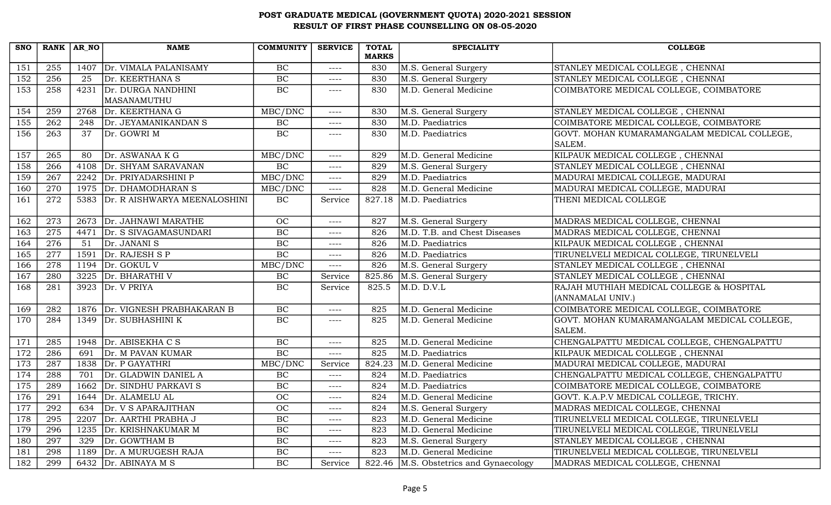| <b>SNO</b>       | RANK AR NO       |      | <b>NAME</b>                  | <b>COMMUNITY</b> | <b>SERVICE</b> | <b>TOTAL</b> | <b>SPECIALITY</b>               | <b>COLLEGE</b>                              |
|------------------|------------------|------|------------------------------|------------------|----------------|--------------|---------------------------------|---------------------------------------------|
|                  |                  |      |                              |                  |                | <b>MARKS</b> |                                 |                                             |
| 151              | 255              | 1407 | Dr. VIMALA PALANISAMY        | $\rm BC$         | $---$          | 830          | M.S. General Surgery            | STANLEY MEDICAL COLLEGE, CHENNAI            |
| 152              | 256              | 25   | Dr. KEERTHANA S              | BC               | $---$          | 830          | M.S. General Surgery            | STANLEY MEDICAL COLLEGE, CHENNAI            |
| $\overline{153}$ | 258              | 4231 | Dr. DURGA NANDHINI           | BC               | $---$          | 830          | M.D. General Medicine           | COIMBATORE MEDICAL COLLEGE, COIMBATORE      |
|                  |                  |      | MASANAMUTHU                  |                  |                |              |                                 |                                             |
| 154              | 259              | 2768 | Dr. KEERTHANA G              | MBC/DNC          | $---$          | 830          | M.S. General Surgery            | STANLEY MEDICAL COLLEGE, CHENNAI            |
| 155              | $\overline{262}$ | 248  | Dr. JEYAMANIKANDAN S         | BC               | $--- -$        | 830          | M.D. Paediatrics                | COIMBATORE MEDICAL COLLEGE, COIMBATORE      |
| 156              | 263              | 37   | Dr. GOWRI M                  | $\rm BC$         | $---$          | 830          | M.D. Paediatrics                | GOVT. MOHAN KUMARAMANGALAM MEDICAL COLLEGE, |
|                  |                  |      |                              |                  |                |              |                                 | SALEM.                                      |
| 157              | 265              | 80   | Dr. ASWANAA K G              | MBC/DNC          | $--- -$        | 829          | M.D. General Medicine           | KILPAUK MEDICAL COLLEGE, CHENNAI            |
| 158              | 266              | 4108 | Dr. SHYAM SARAVANAN          | BC               | $---$          | 829          | M.S. General Surgery            | STANLEY MEDICAL COLLEGE, CHENNAI            |
| 159              | $\overline{267}$ |      | 2242 Dr. PRIYADARSHINI P     | MBC/DNC          | $---$          | 829          | M.D. Paediatrics                | MADURAI MEDICAL COLLEGE, MADURAI            |
| 160              | 270              |      | 1975 Dr. DHAMODHARAN S       | MBC/DNC          | $--- -$        | 828          | M.D. General Medicine           | MADURAI MEDICAL COLLEGE, MADURAI            |
| 161              | 272              | 5383 | Dr. R AISHWARYA MEENALOSHINI | BC               | Service        | 827.18       | M.D. Paediatrics                | THENI MEDICAL COLLEGE                       |
|                  |                  |      |                              |                  |                |              |                                 |                                             |
| 162              | 273              |      | 2673 Dr. JAHNAWI MARATHE     | OC               | $---$          | 827          | M.S. General Surgery            | MADRAS MEDICAL COLLEGE, CHENNAI             |
| 163              | 275              | 4471 | Dr. S SIVAGAMASUNDARI        | BC               | $--- -$        | 826          | M.D. T.B. and Chest Diseases    | MADRAS MEDICAL COLLEGE, CHENNAI             |
| 164              | 276              | 51   | Dr. JANANI S                 | BC               | $--- -$        | 826          | M.D. Paediatrics                | KILPAUK MEDICAL COLLEGE, CHENNAI            |
| 165              | $\overline{277}$ | 1591 | Dr. RAJESH S P               | BC               | $---$          | 826          | M.D. Paediatrics                | TIRUNELVELI MEDICAL COLLEGE, TIRUNELVELI    |
| 166              | 278              | 1194 | Dr. GOKUL V                  | MBC/DNC          | $--- -$        | 826          | M.S. General Surgery            | STANLEY MEDICAL COLLEGE, CHENNAI            |
| 167              | 280              |      | 3225 Dr. BHARATHI V          | $\rm BC$         | Service        | 825.86       | M.S. General Surgery            | STANLEY MEDICAL COLLEGE, CHENNAI            |
| 168              | 281              |      | 3923 Dr. V PRIYA             | BC               | Service        | 825.5        | M.D. D.V.L                      | RAJAH MUTHIAH MEDICAL COLLEGE & HOSPITAL    |
|                  |                  |      |                              |                  |                |              |                                 | (ANNAMALAI UNIV.)                           |
| 169              | 282              | 1876 | Dr. VIGNESH PRABHAKARAN B    | BC               | $---$          | 825          | M.D. General Medicine           | COIMBATORE MEDICAL COLLEGE, COIMBATORE      |
| 170              | 284              | 1349 | Dr. SUBHASHINI K             | BC               | $--- -$        | 825          | M.D. General Medicine           | GOVT. MOHAN KUMARAMANGALAM MEDICAL COLLEGE, |
|                  |                  |      |                              |                  |                |              |                                 | SALEM.                                      |
| 171              | 285              | 1948 | Dr. ABISEKHA C S             | <b>BC</b>        | $---$          | 825          | M.D. General Medicine           | CHENGALPATTU MEDICAL COLLEGE, CHENGALPATTU  |
| 172              | 286              | 691  | Dr. M PAVAN KUMAR            | BC               | $---$          | 825          | M.D. Paediatrics                | KILPAUK MEDICAL COLLEGE, CHENNAI            |
| 173              | 287              | 1838 | Dr. P GAYATHRI               | MBC/DNC          | Service        | 824.23       | M.D. General Medicine           | MADURAI MEDICAL COLLEGE, MADURAI            |
| 174              | 288              | 701  | Dr. GLADWIN DANIEL A         | BC               | $--- -$        | 824          | M.D. Paediatrics                | CHENGALPATTU MEDICAL COLLEGE, CHENGALPATTU  |
| 175              | 289              | 1662 | Dr. SINDHU PARKAVI S         | BC               | $--- -$        | 824          | M.D. Paediatrics                | COIMBATORE MEDICAL COLLEGE, COIMBATORE      |
| 176              | 291              | 1644 | Dr. ALAMELU AL               | OC               | $--- -$        | 824          | M.D. General Medicine           | GOVT. K.A.P.V MEDICAL COLLEGE, TRICHY.      |
| 177              | 292              | 634  | Dr. V S APARAJITHAN          | OC               | $---$          | 824          | M.S. General Surgery            | MADRAS MEDICAL COLLEGE, CHENNAI             |
| 178              | 295              | 2207 | Dr. AARTHI PRABHA J          | BC               | $--- -$        | 823          | M.D. General Medicine           | TIRUNELVELI MEDICAL COLLEGE, TIRUNELVELI    |
| 179              | 296              | 1235 | Dr. KRISHNAKUMAR M           | $\overline{BC}$  | $--- -$        | 823          | M.D. General Medicine           | TIRUNELVELI MEDICAL COLLEGE, TIRUNELVELI    |
| 180              | 297              | 329  | Dr. GOWTHAM B                | BC               | $--- -$        | 823          | M.S. General Surgery            | STANLEY MEDICAL COLLEGE, CHENNAI            |
| 181              | 298              | 1189 | Dr. A MURUGESH RAJA          | BC               | $---$          | 823          | M.D. General Medicine           | TIRUNELVELI MEDICAL COLLEGE, TIRUNELVELI    |
| 182              | 299              |      | 6432 $Dr. ABINAYA M S$       | BC               | Service        | 822.46       | M.S. Obstetrics and Gynaecology | MADRAS MEDICAL COLLEGE, CHENNAI             |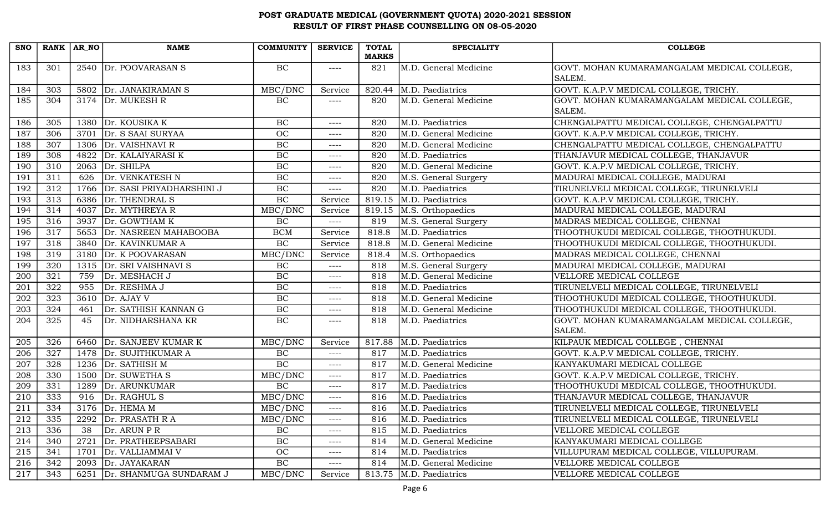| <b>MARKS</b><br>2540 Dr. POOVARASAN S<br>BC<br>M.D. General Medicine<br>183<br>301<br>GOVT. MOHAN KUMARAMANGALAM MEDICAL COLLEGE,<br>821<br>$--- - -$<br>SALEM.<br>GOVT. K.A.P.V MEDICAL COLLEGE, TRICHY.<br>M.D. Paediatrics<br>184<br>303<br>5802 Dr. JANAKIRAMAN S<br>MBC/DNC<br>820.44<br>Service<br>304<br>3174 $Dr. MUKESH R$<br>BC<br>M.D. General Medicine<br>GOVT. MOHAN KUMARAMANGALAM MEDICAL COLLEGE,<br>185<br>820<br>$--- -$<br>SALEM.<br>186<br>305<br>1380 Dr. KOUSIKA K<br>BC<br>M.D. Paediatrics<br>CHENGALPATTU MEDICAL COLLEGE, CHENGALPATTU<br>820<br>$--- -$<br>187<br>306<br>3701<br>Dr. S SAAI SURYAA<br>OC<br>820<br>M.D. General Medicine<br>GOVT. K.A.P.V MEDICAL COLLEGE, TRICHY.<br>$--- -$<br>307<br>BC<br>CHENGALPATTU MEDICAL COLLEGE, CHENGALPATTU<br>188<br>1306 Dr. VAISHNAVI R<br>820<br>M.D. General Medicine<br>$---$<br>BC<br>308<br>4822<br>Dr. KALAIYARASI K<br>M.D. Paediatrics<br>THANJAVUR MEDICAL COLLEGE, THANJAVUR<br>189<br>820<br>$--- -$<br>310<br>BC<br>190<br>Dr. SHILPA<br>M.D. General Medicine<br>GOVT. K.A.P.V MEDICAL COLLEGE, TRICHY.<br>2063<br>820<br>$---$<br>BC<br>191<br>311<br>Dr. VENKATESH N<br>626<br>820<br>M.S. General Surgery<br>MADURAI MEDICAL COLLEGE, MADURAI<br>$---$<br>192<br>312<br>Dr. SASI PRIYADHARSHINI J<br>BC<br>M.D. Paediatrics<br>1766<br>820<br>TIRUNELVELI MEDICAL COLLEGE, TIRUNELVELI<br>$---$<br>BC<br>313<br>819.15<br>M.D. Paediatrics<br>193<br>6386 Dr. THENDRAL S<br>GOVT. K.A.P.V MEDICAL COLLEGE, TRICHY.<br>Service<br>314<br>Dr. MYTHREYA R<br>MADURAI MEDICAL COLLEGE, MADURAI<br>194<br>4037<br>MBC/DNC<br>819.15<br>M.S. Orthopaedics<br>Service<br>316<br>195<br>3937<br>Dr. GOWTHAM K<br>BC<br>819<br>M.S. General Surgery<br>MADRAS MEDICAL COLLEGE, CHENNAI<br>$---$<br>317<br>M.D. Paediatrics<br>196<br>5653<br>Dr. NASREEN MAHABOOBA<br><b>BCM</b><br>818.8<br>THOOTHUKUDI MEDICAL COLLEGE, THOOTHUKUDI.<br>Service<br>197<br>318<br>BC<br>3840<br>Dr. KAVINKUMAR A<br>M.D. General Medicine<br>THOOTHUKUDI MEDICAL COLLEGE, THOOTHUKUDI.<br>818.8<br>Service<br>319<br>MBC/DNC<br>198<br>3180 Dr. K POOVARASAN<br>818.4<br>M.S. Orthopaedics<br>MADRAS MEDICAL COLLEGE, CHENNAI<br>Service<br>320<br>M.S. General Surgery<br>199<br>Dr. SRI VAISHNAVI S<br>BC<br>818<br>MADURAI MEDICAL COLLEGE, MADURAI<br>1315<br>$---$<br>321<br>BC<br>200<br>759<br>818<br>M.D. General Medicine<br>Dr. MESHACH J<br>VELLORE MEDICAL COLLEGE<br>$---$<br>201<br>322<br>BC<br>M.D. Paediatrics<br>955<br>Dr. RESHMA J<br>818<br>TIRUNELVELI MEDICAL COLLEGE, TIRUNELVELI<br>$---$<br>323<br>BC<br>202<br>3610 Dr. AJAY V<br>818<br>M.D. General Medicine<br>THOOTHUKUDI MEDICAL COLLEGE, THOOTHUKUDI.<br>$--- -$ | <b>SNO</b> |     | RANK $AR_N$ | <b>NAME</b>          | <b>COMMUNITY</b> | <b>SERVICE</b> | <b>TOTAL</b> | <b>SPECIALITY</b>     | <b>COLLEGE</b>                            |
|----------------------------------------------------------------------------------------------------------------------------------------------------------------------------------------------------------------------------------------------------------------------------------------------------------------------------------------------------------------------------------------------------------------------------------------------------------------------------------------------------------------------------------------------------------------------------------------------------------------------------------------------------------------------------------------------------------------------------------------------------------------------------------------------------------------------------------------------------------------------------------------------------------------------------------------------------------------------------------------------------------------------------------------------------------------------------------------------------------------------------------------------------------------------------------------------------------------------------------------------------------------------------------------------------------------------------------------------------------------------------------------------------------------------------------------------------------------------------------------------------------------------------------------------------------------------------------------------------------------------------------------------------------------------------------------------------------------------------------------------------------------------------------------------------------------------------------------------------------------------------------------------------------------------------------------------------------------------------------------------------------------------------------------------------------------------------------------------------------------------------------------------------------------------------------------------------------------------------------------------------------------------------------------------------------------------------------------------------------------------------------------------------------------------------------------------------------------------------------------------------------------------------------------------------------------------------------------------------------------------------------------------------------------------------------------------------------------------|------------|-----|-------------|----------------------|------------------|----------------|--------------|-----------------------|-------------------------------------------|
|                                                                                                                                                                                                                                                                                                                                                                                                                                                                                                                                                                                                                                                                                                                                                                                                                                                                                                                                                                                                                                                                                                                                                                                                                                                                                                                                                                                                                                                                                                                                                                                                                                                                                                                                                                                                                                                                                                                                                                                                                                                                                                                                                                                                                                                                                                                                                                                                                                                                                                                                                                                                                                                                                                                      |            |     |             |                      |                  |                |              |                       |                                           |
|                                                                                                                                                                                                                                                                                                                                                                                                                                                                                                                                                                                                                                                                                                                                                                                                                                                                                                                                                                                                                                                                                                                                                                                                                                                                                                                                                                                                                                                                                                                                                                                                                                                                                                                                                                                                                                                                                                                                                                                                                                                                                                                                                                                                                                                                                                                                                                                                                                                                                                                                                                                                                                                                                                                      |            |     |             |                      |                  |                |              |                       |                                           |
|                                                                                                                                                                                                                                                                                                                                                                                                                                                                                                                                                                                                                                                                                                                                                                                                                                                                                                                                                                                                                                                                                                                                                                                                                                                                                                                                                                                                                                                                                                                                                                                                                                                                                                                                                                                                                                                                                                                                                                                                                                                                                                                                                                                                                                                                                                                                                                                                                                                                                                                                                                                                                                                                                                                      |            |     |             |                      |                  |                |              |                       |                                           |
|                                                                                                                                                                                                                                                                                                                                                                                                                                                                                                                                                                                                                                                                                                                                                                                                                                                                                                                                                                                                                                                                                                                                                                                                                                                                                                                                                                                                                                                                                                                                                                                                                                                                                                                                                                                                                                                                                                                                                                                                                                                                                                                                                                                                                                                                                                                                                                                                                                                                                                                                                                                                                                                                                                                      |            |     |             |                      |                  |                |              |                       |                                           |
|                                                                                                                                                                                                                                                                                                                                                                                                                                                                                                                                                                                                                                                                                                                                                                                                                                                                                                                                                                                                                                                                                                                                                                                                                                                                                                                                                                                                                                                                                                                                                                                                                                                                                                                                                                                                                                                                                                                                                                                                                                                                                                                                                                                                                                                                                                                                                                                                                                                                                                                                                                                                                                                                                                                      |            |     |             |                      |                  |                |              |                       |                                           |
|                                                                                                                                                                                                                                                                                                                                                                                                                                                                                                                                                                                                                                                                                                                                                                                                                                                                                                                                                                                                                                                                                                                                                                                                                                                                                                                                                                                                                                                                                                                                                                                                                                                                                                                                                                                                                                                                                                                                                                                                                                                                                                                                                                                                                                                                                                                                                                                                                                                                                                                                                                                                                                                                                                                      |            |     |             |                      |                  |                |              |                       |                                           |
|                                                                                                                                                                                                                                                                                                                                                                                                                                                                                                                                                                                                                                                                                                                                                                                                                                                                                                                                                                                                                                                                                                                                                                                                                                                                                                                                                                                                                                                                                                                                                                                                                                                                                                                                                                                                                                                                                                                                                                                                                                                                                                                                                                                                                                                                                                                                                                                                                                                                                                                                                                                                                                                                                                                      |            |     |             |                      |                  |                |              |                       |                                           |
|                                                                                                                                                                                                                                                                                                                                                                                                                                                                                                                                                                                                                                                                                                                                                                                                                                                                                                                                                                                                                                                                                                                                                                                                                                                                                                                                                                                                                                                                                                                                                                                                                                                                                                                                                                                                                                                                                                                                                                                                                                                                                                                                                                                                                                                                                                                                                                                                                                                                                                                                                                                                                                                                                                                      |            |     |             |                      |                  |                |              |                       |                                           |
|                                                                                                                                                                                                                                                                                                                                                                                                                                                                                                                                                                                                                                                                                                                                                                                                                                                                                                                                                                                                                                                                                                                                                                                                                                                                                                                                                                                                                                                                                                                                                                                                                                                                                                                                                                                                                                                                                                                                                                                                                                                                                                                                                                                                                                                                                                                                                                                                                                                                                                                                                                                                                                                                                                                      |            |     |             |                      |                  |                |              |                       |                                           |
|                                                                                                                                                                                                                                                                                                                                                                                                                                                                                                                                                                                                                                                                                                                                                                                                                                                                                                                                                                                                                                                                                                                                                                                                                                                                                                                                                                                                                                                                                                                                                                                                                                                                                                                                                                                                                                                                                                                                                                                                                                                                                                                                                                                                                                                                                                                                                                                                                                                                                                                                                                                                                                                                                                                      |            |     |             |                      |                  |                |              |                       |                                           |
|                                                                                                                                                                                                                                                                                                                                                                                                                                                                                                                                                                                                                                                                                                                                                                                                                                                                                                                                                                                                                                                                                                                                                                                                                                                                                                                                                                                                                                                                                                                                                                                                                                                                                                                                                                                                                                                                                                                                                                                                                                                                                                                                                                                                                                                                                                                                                                                                                                                                                                                                                                                                                                                                                                                      |            |     |             |                      |                  |                |              |                       |                                           |
|                                                                                                                                                                                                                                                                                                                                                                                                                                                                                                                                                                                                                                                                                                                                                                                                                                                                                                                                                                                                                                                                                                                                                                                                                                                                                                                                                                                                                                                                                                                                                                                                                                                                                                                                                                                                                                                                                                                                                                                                                                                                                                                                                                                                                                                                                                                                                                                                                                                                                                                                                                                                                                                                                                                      |            |     |             |                      |                  |                |              |                       |                                           |
|                                                                                                                                                                                                                                                                                                                                                                                                                                                                                                                                                                                                                                                                                                                                                                                                                                                                                                                                                                                                                                                                                                                                                                                                                                                                                                                                                                                                                                                                                                                                                                                                                                                                                                                                                                                                                                                                                                                                                                                                                                                                                                                                                                                                                                                                                                                                                                                                                                                                                                                                                                                                                                                                                                                      |            |     |             |                      |                  |                |              |                       |                                           |
|                                                                                                                                                                                                                                                                                                                                                                                                                                                                                                                                                                                                                                                                                                                                                                                                                                                                                                                                                                                                                                                                                                                                                                                                                                                                                                                                                                                                                                                                                                                                                                                                                                                                                                                                                                                                                                                                                                                                                                                                                                                                                                                                                                                                                                                                                                                                                                                                                                                                                                                                                                                                                                                                                                                      |            |     |             |                      |                  |                |              |                       |                                           |
|                                                                                                                                                                                                                                                                                                                                                                                                                                                                                                                                                                                                                                                                                                                                                                                                                                                                                                                                                                                                                                                                                                                                                                                                                                                                                                                                                                                                                                                                                                                                                                                                                                                                                                                                                                                                                                                                                                                                                                                                                                                                                                                                                                                                                                                                                                                                                                                                                                                                                                                                                                                                                                                                                                                      |            |     |             |                      |                  |                |              |                       |                                           |
|                                                                                                                                                                                                                                                                                                                                                                                                                                                                                                                                                                                                                                                                                                                                                                                                                                                                                                                                                                                                                                                                                                                                                                                                                                                                                                                                                                                                                                                                                                                                                                                                                                                                                                                                                                                                                                                                                                                                                                                                                                                                                                                                                                                                                                                                                                                                                                                                                                                                                                                                                                                                                                                                                                                      |            |     |             |                      |                  |                |              |                       |                                           |
|                                                                                                                                                                                                                                                                                                                                                                                                                                                                                                                                                                                                                                                                                                                                                                                                                                                                                                                                                                                                                                                                                                                                                                                                                                                                                                                                                                                                                                                                                                                                                                                                                                                                                                                                                                                                                                                                                                                                                                                                                                                                                                                                                                                                                                                                                                                                                                                                                                                                                                                                                                                                                                                                                                                      |            |     |             |                      |                  |                |              |                       |                                           |
|                                                                                                                                                                                                                                                                                                                                                                                                                                                                                                                                                                                                                                                                                                                                                                                                                                                                                                                                                                                                                                                                                                                                                                                                                                                                                                                                                                                                                                                                                                                                                                                                                                                                                                                                                                                                                                                                                                                                                                                                                                                                                                                                                                                                                                                                                                                                                                                                                                                                                                                                                                                                                                                                                                                      |            |     |             |                      |                  |                |              |                       |                                           |
|                                                                                                                                                                                                                                                                                                                                                                                                                                                                                                                                                                                                                                                                                                                                                                                                                                                                                                                                                                                                                                                                                                                                                                                                                                                                                                                                                                                                                                                                                                                                                                                                                                                                                                                                                                                                                                                                                                                                                                                                                                                                                                                                                                                                                                                                                                                                                                                                                                                                                                                                                                                                                                                                                                                      |            |     |             |                      |                  |                |              |                       |                                           |
|                                                                                                                                                                                                                                                                                                                                                                                                                                                                                                                                                                                                                                                                                                                                                                                                                                                                                                                                                                                                                                                                                                                                                                                                                                                                                                                                                                                                                                                                                                                                                                                                                                                                                                                                                                                                                                                                                                                                                                                                                                                                                                                                                                                                                                                                                                                                                                                                                                                                                                                                                                                                                                                                                                                      |            |     |             |                      |                  |                |              |                       |                                           |
|                                                                                                                                                                                                                                                                                                                                                                                                                                                                                                                                                                                                                                                                                                                                                                                                                                                                                                                                                                                                                                                                                                                                                                                                                                                                                                                                                                                                                                                                                                                                                                                                                                                                                                                                                                                                                                                                                                                                                                                                                                                                                                                                                                                                                                                                                                                                                                                                                                                                                                                                                                                                                                                                                                                      |            |     |             |                      |                  |                |              |                       |                                           |
|                                                                                                                                                                                                                                                                                                                                                                                                                                                                                                                                                                                                                                                                                                                                                                                                                                                                                                                                                                                                                                                                                                                                                                                                                                                                                                                                                                                                                                                                                                                                                                                                                                                                                                                                                                                                                                                                                                                                                                                                                                                                                                                                                                                                                                                                                                                                                                                                                                                                                                                                                                                                                                                                                                                      |            |     |             |                      |                  |                |              |                       |                                           |
|                                                                                                                                                                                                                                                                                                                                                                                                                                                                                                                                                                                                                                                                                                                                                                                                                                                                                                                                                                                                                                                                                                                                                                                                                                                                                                                                                                                                                                                                                                                                                                                                                                                                                                                                                                                                                                                                                                                                                                                                                                                                                                                                                                                                                                                                                                                                                                                                                                                                                                                                                                                                                                                                                                                      | 203        | 324 | 461         | Dr. SATHISH KANNAN G | BC               | $--- -$        | 818          | M.D. General Medicine | THOOTHUKUDI MEDICAL COLLEGE, THOOTHUKUDI. |
| 204<br>325<br>BC<br>45<br>Dr. NIDHARSHANA KR<br>818<br>M.D. Paediatrics<br>GOVT. MOHAN KUMARAMANGALAM MEDICAL COLLEGE,<br>$--- - -$<br>SALEM.                                                                                                                                                                                                                                                                                                                                                                                                                                                                                                                                                                                                                                                                                                                                                                                                                                                                                                                                                                                                                                                                                                                                                                                                                                                                                                                                                                                                                                                                                                                                                                                                                                                                                                                                                                                                                                                                                                                                                                                                                                                                                                                                                                                                                                                                                                                                                                                                                                                                                                                                                                        |            |     |             |                      |                  |                |              |                       |                                           |
| Dr. SANJEEV KUMAR K<br>KILPAUK MEDICAL COLLEGE, CHENNAI<br>205<br>326<br>MBC/DNC<br>817.88<br>M.D. Paediatrics<br>6460<br>Service                                                                                                                                                                                                                                                                                                                                                                                                                                                                                                                                                                                                                                                                                                                                                                                                                                                                                                                                                                                                                                                                                                                                                                                                                                                                                                                                                                                                                                                                                                                                                                                                                                                                                                                                                                                                                                                                                                                                                                                                                                                                                                                                                                                                                                                                                                                                                                                                                                                                                                                                                                                    |            |     |             |                      |                  |                |              |                       |                                           |
| 327<br>1478 Dr. SUJITHKUMAR A<br>BC<br>GOVT. K.A.P.V MEDICAL COLLEGE, TRICHY.<br>206<br>817<br>M.D. Paediatrics<br>$--- -$                                                                                                                                                                                                                                                                                                                                                                                                                                                                                                                                                                                                                                                                                                                                                                                                                                                                                                                                                                                                                                                                                                                                                                                                                                                                                                                                                                                                                                                                                                                                                                                                                                                                                                                                                                                                                                                                                                                                                                                                                                                                                                                                                                                                                                                                                                                                                                                                                                                                                                                                                                                           |            |     |             |                      |                  |                |              |                       |                                           |
| BC<br>207<br>328<br>1236 Dr. SATHISH M<br>817<br>M.D. General Medicine<br>KANYAKUMARI MEDICAL COLLEGE<br>$---$                                                                                                                                                                                                                                                                                                                                                                                                                                                                                                                                                                                                                                                                                                                                                                                                                                                                                                                                                                                                                                                                                                                                                                                                                                                                                                                                                                                                                                                                                                                                                                                                                                                                                                                                                                                                                                                                                                                                                                                                                                                                                                                                                                                                                                                                                                                                                                                                                                                                                                                                                                                                       |            |     |             |                      |                  |                |              |                       |                                           |
| 208<br>330<br>MBC/DNC<br>817<br>M.D. Paediatrics<br>1500<br>Dr. SUWETHA S<br>GOVT. K.A.P.V MEDICAL COLLEGE, TRICHY.<br>$---$                                                                                                                                                                                                                                                                                                                                                                                                                                                                                                                                                                                                                                                                                                                                                                                                                                                                                                                                                                                                                                                                                                                                                                                                                                                                                                                                                                                                                                                                                                                                                                                                                                                                                                                                                                                                                                                                                                                                                                                                                                                                                                                                                                                                                                                                                                                                                                                                                                                                                                                                                                                         |            |     |             |                      |                  |                |              |                       |                                           |
| BC<br>331<br>M.D. Paediatrics<br>THOOTHUKUDI MEDICAL COLLEGE, THOOTHUKUDI.<br>209<br>1289<br>Dr. ARUNKUMAR<br>817<br>$--- -$                                                                                                                                                                                                                                                                                                                                                                                                                                                                                                                                                                                                                                                                                                                                                                                                                                                                                                                                                                                                                                                                                                                                                                                                                                                                                                                                                                                                                                                                                                                                                                                                                                                                                                                                                                                                                                                                                                                                                                                                                                                                                                                                                                                                                                                                                                                                                                                                                                                                                                                                                                                         |            |     |             |                      |                  |                |              |                       |                                           |
| $\overline{333}$<br>MBC/DNC<br>210<br>916<br>Dr. RAGHUL S<br>816<br>M.D. Paediatrics<br>THANJAVUR MEDICAL COLLEGE, THANJAVUR<br>$---$                                                                                                                                                                                                                                                                                                                                                                                                                                                                                                                                                                                                                                                                                                                                                                                                                                                                                                                                                                                                                                                                                                                                                                                                                                                                                                                                                                                                                                                                                                                                                                                                                                                                                                                                                                                                                                                                                                                                                                                                                                                                                                                                                                                                                                                                                                                                                                                                                                                                                                                                                                                |            |     |             |                      |                  |                |              |                       |                                           |
| 211<br>334<br>3176 $Dr. HEMA M$<br>MBC/DNC<br>TIRUNELVELI MEDICAL COLLEGE, TIRUNELVELI<br>816<br>M.D. Paediatrics<br>$--- -$                                                                                                                                                                                                                                                                                                                                                                                                                                                                                                                                                                                                                                                                                                                                                                                                                                                                                                                                                                                                                                                                                                                                                                                                                                                                                                                                                                                                                                                                                                                                                                                                                                                                                                                                                                                                                                                                                                                                                                                                                                                                                                                                                                                                                                                                                                                                                                                                                                                                                                                                                                                         |            |     |             |                      |                  |                |              |                       |                                           |
| 212<br>335<br>2292<br>Dr. PRASATH R A<br>MBC/DNC<br>M.D. Paediatrics<br>TIRUNELVELI MEDICAL COLLEGE, TIRUNELVELI<br>816<br>----                                                                                                                                                                                                                                                                                                                                                                                                                                                                                                                                                                                                                                                                                                                                                                                                                                                                                                                                                                                                                                                                                                                                                                                                                                                                                                                                                                                                                                                                                                                                                                                                                                                                                                                                                                                                                                                                                                                                                                                                                                                                                                                                                                                                                                                                                                                                                                                                                                                                                                                                                                                      |            |     |             |                      |                  |                |              |                       |                                           |
| $\rm BC$<br>213<br>336<br>38<br>Dr. ARUN P R<br>815<br>M.D. Paediatrics<br>VELLORE MEDICAL COLLEGE<br>$--- -$                                                                                                                                                                                                                                                                                                                                                                                                                                                                                                                                                                                                                                                                                                                                                                                                                                                                                                                                                                                                                                                                                                                                                                                                                                                                                                                                                                                                                                                                                                                                                                                                                                                                                                                                                                                                                                                                                                                                                                                                                                                                                                                                                                                                                                                                                                                                                                                                                                                                                                                                                                                                        |            |     |             |                      |                  |                |              |                       |                                           |
| $\rm BC$<br>M.D. General Medicine<br>214<br>340<br>2721<br>Dr. PRATHEEPSABARI<br>KANYAKUMARI MEDICAL COLLEGE<br>814<br>$---$                                                                                                                                                                                                                                                                                                                                                                                                                                                                                                                                                                                                                                                                                                                                                                                                                                                                                                                                                                                                                                                                                                                                                                                                                                                                                                                                                                                                                                                                                                                                                                                                                                                                                                                                                                                                                                                                                                                                                                                                                                                                                                                                                                                                                                                                                                                                                                                                                                                                                                                                                                                         |            |     |             |                      |                  |                |              |                       |                                           |
| OC<br>814<br>VILLUPURAM MEDICAL COLLEGE, VILLUPURAM.<br>215<br>341<br>1701<br>Dr. VALLIAMMAI V<br>M.D. Paediatrics<br>$- - - -$                                                                                                                                                                                                                                                                                                                                                                                                                                                                                                                                                                                                                                                                                                                                                                                                                                                                                                                                                                                                                                                                                                                                                                                                                                                                                                                                                                                                                                                                                                                                                                                                                                                                                                                                                                                                                                                                                                                                                                                                                                                                                                                                                                                                                                                                                                                                                                                                                                                                                                                                                                                      |            |     |             |                      |                  |                |              |                       |                                           |
| $\rm BC$<br>M.D. General Medicine<br>216<br>342<br>2093<br>Dr. JAYAKARAN<br>814<br>VELLORE MEDICAL COLLEGE<br>----                                                                                                                                                                                                                                                                                                                                                                                                                                                                                                                                                                                                                                                                                                                                                                                                                                                                                                                                                                                                                                                                                                                                                                                                                                                                                                                                                                                                                                                                                                                                                                                                                                                                                                                                                                                                                                                                                                                                                                                                                                                                                                                                                                                                                                                                                                                                                                                                                                                                                                                                                                                                   |            |     |             |                      |                  |                |              |                       |                                           |
| 217<br>343<br>Dr. SHANMUGA SUNDARAM J<br>MBC/DNC<br>813.75<br>M.D. Paediatrics<br>6251<br>Service<br>VELLORE MEDICAL COLLEGE                                                                                                                                                                                                                                                                                                                                                                                                                                                                                                                                                                                                                                                                                                                                                                                                                                                                                                                                                                                                                                                                                                                                                                                                                                                                                                                                                                                                                                                                                                                                                                                                                                                                                                                                                                                                                                                                                                                                                                                                                                                                                                                                                                                                                                                                                                                                                                                                                                                                                                                                                                                         |            |     |             |                      |                  |                |              |                       |                                           |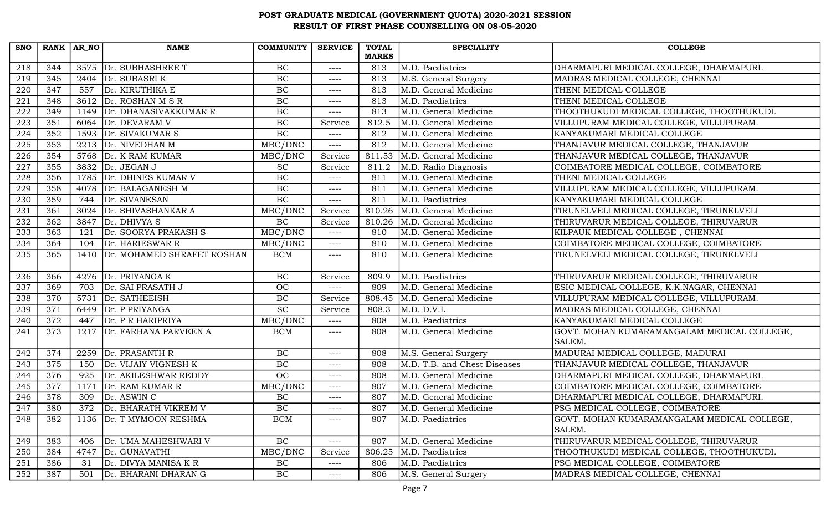| <b>SNO</b>       | RANK $AR_N$      |      | <b>NAME</b>                | <b>COMMUNITY</b> | <b>SERVICE</b> | <b>TOTAL</b> | <b>SPECIALITY</b>            | <b>COLLEGE</b>                              |
|------------------|------------------|------|----------------------------|------------------|----------------|--------------|------------------------------|---------------------------------------------|
|                  |                  |      |                            |                  |                | <b>MARKS</b> |                              |                                             |
| 218              | 344              |      | 3575 Dr. SUBHASHREE T      | BC               | $---$          | 813          | M.D. Paediatrics             | DHARMAPURI MEDICAL COLLEGE, DHARMAPURI.     |
| 219              | $\overline{345}$ |      | 2404 $Dr. SUBASRI K$       | BC               | $---$          | 813          | M.S. General Surgery         | MADRAS MEDICAL COLLEGE, CHENNAI             |
| 220              | 347              | 557  | Dr. KIRUTHIKA E            | BC               | $---$          | 813          | M.D. General Medicine        | THENI MEDICAL COLLEGE                       |
| 221              | 348              |      | 3612 $Dr. ROSHAN M S R$    | BC               | $---$          | 813          | M.D. Paediatrics             | THENI MEDICAL COLLEGE                       |
| 222              | 349              | 1149 | Dr. DHANASIVAKKUMAR R      | BC               | $---$          | 813          | M.D. General Medicine        | THOOTHUKUDI MEDICAL COLLEGE, THOOTHUKUDI.   |
| 223              | 351              | 6064 | Dr. DEVARAM V              | BC               | Service        | 812.5        | M.D. General Medicine        | VILLUPURAM MEDICAL COLLEGE, VILLUPURAM.     |
| 224              | 352              | 1593 | Dr. SIVAKUMAR S            | BC               | $--- -$        | 812          | M.D. General Medicine        | KANYAKUMARI MEDICAL COLLEGE                 |
| $\overline{225}$ | 353              |      | 2213 Dr. NIVEDHAN M        | MBC/DNC          | $---$          | 812          | M.D. General Medicine        | THANJAVUR MEDICAL COLLEGE, THANJAVUR        |
| 226              | 354              | 5768 | Dr. K RAM KUMAR            | MBC/DNC          | Service        | 811.53       | M.D. General Medicine        | THANJAVUR MEDICAL COLLEGE, THANJAVUR        |
| 227              | 355              | 3832 | Dr. JEGAN J                | $\overline{SC}$  | Service        | 811.2        | M.D. Radio Diagnosis         | COIMBATORE MEDICAL COLLEGE, COIMBATORE      |
| 228              | 356              | 1785 | Dr. DHINES KUMAR V         | BC               | $---$          | 811          | M.D. General Medicine        | THENI MEDICAL COLLEGE                       |
| 229              | 358              | 4078 | Dr. BALAGANESH M           | BC               | $---$          | 811          | M.D. General Medicine        | VILLUPURAM MEDICAL COLLEGE, VILLUPURAM.     |
| 230              | 359              | 744  | Dr. SIVANESAN              | BC               | $---$          | 811          | M.D. Paediatrics             | KANYAKUMARI MEDICAL COLLEGE                 |
| 231              | 361              | 3024 | Dr. SHIVASHANKAR A         | MBC/DNC          | Service        | 810.26       | M.D. General Medicine        | TIRUNELVELI MEDICAL COLLEGE, TIRUNELVELI    |
| 232              | 362              | 3847 | Dr. DHIVYA S               | $\rm BC$         | Service        | 810.26       | M.D. General Medicine        | THIRUVARUR MEDICAL COLLEGE, THIRUVARUR      |
| 233              | 363              | 121  | Dr. SOORYA PRAKASH S       | MBC/DNC          | $---$          | 810          | M.D. General Medicine        | KILPAUK MEDICAL COLLEGE, CHENNAI            |
| 234              | 364              | 104  | Dr. HARIESWAR R            | MBC/DNC          | $---$          | 810          | M.D. General Medicine        | COIMBATORE MEDICAL COLLEGE, COIMBATORE      |
| 235              | 365              | 1410 | Dr. MOHAMED SHRAFET ROSHAN | BCM              | $--- -$        | 810          | M.D. General Medicine        | TIRUNELVELI MEDICAL COLLEGE, TIRUNELVELI    |
|                  |                  |      |                            |                  |                |              |                              |                                             |
| 236              | 366              |      | 4276 Dr. PRIYANGA K        | BC               | Service        | 809.9        | M.D. Paediatrics             | THIRUVARUR MEDICAL COLLEGE, THIRUVARUR      |
| 237              | 369              | 703  | Dr. SAI PRASATH J          | <b>OC</b>        | $--- -$        | 809          | M.D. General Medicine        | ESIC MEDICAL COLLEGE, K.K.NAGAR, CHENNAI    |
| 238              | 370              | 5731 | Dr. SATHEEISH              | BC               | Service        | 808.45       | M.D. General Medicine        | VILLUPURAM MEDICAL COLLEGE, VILLUPURAM.     |
| 239              | 371              | 6449 | Dr. P PRIYANGA             | <b>SC</b>        | Service        | 808.3        | M.D. D.V.L                   | MADRAS MEDICAL COLLEGE, CHENNAI             |
| 240              | 372              | 447  | Dr. P R HARIPRIYA          | MBC/DNC          | $---$          | 808          | M.D. Paediatrics             | KANYAKUMARI MEDICAL COLLEGE                 |
| 241              | 373              | 1217 | Dr. FARHANA PARVEEN A      | <b>BCM</b>       | $--- -$        | 808          | M.D. General Medicine        | GOVT. MOHAN KUMARAMANGALAM MEDICAL COLLEGE, |
|                  |                  |      |                            |                  |                |              |                              | SALEM.                                      |
| 242              | 374              | 2259 | Dr. PRASANTH R             | BC               | $--- -$        | 808          | M.S. General Surgery         | MADURAI MEDICAL COLLEGE, MADURAI            |
| 243              | 375              | 150  | Dr. VIJAIY VIGNESH K       | BC               | $---$          | 808          | M.D. T.B. and Chest Diseases | THANJAVUR MEDICAL COLLEGE, THANJAVUR        |
| 244              | 376              | 925  | Dr. AKILESHWAR REDDY       | OC               | $---$          | 808          | M.D. General Medicine        | DHARMAPURI MEDICAL COLLEGE, DHARMAPURI.     |
| 245              | 377              | 1171 | Dr. RAM KUMAR R            | MBC/DNC          | $---$          | 807          | M.D. General Medicine        | COIMBATORE MEDICAL COLLEGE, COIMBATORE      |
| 246              | 378              | 309  | Dr. ASWIN C                | $\rm BC$         | $---$          | 807          | M.D. General Medicine        | DHARMAPURI MEDICAL COLLEGE, DHARMAPURI.     |
| 247              | 380              | 372  | Dr. BHARATH VIKREM V       | BC               | $--- -$        | 807          | M.D. General Medicine        | PSG MEDICAL COLLEGE, COIMBATORE             |
| 248              | 382              |      | 1136   Dr. T MYMOON RESHMA | <b>BCM</b>       | $--- - -$      | 807          | M.D. Paediatrics             | GOVT. MOHAN KUMARAMANGALAM MEDICAL COLLEGE, |
|                  |                  |      |                            |                  |                |              |                              | SALEM.                                      |
| 249              | 383              | 406  | Dr. UMA MAHESHWARI V       | $\rm BC$         | ----           | 807          | M.D. General Medicine        | THIRUVARUR MEDICAL COLLEGE, THIRUVARUR      |
| 250              | 384              | 4747 | Dr. GUNAVATHI              | MBC/DNC          | Service        | 806.25       | M.D. Paediatrics             | THOOTHUKUDI MEDICAL COLLEGE, THOOTHUKUDI.   |
| 251              | 386              | 31   | Dr. DIVYA MANISA K R       | BC               | $---$          | 806          | M.D. Paediatrics             | PSG MEDICAL COLLEGE, COIMBATORE             |
| 252              | 387              | 501  | Dr. BHARANI DHARAN G       | BC               | $---$          | 806          | M.S. General Surgery         | MADRAS MEDICAL COLLEGE, CHENNAI             |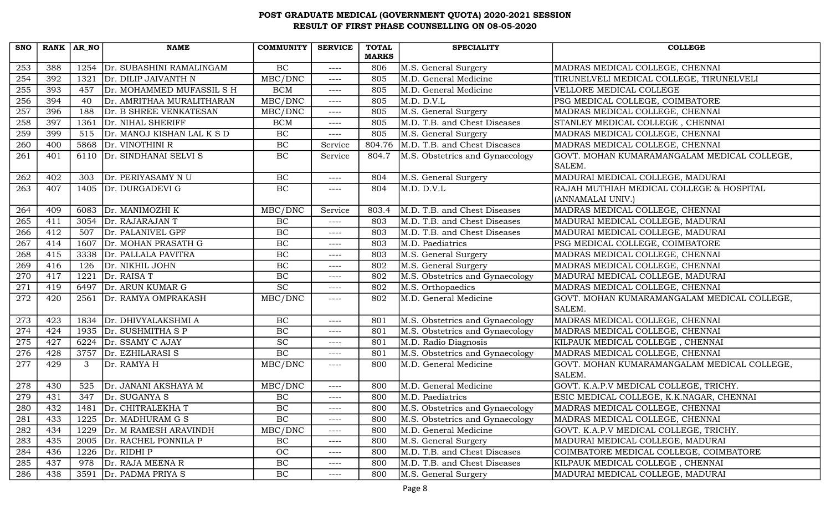| <b>SNO</b>       | RANK AR NO |      | <b>NAME</b>                | <b>COMMUNITY</b>            | <b>SERVICE</b> | <b>TOTAL</b> | <b>SPECIALITY</b>               | <b>COLLEGE</b>                                                |
|------------------|------------|------|----------------------------|-----------------------------|----------------|--------------|---------------------------------|---------------------------------------------------------------|
|                  |            |      |                            |                             |                | <b>MARKS</b> |                                 |                                                               |
| 253              | 388        | 1254 | Dr. SUBASHINI RAMALINGAM   | BC                          | $--- -$        | 806          | M.S. General Surgery            | MADRAS MEDICAL COLLEGE, CHENNAI                               |
| $\overline{254}$ | 392        | 1321 | Dr. DILIP JAIVANTH N       | MBC/DNC                     | $--- -$        | 805          | M.D. General Medicine           | TIRUNELVELI MEDICAL COLLEGE, TIRUNELVELI                      |
| 255              | 393        | 457  | Dr. MOHAMMED MUFASSIL S H  | <b>BCM</b>                  | ----           | 805          | M.D. General Medicine           | VELLORE MEDICAL COLLEGE                                       |
| 256              | 394        | 40   | Dr. AMRITHAA MURALITHARAN  | MBC/DNC                     | $--- -$        | 805          | M.D. D.V.L                      | PSG MEDICAL COLLEGE, COIMBATORE                               |
| 257              | 396        | 188  | Dr. B SHREE VENKATESAN     | MBC/DNC                     | $--- -$        | 805          | M.S. General Surgery            | MADRAS MEDICAL COLLEGE, CHENNAI                               |
| 258              | 397        | 1361 | Dr. NIHAL SHERIFF          | <b>BCM</b>                  | $--- -$        | 805          | M.D. T.B. and Chest Diseases    | STANLEY MEDICAL COLLEGE, CHENNAI                              |
| 259              | 399        | 515  | Dr. MANOJ KISHAN LAL K S D | BC                          | $--- -$        | 805          | M.S. General Surgery            | MADRAS MEDICAL COLLEGE, CHENNAI                               |
| 260              | 400        |      | 5868   Dr. VINOTHINI R     | BC                          | Service        | 804.76       | M.D. T.B. and Chest Diseases    | MADRAS MEDICAL COLLEGE, CHENNAI                               |
| 261              | 401        |      | 6110 Dr. SINDHANAI SELVI S | BC                          | Service        | 804.7        | M.S. Obstetrics and Gynaecology | GOVT. MOHAN KUMARAMANGALAM MEDICAL COLLEGE,<br>SALEM.         |
| 262              | 402        | 303  | Dr. PERIYASAMY NU          | BC                          | $--- -$        | 804          | M.S. General Surgery            | MADURAI MEDICAL COLLEGE, MADURAI                              |
| 263              | 407        | 1405 | Dr. DURGADEVI G            | BC                          | $--- - -$      | 804          | M.D. D.V.L                      | RAJAH MUTHIAH MEDICAL COLLEGE & HOSPITAL<br>(ANNAMALAI UNIV.) |
| 264              | 409        | 6083 | Dr. MANIMOZHI K            | MBC/DNC                     | Service        | 803.4        | M.D. T.B. and Chest Diseases    | MADRAS MEDICAL COLLEGE, CHENNAI                               |
| 265              | 411        | 3054 | Dr. RAJARAJAN T            | $\rm BC$                    | $--- -$        | 803          | M.D. T.B. and Chest Diseases    | MADURAI MEDICAL COLLEGE, MADURAI                              |
| 266              | 412        | 507  | Dr. PALANIVEL GPF          | BC                          | $--- -$        | 803          | M.D. T.B. and Chest Diseases    | MADURAI MEDICAL COLLEGE, MADURAI                              |
| $\overline{267}$ | 414        |      | 1607 Dr. MOHAN PRASATH G   | BC                          | $--- -$        | 803          | M.D. Paediatrics                | PSG MEDICAL COLLEGE, COIMBATORE                               |
| 268              | 415        | 3338 | Dr. PALLALA PAVITRA        | <b>BC</b>                   | $--- -$        | 803          | M.S. General Surgery            | MADRAS MEDICAL COLLEGE, CHENNAI                               |
| 269              | 416        | 126  | Dr. NIKHIL JOHN            | $\rm BC$                    | $--- - -$      | 802          | M.S. General Surgery            | MADRAS MEDICAL COLLEGE, CHENNAI                               |
| 270              | 417        | 1221 | Dr. RAISA T                | BC                          | $--- -$        | 802          | M.S. Obstetrics and Gynaecology | MADURAI MEDICAL COLLEGE, MADURAI                              |
| 271              | 419        | 6497 | Dr. ARUN KUMAR G           | $\overline{SC}$             | $--- -$        | 802          | M.S. Orthopaedics               | MADRAS MEDICAL COLLEGE, CHENNAI                               |
| 272              | 420        |      | 2561 Dr. RAMYA OMPRAKASH   | MBC/DNC                     | $--- -$        | 802          | M.D. General Medicine           | GOVT. MOHAN KUMARAMANGALAM MEDICAL COLLEGE,<br>SALEM.         |
| 273              | 423        | 1834 | Dr. DHIVYALAKSHMI A        | BC                          | $--- -$        | 801          | M.S. Obstetrics and Gynaecology | MADRAS MEDICAL COLLEGE, CHENNAI                               |
| $\overline{274}$ | 424        | 1935 | Dr. SUSHMITHA S P          | $\overline{BC}$             | $--- -$        | 801          | M.S. Obstetrics and Gynaecology | MADRAS MEDICAL COLLEGE, CHENNAI                               |
| 275              | 427        | 6224 | Dr. SSAMY C AJAY           | $\protect\operatorname{SC}$ | $---$          | 801          | M.D. Radio Diagnosis            | KILPAUK MEDICAL COLLEGE, CHENNAI                              |
| 276              | 428        |      | 3757 Dr. EZHILARASI S      | BC                          | $--- -$        | 801          | M.S. Obstetrics and Gynaecology | MADRAS MEDICAL COLLEGE, CHENNAI                               |
| 277              | 429        | 3    | Dr. RAMYA H                | MBC/DNC                     | $--- - -$      | 800          | M.D. General Medicine           | GOVT. MOHAN KUMARAMANGALAM MEDICAL COLLEGE,<br>SALEM.         |
| 278              | 430        | 525  | Dr. JANANI AKSHAYA M       | MBC/DNC                     | $--- -$        | 800          | M.D. General Medicine           | GOVT. K.A.P.V MEDICAL COLLEGE, TRICHY.                        |
| 279              | 431        | 347  | Dr. SUGANYA S              | BC                          | $--- -$        | 800          | M.D. Paediatrics                | ESIC MEDICAL COLLEGE, K.K.NAGAR, CHENNAI                      |
| 280              | 432        |      | 1481 Dr. CHITRALEKHA T     | BC                          | $--- -$        | 800          | M.S. Obstetrics and Gynaecology | MADRAS MEDICAL COLLEGE, CHENNAI                               |
| 281              | 433        | 1225 | Dr. MADHURAM G S           | <b>BC</b>                   | $--- - -$      | 800          | M.S. Obstetrics and Gynaecology | MADRAS MEDICAL COLLEGE, CHENNAI                               |
| 282              | 434        | 1229 | Dr. M RAMESH ARAVINDH      | MBC/DNC                     | $--- -$        | 800          | M.D. General Medicine           | GOVT. K.A.P.V MEDICAL COLLEGE, TRICHY.                        |
| 283              | 435        | 2005 | Dr. RACHEL PONNILA P       | $\rm BC$                    | $--- -$        | 800          | M.S. General Surgery            | MADURAI MEDICAL COLLEGE, MADURAI                              |
| 284              | 436        | 1226 | Dr. RIDHI P                | OC                          | $---$          | 800          | M.D. T.B. and Chest Diseases    | COIMBATORE MEDICAL COLLEGE, COIMBATORE                        |
| 285              | 437        | 978  | Dr. RAJA MEENA R           | $\rm BC$                    | $---$          | 800          | M.D. T.B. and Chest Diseases    | KILPAUK MEDICAL COLLEGE, CHENNAI                              |
| 286              | 438        | 3591 | Dr. PADMA PRIYA S          | BC                          | ----           | 800          | M.S. General Surgery            | MADURAI MEDICAL COLLEGE, MADURAI                              |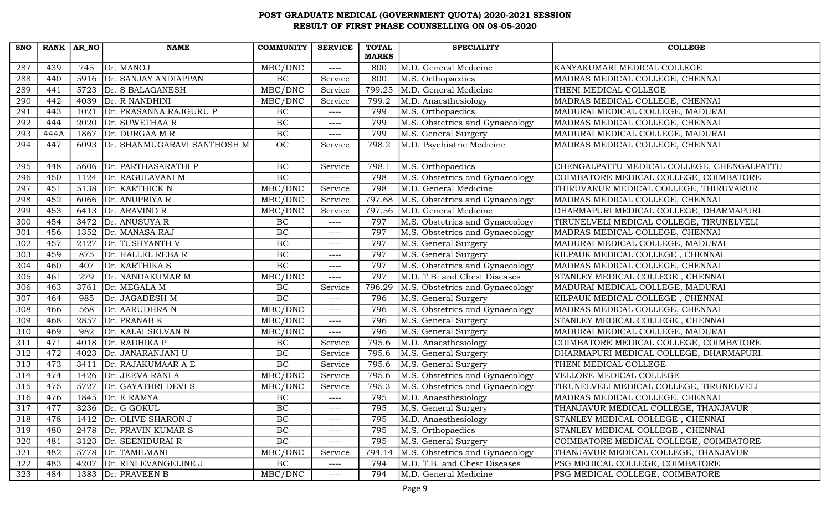| <b>SNO</b> |      | $RANK   AR_N$ | <b>NAME</b>                      | <b>COMMUNITY</b> | <b>SERVICE</b> | <b>TOTAL</b> | <b>SPECIALITY</b>               | <b>COLLEGE</b>                             |
|------------|------|---------------|----------------------------------|------------------|----------------|--------------|---------------------------------|--------------------------------------------|
|            |      |               |                                  |                  |                | <b>MARKS</b> |                                 |                                            |
| 287        | 439  | 745           | Dr. MANOJ                        | MBC/DNC          | $---$          | 800          | M.D. General Medicine           | KANYAKUMARI MEDICAL COLLEGE                |
| 288        | 440  | 5916          | Dr. SANJAY ANDIAPPAN             | BC               | Service        | 800          | M.S. Orthopaedics               | MADRAS MEDICAL COLLEGE, CHENNAI            |
| 289        | 441  |               | 5723 Dr. S BALAGANESH            | MBC/DNC          | Service        | 799.25       | M.D. General Medicine           | THENI MEDICAL COLLEGE                      |
| 290        | 442  | 4039          | Dr. R NANDHINI                   | MBC/DNC          | Service        | 799.2        | M.D. Anaesthesiology            | MADRAS MEDICAL COLLEGE, CHENNAI            |
| 291        | 443  | 1021          | Dr. PRASANNA RAJGURU P           | BC               | $---$          | 799          | M.S. Orthopaedics               | MADURAI MEDICAL COLLEGE, MADURAI           |
| 292        | 444  | 2020          | Dr. SUWETHAA R                   | $\rm BC$         | $---$          | 799          | M.S. Obstetrics and Gynaecology | MADRAS MEDICAL COLLEGE, CHENNAI            |
| 293        | 444A | 1867          | Dr. DURGAA M R                   | BC               | $--- -$        | 799          | M.S. General Surgery            | MADURAI MEDICAL COLLEGE, MADURAI           |
| 294        | 447  |               | 6093 Dr. SHANMUGARAVI SANTHOSH M | OC               | Service        | 798.2        | M.D. Psychiatric Medicine       | MADRAS MEDICAL COLLEGE, CHENNAI            |
| 295        | 448  | 5606          | Dr. PARTHASARATHI P              | BC               | Service        | 798.1        | M.S. Orthopaedics               | CHENGALPATTU MEDICAL COLLEGE, CHENGALPATTU |
| 296        | 450  | 1124          | Dr. RAGULAVANI M                 | BC               | $---$          | 798          | M.S. Obstetrics and Gynaecology | COIMBATORE MEDICAL COLLEGE, COIMBATORE     |
| 297        | 451  |               | 5138   Dr. KARTHICK N            | MBC/DNC          | Service        | 798          | M.D. General Medicine           | THIRUVARUR MEDICAL COLLEGE, THIRUVARUR     |
| 298        | 452  |               | 6066 Dr. ANUPRIYA R              | MBC/DNC          | Service        | 797.68       | M.S. Obstetrics and Gynaecology | MADRAS MEDICAL COLLEGE, CHENNAI            |
| 299        | 453  | 6413          | Dr. ARAVIND R                    | MBC/DNC          | Service        | 797.56       | M.D. General Medicine           | DHARMAPURI MEDICAL COLLEGE, DHARMAPURI.    |
| 300        | 454  | 3472          | Dr. ANUSUYA R                    | BC               | $---$          | 797          | M.S. Obstetrics and Gynaecology | TIRUNELVELI MEDICAL COLLEGE, TIRUNELVELI   |
| 301        | 456  | 1352          | Dr. MANASA RAJ                   | BC               | $--- -$        | 797          | M.S. Obstetrics and Gynaecology | MADRAS MEDICAL COLLEGE, CHENNAI            |
| 302        | 457  |               | 2127 Dr. TUSHYANTH V             | $\rm BC$         | $--- -$        | 797          | M.S. General Surgery            | MADURAI MEDICAL COLLEGE, MADURAI           |
| 303        | 459  | 875           | Dr. HALLEL REBA R                | $\overline{BC}$  | ----           | 797          | M.S. General Surgery            | KILPAUK MEDICAL COLLEGE, CHENNAI           |
| 304        | 460  | 407           | Dr. KARTHIKA S                   | $\rm BC$         | $---$          | 797          | M.S. Obstetrics and Gynaecology | MADRAS MEDICAL COLLEGE, CHENNAI            |
| 305        | 461  | 279           | Dr. NANDAKUMAR M                 | MBC/DNC          | $--- -$        | 797          | M.D. T.B. and Chest Diseases    | STANLEY MEDICAL COLLEGE, CHENNAI           |
| 306        | 463  | 3761          | Dr. MEGALA M                     | $\rm BC$         | Service        | 796.29       | M.S. Obstetrics and Gynaecology | MADURAI MEDICAL COLLEGE, MADURAI           |
| 307        | 464  | 985           | Dr. JAGADESH M                   | $\overline{BC}$  | $--- -$        | 796          | M.S. General Surgery            | KILPAUK MEDICAL COLLEGE, CHENNAI           |
| 308        | 466  | 568           | Dr. AARUDHRA N                   | MBC/DNC          | $--- - -$      | 796          | M.S. Obstetrics and Gynaecology | MADRAS MEDICAL COLLEGE, CHENNAI            |
| 309        | 468  | 2857          | Dr. PRANAB K                     | MBC/DNC          | $--- -$        | 796          | M.S. General Surgery            | STANLEY MEDICAL COLLEGE, CHENNAI           |
| 310        | 469  | 982           | Dr. KALAI SELVAN N               | MBC/DNC          | $--- -$        | 796          | M.S. General Surgery            | MADURAI MEDICAL COLLEGE, MADURAI           |
| 311        | 471  |               | 4018 Dr. RADHIKA P               | $\rm BC$         | Service        | 795.6        | M.D. Anaesthesiology            | COIMBATORE MEDICAL COLLEGE, COIMBATORE     |
| 312        | 472  | 4023          | Dr. JANARANJANI U                | $\rm BC$         | Service        | 795.6        | M.S. General Surgery            | DHARMAPURI MEDICAL COLLEGE, DHARMAPURI     |
| 313        | 473  | 3411          | Dr. RAJAKUMAAR A E               | $\rm BC$         | Service        | 795.6        | M.S. General Surgery            | THENI MEDICAL COLLEGE                      |
| 314        | 474  | 1426          | Dr. JEEVA RANI A                 | MBC/DNC          | Service        | 795.6        | M.S. Obstetrics and Gynaecology | VELLORE MEDICAL COLLEGE                    |
| 315        | 475  | 5727          | Dr. GAYATHRI DEVI S              | MBC/DNC          | Service        | 795.3        | M.S. Obstetrics and Gynaecology | TIRUNELVELI MEDICAL COLLEGE, TIRUNELVELI   |
| 316        | 476  |               | 1845 $\vert$ Dr. E RAMYA         | $\rm BC$         | $---$          | 795          | M.D. Anaesthesiology            | MADRAS MEDICAL COLLEGE, CHENNAI            |
| 317        | 477  |               | $3236$ Dr. G GOKUL               | BC               | $--- - -$      | 795          | M.S. General Surgery            | THANJAVUR MEDICAL COLLEGE, THANJAVUR       |
| 318        | 478  | 1412          | Dr. OLIVE SHARON J               | $\rm BC$         | $--- -$        | 795          | M.D. Anaesthesiology            | STANLEY MEDICAL COLLEGE, CHENNAI           |
| 319        | 480  |               | 2478 Dr. PRAVIN KUMAR S          | $\rm BC$         | $--- -$        | 795          | M.S. Orthopaedics               | STANLEY MEDICAL COLLEGE, CHENNAI           |
| 320        | 481  |               | 3123 Dr. SEENIDURAI R            | BC               | $--- -$        | 795          | M.S. General Surgery            | COIMBATORE MEDICAL COLLEGE, COIMBATORE     |
| 321        | 482  | 5778          | Dr. TAMILMANI                    | MBC/DNC          | Service        | 794.14       | M.S. Obstetrics and Gynaecology | THANJAVUR MEDICAL COLLEGE, THANJAVUR       |
| 322        | 483  | 4207          | Dr. RINI EVANGELINE J            | $\rm BC$         | $---$          | 794          | M.D. T.B. and Chest Diseases    | PSG MEDICAL COLLEGE, COIMBATORE            |
| 323        | 484  |               | 1383 Dr. PRAVEEN B               | MBC/DNC          | $--- -$        | 794          | M.D. General Medicine           | PSG MEDICAL COLLEGE, COIMBATORE            |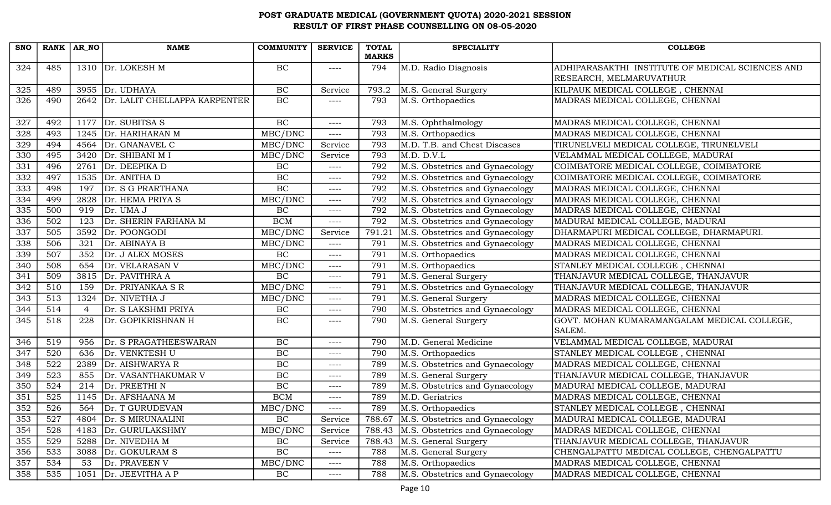| <b>SNO</b> |     | RANK $AR_N$ | <b>NAME</b>                   | COMMUNITY                    | <b>SERVICE</b> | <b>TOTAL</b><br><b>MARKS</b> | <b>SPECIALITY</b>                        | <b>COLLEGE</b>                                        |
|------------|-----|-------------|-------------------------------|------------------------------|----------------|------------------------------|------------------------------------------|-------------------------------------------------------|
| 324        | 485 |             | 1310 $\vert$ Dr. LOKESH M     | BC                           | $---$          | 794                          | M.D. Radio Diagnosis                     | ADHIPARASAKTHI INSTITUTE OF MEDICAL SCIENCES AND      |
|            |     |             |                               |                              |                |                              |                                          | RESEARCH, MELMARUVATHUR                               |
| 325        | 489 |             | 3955 Dr. UDHAYA               | $\rm BC$                     | Service        | 793.2                        | M.S. General Surgery                     | KILPAUK MEDICAL COLLEGE, CHENNAI                      |
| 326        | 490 | 2642        | Dr. LALIT CHELLAPPA KARPENTER | BC                           | ----           | 793                          | M.S. Orthopaedics                        | MADRAS MEDICAL COLLEGE, CHENNAI                       |
| 327        | 492 |             | $1177$ Dr. SUBITSA S          | BC                           | $--- -$        | 793                          | M.S. Ophthalmology                       | MADRAS MEDICAL COLLEGE, CHENNAI                       |
| 328        | 493 |             | 1245 Dr. HARIHARAN M          | MBC/DNC                      | ----           | 793                          | M.S. Orthopaedics                        | MADRAS MEDICAL COLLEGE, CHENNAI                       |
| 329        | 494 |             | 4564 Dr. GNANAVEL C           | MBC/DNC                      | Service        | 793                          | M.D. T.B. and Chest Diseases             | TIRUNELVELI MEDICAL COLLEGE, TIRUNELVELI              |
| 330        | 495 | 3420        | Dr. SHIBANI M I               | MBC/DNC                      | Service        | 793                          | M.D. D.V.L                               | VELAMMAL MEDICAL COLLEGE, MADURAI                     |
| 331        | 496 | 2761        | Dr. DEEPIKA D                 | BC                           | $--- -$        | 792                          | M.S. Obstetrics and Gynaecology          | COIMBATORE MEDICAL COLLEGE, COIMBATORE                |
| 332        | 497 | 1535        | Dr. ANITHA D                  | $\overline{BC}$              | $--- -$        | 792                          | M.S. Obstetrics and Gynaecology          | COIMBATORE MEDICAL COLLEGE, COIMBATORE                |
| 333        | 498 | 197         | Dr. S G PRARTHANA             | BC                           | $--- -$        | 792                          | M.S. Obstetrics and Gynaecology          | MADRAS MEDICAL COLLEGE, CHENNAI                       |
| 334        | 499 | 2828        | Dr. HEMA PRIYA S              | MBC/DNC                      | $--- -$        | 792                          | M.S. Obstetrics and Gynaecology          | MADRAS MEDICAL COLLEGE, CHENNAI                       |
| 335        | 500 | 919         | Dr. UMA J                     | BC                           | $--- -$        | 792                          | M.S. Obstetrics and Gynaecology          | MADRAS MEDICAL COLLEGE, CHENNAI                       |
| 336        | 502 | 123         | Dr. SHERIN FARHANA M          | <b>BCM</b>                   | $--- -$        | 792                          | M.S. Obstetrics and Gynaecology          | MADURAI MEDICAL COLLEGE, MADURAI                      |
| 337        | 505 | 3592        | Dr. POONGODI                  | MBC/DNC                      | Service        | 791.21                       | M.S. Obstetrics and Gynaecology          | DHARMAPURI MEDICAL COLLEGE, DHARMAPURI.               |
| 338        | 506 | 321         | Dr. ABINAYA B                 | MBC/DNC                      | $--- - -$      | 791                          | M.S. Obstetrics and Gynaecology          | MADRAS MEDICAL COLLEGE, CHENNAI                       |
| 339        | 507 | 352         | Dr. J ALEX MOSES              | BC                           | $--- - -$      | 791                          | M.S. Orthopaedics                        | MADRAS MEDICAL COLLEGE, CHENNAI                       |
| 340        | 508 | 654         | Dr. VELARASAN V               | MBC/DNC                      | $--- -$        | 791                          | M.S. Orthopaedics                        | STANLEY MEDICAL COLLEGE, CHENNAI                      |
| 341        | 509 | 3815        | Dr. PAVITHRA A                | BC                           | $--- -$        | 791                          | M.S. General Surgery                     | THANJAVUR MEDICAL COLLEGE, THANJAVUR                  |
| 342        | 510 | 159         | Dr. PRIYANKAA S R             | $\overline{\text{MBC}}$ /DNC | $--- - -$      | 791                          | M.S. Obstetrics and Gynaecology          | THANJAVUR MEDICAL COLLEGE, THANJAVUR                  |
| 343        | 513 | 1324        | Dr. NIVETHA J                 | MBC/DNC                      | $--- -$        | 791                          | M.S. General Surgery                     | MADRAS MEDICAL COLLEGE, CHENNAI                       |
| 344        | 514 | 4           | Dr. S LAKSHMI PRIYA           | BC                           | $--- - -$      | 790                          | M.S. Obstetrics and Gynaecology          | MADRAS MEDICAL COLLEGE, CHENNAI                       |
| 345        | 518 | 228         | Dr. GOPIKRISHNAN H            | BC                           | $--- - -$      | 790                          | M.S. General Surgery                     | GOVT. MOHAN KUMARAMANGALAM MEDICAL COLLEGE,<br>SALEM. |
| 346        | 519 | 956         | Dr. S PRAGATHEESWARAN         | $\rm BC$                     | $--- -$        | 790                          | M.D. General Medicine                    | VELAMMAL MEDICAL COLLEGE, MADURAI                     |
| 347        | 520 | 636         | Dr. VENKTESH U                | BC                           | $--- - -$      | 790                          | M.S. Orthopaedics                        | STANLEY MEDICAL COLLEGE, CHENNAI                      |
| 348        | 522 | 2389        | Dr. AISHWARYA R               | BC                           | $--- -$        | 789                          | M.S. Obstetrics and Gynaecology          | MADRAS MEDICAL COLLEGE, CHENNAI                       |
| 349        | 523 | 855         | Dr. VASANTHAKUMAR V           | $\overline{BC}$              | $--- -$        | 789                          | M.S. General Surgery                     | THANJAVUR MEDICAL COLLEGE, THANJAVUR                  |
| 350        | 524 | 214         | Dr. PREETHI N                 | BC                           | $--- -$        | 789                          | M.S. Obstetrics and Gynaecology          | MADURAI MEDICAL COLLEGE, MADURAI                      |
| 351        | 525 | 1145        | Dr. AFSHAANA M                | <b>BCM</b>                   | $--- - -$      | 789                          | M.D. Geriatrics                          | MADRAS MEDICAL COLLEGE, CHENNAI                       |
| 352        | 526 | 564         | Dr. T GURUDEVAN               | MBC/DNC                      | $--- -$        | 789                          | M.S. Orthopaedics                        | STANLEY MEDICAL COLLEGE, CHENNAI                      |
| 353        | 527 | 4804        | Dr. S MIRUNAALINI             | $\rm BC$                     | Service        |                              | 788.67   M.S. Obstetrics and Gynaecology | MADURAI MEDICAL COLLEGE, MADURAI                      |
| 354        | 528 | 4183        | Dr. GURULAKSHMY               | MBC/DNC                      | Service        | 788.43                       | M.S. Obstetrics and Gynaecology          | MADRAS MEDICAL COLLEGE, CHENNAI                       |
| 355        | 529 |             | 5288 Dr. NIVEDHA M            | BC                           | Service        | 788.43                       | M.S. General Surgery                     | THANJAVUR MEDICAL COLLEGE, THANJAVUR                  |
| 356        | 533 | 3088        | Dr. GOKULRAM S                | $\rm BC$                     | $--- - -$      | 788                          | M.S. General Surgery                     | CHENGALPATTU MEDICAL COLLEGE, CHENGALPATTU            |
| 357        | 534 | 53          | Dr. PRAVEEN V                 | MBC/DNC                      | $--- -$        | 788                          | M.S. Orthopaedics                        | MADRAS MEDICAL COLLEGE, CHENNAI                       |
| 358        | 535 | 1051        | Dr. JEEVITHA A P              | BC                           | $--- -$        | 788                          | M.S. Obstetrics and Gynaecology          | MADRAS MEDICAL COLLEGE, CHENNAI                       |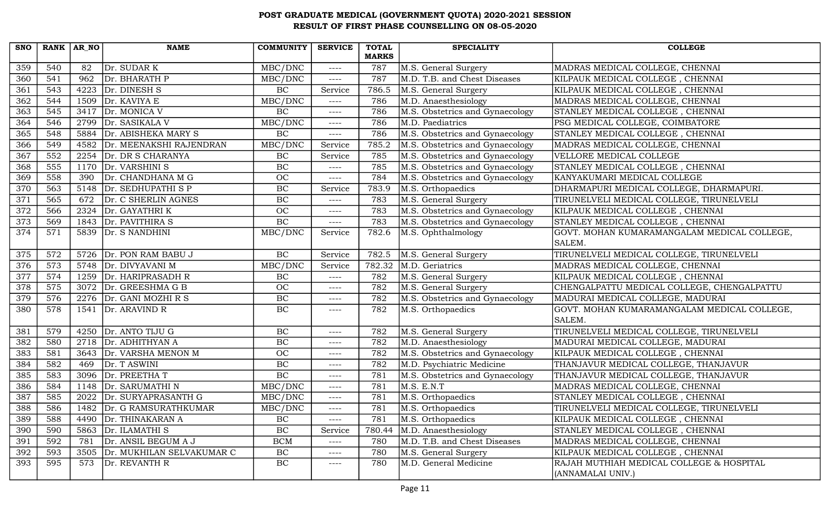| <b>SNO</b> | $RANK   AR_NO$ |      | <b>NAME</b>                 | <b>COMMUNITY</b> | <b>SERVICE</b> | <b>TOTAL</b> | <b>SPECIALITY</b>               | <b>COLLEGE</b>                                                |
|------------|----------------|------|-----------------------------|------------------|----------------|--------------|---------------------------------|---------------------------------------------------------------|
|            |                |      |                             |                  |                | <b>MARKS</b> |                                 |                                                               |
| 359        | 540            | 82   | Dr. SUDAR K                 | MBC/DNC          | $---$          | 787<br>787   | M.S. General Surgery            | MADRAS MEDICAL COLLEGE, CHENNAI                               |
| 360        | 541            | 962  | Dr. BHARATH P               | MBC/DNC          | $---$          |              | M.D. T.B. and Chest Diseases    | KILPAUK MEDICAL COLLEGE, CHENNAI                              |
| 361        | 543            |      | 4223 $Dr. DINESH S$         | BC               | Service        | 786.5        | M.S. General Surgery            | KILPAUK MEDICAL COLLEGE, CHENNAI                              |
| 362        | 544            | 1509 | Dr. KAVIYA E                | MBC/DNC          | $--- -$        | 786          | M.D. Anaesthesiology            | MADRAS MEDICAL COLLEGE, CHENNAI                               |
| 363        | 545            | 3417 | Dr. MONICA V                | BC               | $---$          | 786          | M.S. Obstetrics and Gynaecology | STANLEY MEDICAL COLLEGE, CHENNAI                              |
| 364        | 546            | 2799 | Dr. SASIKALA V              | MBC/DNC          | $---$          | 786          | M.D. Paediatrics                | PSG MEDICAL COLLEGE, COIMBATORE                               |
| 365        | 548            | 5884 | Dr. ABISHEKA MARY S         | BC               | $---$          | 786          | M.S. Obstetrics and Gynaecology | STANLEY MEDICAL COLLEGE, CHENNAI                              |
| 366        | 549            | 4582 | Dr. MEENAKSHI RAJENDRAN     | MBC/DNC          | Service        | 785.2        | M.S. Obstetrics and Gynaecology | MADRAS MEDICAL COLLEGE, CHENNAI                               |
| 367        | 552            | 2254 | Dr. DR S CHARANYA           | $\rm BC$         | Service        | 785          | M.S. Obstetrics and Gynaecology | VELLORE MEDICAL COLLEGE                                       |
| 368        | 555            | 1170 | Dr. VARSHINI S              | $\rm BC$         | $--- -$        | 785          | M.S. Obstetrics and Gynaecology | STANLEY MEDICAL COLLEGE, CHENNAI                              |
| 369        | 558            | 390  | Dr. CHANDHANA M G           | OC               | $--- -$        | 784          | M.S. Obstetrics and Gynaecology | KANYAKUMARI MEDICAL COLLEGE                                   |
| 370        | 563            |      | 5148 Dr. SEDHUPATHI S P     | BC               | Service        | 783.9        | M.S. Orthopaedics               | DHARMAPURI MEDICAL COLLEGE, DHARMAPURI.                       |
| 371        | 565            | 672  | Dr. C SHERLIN AGNES         | BC               | $- - - -$      | 783          | M.S. General Surgery            | TIRUNELVELI MEDICAL COLLEGE, TIRUNELVELI                      |
| 372        | 566            | 2324 | Dr. GAYATHRI K              | OC               | $---$          | 783          | M.S. Obstetrics and Gynaecology | KILPAUK MEDICAL COLLEGE, CHENNAI                              |
| 373        | 569            | 1843 | Dr. PAVITHIRA S             | BC               | $---$          | 783          | M.S. Obstetrics and Gynaecology | STANLEY MEDICAL COLLEGE, CHENNAI                              |
| 374        | 571            | 5839 | Dr. S NANDHINI              | MBC/DNC          | Service        | 782.6        | M.S. Ophthalmology              | GOVT. MOHAN KUMARAMANGALAM MEDICAL COLLEGE,<br>SALEM.         |
| 375        | 572            | 5726 | Dr. PON RAM BABU J          | BC               | Service        | 782.5        | M.S. General Surgery            | TIRUNELVELI MEDICAL COLLEGE, TIRUNELVELI                      |
| 376        | 573            | 5748 | Dr. DIVYAVANI M             | MBC/DNC          | Service        | 782.32       | M.D. Geriatrics                 | MADRAS MEDICAL COLLEGE, CHENNAI                               |
| 377        | 574            | 1259 | Dr. HARIPRASADH R           | $\rm BC$         | $--- -$        | 782          | M.S. General Surgery            | KILPAUK MEDICAL COLLEGE, CHENNAI                              |
| 378        | 575            |      | 3072 Dr. GREESHMA G B       | OC               | $---$          | 782          | M.S. General Surgery            | CHENGALPATTU MEDICAL COLLEGE, CHENGALPATTU                    |
| 379        | 576            |      | 2276 $Dr. GANI MOZHI R S$   | $\overline{BC}$  | $--- -$        | 782          | M.S. Obstetrics and Gynaecology | MADURAI MEDICAL COLLEGE, MADURAI                              |
| 380        | 578            | 1541 | Dr. ARAVIND R               | BC               | $---$          | 782          | M.S. Orthopaedics               | GOVT. MOHAN KUMARAMANGALAM MEDICAL COLLEGE,<br>SALEM.         |
| 381        | 579            | 4250 | Dr. ANTO TIJU G             | $\rm BC$         | $---$          | 782          | M.S. General Surgery            | TIRUNELVELI MEDICAL COLLEGE, TIRUNELVELI                      |
| 382        | 580            |      | 2718 Dr. ADHITHYAN A        | BC               | $---$          | 782          | M.D. Anaesthesiology            | MADURAI MEDICAL COLLEGE, MADURAI                              |
| 383        | 581            | 3643 | Dr. VARSHA MENON M          | OC               | $---$          | 782          | M.S. Obstetrics and Gynaecology | KILPAUK MEDICAL COLLEGE, CHENNAI                              |
| 384        | 582            | 469  | Dr. T ASWINI                | $\rm BC$         | $---$          | 782          | M.D. Psychiatric Medicine       | THANJAVUR MEDICAL COLLEGE, THANJAVUR                          |
| 385        | 583            | 3096 | Dr. PREETHAT                | $\overline{BC}$  | $--- -$        | 781          | M.S. Obstetrics and Gynaecology | THANJAVUR MEDICAL COLLEGE, THANJAVUR                          |
| 386        | 584            |      | 1148 Dr. SARUMATHI N        | MBC/DNC          | $---$          | 781          | M.S. E.N.T                      | MADRAS MEDICAL COLLEGE, CHENNAI                               |
| 387        | 585            | 2022 | Dr. SURYAPRASANTH G         | MBC/DNC          | $--- -$        | 781          | M.S. Orthopaedics               | STANLEY MEDICAL COLLEGE, CHENNAI                              |
| 388        | 586            |      | 1482   Dr. G RAMSURATHKUMAR | MBC/DNC          | $---$          | 781          | M.S. Orthopaedics               | TIRUNELVELI MEDICAL COLLEGE, TIRUNELVELI                      |
| 389        | 588            | 4490 | Dr. THINAKARAN A            | $\rm BC$         | $---$          | 781          | M.S. Orthopaedics               | KILPAUK MEDICAL COLLEGE, CHENNAI                              |
| 390        | 590            | 5863 | Dr. ILAMATHI S              | BC               | Service        | 780.44       | M.D. Anaesthesiology            | STANLEY MEDICAL COLLEGE, CHENNAI                              |
| 391        | 592            | 781  | Dr. ANSIL BEGUM A J         | <b>BCM</b>       | $--- -$        | 780          | M.D. T.B. and Chest Diseases    | MADRAS MEDICAL COLLEGE, CHENNAI                               |
| 392        | 593            | 3505 | Dr. MUKHILAN SELVAKUMAR C   | BC               | $--- -$        | 780          | M.S. General Surgery            | KILPAUK MEDICAL COLLEGE, CHENNAI                              |
| 393        | 595            | 573  | Dr. REVANTH R               | BC               | $---$          | 780          | M.D. General Medicine           | RAJAH MUTHIAH MEDICAL COLLEGE & HOSPITAL<br>(ANNAMALAI UNIV.) |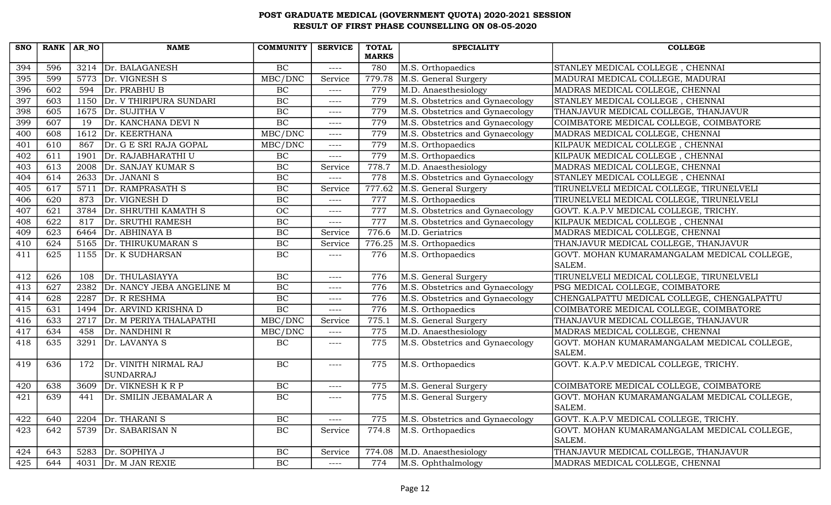| <b>SNO</b> | RANK AR NO |                   | <b>NAME</b>               | <b>COMMUNITY</b> | <b>SERVICE</b>        | <b>TOTAL</b><br><b>MARKS</b> | <b>SPECIALITY</b>               | <b>COLLEGE</b>                                        |
|------------|------------|-------------------|---------------------------|------------------|-----------------------|------------------------------|---------------------------------|-------------------------------------------------------|
| 394        | 596        | 3214              | Dr. BALAGANESH            | BC               | $\frac{1}{2}$         | 780                          | M.S. Orthopaedics               | STANLEY MEDICAL COLLEGE, CHENNAI                      |
| 395        | 599        | 5773              | Dr. VIGNESH S             | MBC/DNC          | Service               | 779.78                       | M.S. General Surgery            | MADURAI MEDICAL COLLEGE, MADURAI                      |
| 396        | 602        | 594               | Dr. PRABHU B              | <b>BC</b>        | $---$                 | 779                          | M.D. Anaesthesiology            | MADRAS MEDICAL COLLEGE, CHENNAI                       |
| 397        | 603        | 1150              | Dr. V THIRIPURA SUNDARI   | BC               | $--- -$               | 779                          | M.S. Obstetrics and Gynaecology | STANLEY MEDICAL COLLEGE, CHENNAI                      |
| 398        | 605        | 1675              | Dr. SUJITHA V             | BC               | $--- -$               | 779                          | M.S. Obstetrics and Gynaecology | THANJAVUR MEDICAL COLLEGE, THANJAVUR                  |
| 399        | 607        | 19                | Dr. KANCHANA DEVI N       | BC               | $- - - -$             | 779                          | M.S. Obstetrics and Gynaecology | COIMBATORE MEDICAL COLLEGE, COIMBATORE                |
| 400        | 608        | 1612              | Dr. KEERTHANA             | MBC/DNC          | $--- -$               | 779                          | M.S. Obstetrics and Gynaecology | MADRAS MEDICAL COLLEGE, CHENNAI                       |
| 401        | 610        | 867               | Dr. G E SRI RAJA GOPAL    | MBC/DNC          | $--- -$               | 779                          | M.S. Orthopaedics               | KILPAUK MEDICAL COLLEGE, CHENNAI                      |
| 402        | 611        | 1901              | Dr. RAJABHARATHI U        | $\rm BC$         | $--- -$               | 779                          | M.S. Orthopaedics               | KILPAUK MEDICAL COLLEGE, CHENNAI                      |
| 403        | 613        | 2008              | Dr. SANJAY KUMAR S        | BC               | Service               | 778.7                        | M.D. Anaesthesiology            | MADRAS MEDICAL COLLEGE, CHENNAI                       |
| 404        | 614        | 2633              | Dr. JANANI S              | BC               | $---$                 | 778                          | M.S. Obstetrics and Gynaecology | STANLEY MEDICAL COLLEGE, CHENNAI                      |
| 405        | 617        | 5711              | Dr. RAMPRASATH S          | $\overline{BC}$  | Service               | 777.62                       | M.S. General Surgery            | TIRUNELVELI MEDICAL COLLEGE, TIRUNELVELI              |
| 406        | 620        | 873               | Dr. VIGNESH D             | BC               | $---$                 | 777                          | M.S. Orthopaedics               | TIRUNELVELI MEDICAL COLLEGE, TIRUNELVELI              |
| 407        | 621        | 3784              | Dr. SHRUTHI KAMATH S      | $\overline{OC}$  | $--- -$               | 777                          | M.S. Obstetrics and Gynaecology | GOVT. K.A.P.V MEDICAL COLLEGE, TRICHY.                |
| 408        | 622        | 817               | Dr. SRUTHI RAMESH         | BC               | $--- -$               | 777                          | M.S. Obstetrics and Gynaecology | KILPAUK MEDICAL COLLEGE, CHENNAI                      |
| 409        | 623        | 6464              | Dr. ABHINAYA B            | $\overline{BC}$  | Service               | 776.6                        | M.D. Geriatrics                 | MADRAS MEDICAL COLLEGE, CHENNAI                       |
| 410        | 624        | 5165              | Dr. THIRUKUMARAN S        | BC               | Service               | 776.25                       | M.S. Orthopaedics               | THANJAVUR MEDICAL COLLEGE, THANJAVUR                  |
| 411        | 625        | 1155              | Dr. K SUDHARSAN           | $\overline{BC}$  | $--- -$               | 776                          | M.S. Orthopaedics               | GOVT. MOHAN KUMARAMANGALAM MEDICAL COLLEGE,           |
|            |            |                   |                           |                  |                       |                              |                                 | SALEM.                                                |
| 412        | 626        | 108               | Dr. THULASIAYYA           | $\overline{BC}$  | $--- -$               | 776                          | M.S. General Surgery            | TIRUNELVELI MEDICAL COLLEGE, TIRUNELVELI              |
| 413        | 627        | 2382              | Dr. NANCY JEBA ANGELINE M | BC               | $--- -$               | 776                          | M.S. Obstetrics and Gynaecology | PSG MEDICAL COLLEGE, COIMBATORE                       |
| 414        | 628        | 2287              | Dr. R RESHMA              | $\overline{BC}$  | $--- -$               | 776                          | M.S. Obstetrics and Gynaecology | CHENGALPATTU MEDICAL COLLEGE, CHENGALPATTU            |
| 415        | 631        | 1494              | Dr. ARVIND KRISHNA D      | $\overline{BC}$  | $--- -$               | 776                          | M.S. Orthopaedics               | COIMBATORE MEDICAL COLLEGE, COIMBATORE                |
| 416        | 633        | $\overline{2717}$ | Dr. M PERIYA THALAPATHI   | MBC/DNC          | Service               | 775.1                        | M.S. General Surgery            | THANJAVUR MEDICAL COLLEGE, THANJAVUR                  |
| 417        | 634        | 458               | Dr. NANDHINI R            | MBC/DNC          | $--- -$               | 775                          | M.D. Anaesthesiology            | MADRAS MEDICAL COLLEGE, CHENNAI                       |
| 418        | 635        | 3291              | Dr. LAVANYA S             | BC               | $--- -$               | 775                          | M.S. Obstetrics and Gynaecology | GOVT. MOHAN KUMARAMANGALAM MEDICAL COLLEGE,           |
|            |            |                   |                           |                  |                       |                              |                                 | SALEM.                                                |
| 419        | 636        | 172               | Dr. VINITH NIRMAL RAJ     | BC               | $--- -$               | 775                          | M.S. Orthopaedics               | GOVT. K.A.P.V MEDICAL COLLEGE, TRICHY.                |
|            |            |                   | SUNDARRAJ                 |                  |                       |                              |                                 |                                                       |
| 420        | 638        | 3609              | Dr. VIKNESH K R P         | BC               | $--- -$               | 775                          | M.S. General Surgery            | COIMBATORE MEDICAL COLLEGE, COIMBATORE                |
| 421        | 639        | 441               | Dr. SMILIN JEBAMALAR A    | $\overline{BC}$  | $--- -$               | 775                          | M.S. General Surgery            | GOVT. MOHAN KUMARAMANGALAM MEDICAL COLLEGE,           |
|            |            |                   |                           |                  |                       |                              |                                 | SALEM.                                                |
| 422        | 640        | 2204              | Dr. THARANI S             | <b>BC</b>        | $---$                 | 775                          | M.S. Obstetrics and Gynaecology | GOVT. K.A.P.V MEDICAL COLLEGE, TRICHY.                |
| 423        | 642        | 5739              | Dr. SABARISAN N           | $\overline{BC}$  | Service               | 774.8                        | M.S. Orthopaedics               | GOVT. MOHAN KUMARAMANGALAM MEDICAL COLLEGE,<br>SALEM. |
|            | 643        | 5283              | Dr. SOPHIYA J             | $\rm BC$         |                       | 774.08                       |                                 | THANJAVUR MEDICAL COLLEGE, THANJAVUR                  |
| 424        |            |                   |                           | BC               | Service               |                              | M.D. Anaesthesiology            |                                                       |
| 425        | 644        | 4031              | Dr. M JAN REXIE           |                  | $\qquad \qquad - - -$ | 774                          | M.S. Ophthalmology              | MADRAS MEDICAL COLLEGE, CHENNAI                       |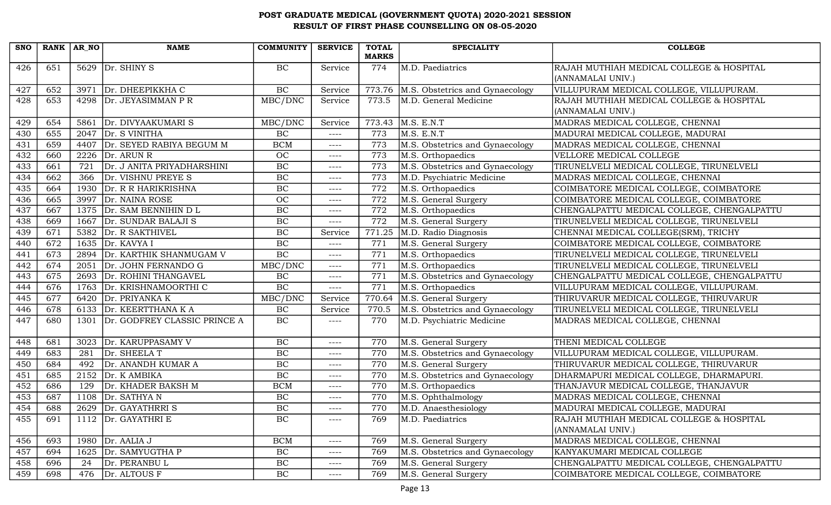| <b>SNO</b> | RANK AR NO |      | <b>NAME</b>                   | <b>COMMUNITY</b> | <b>SERVICE</b> | <b>TOTAL</b> | <b>SPECIALITY</b>               | <b>COLLEGE</b>                             |
|------------|------------|------|-------------------------------|------------------|----------------|--------------|---------------------------------|--------------------------------------------|
|            |            |      |                               |                  |                | <b>MARKS</b> |                                 |                                            |
| 426        | 651        |      | $5629$ Dr. SHINY S            | $\rm BC$         | Service        | 774          | M.D. Paediatrics                | RAJAH MUTHIAH MEDICAL COLLEGE & HOSPITAL   |
|            |            |      |                               |                  |                |              |                                 | (ANNAMALAI UNIV.)                          |
| 427        | 652        | 3971 | Dr. DHEEPIKKHA C              | $\rm BC$         | Service        | 773.76       | M.S. Obstetrics and Gynaecology | VILLUPURAM MEDICAL COLLEGE, VILLUPURAM.    |
| 428        | 653        | 4298 | Dr. JEYASIMMAN P R            | MBC/DNC          | Service        | 773.5        | M.D. General Medicine           | RAJAH MUTHIAH MEDICAL COLLEGE & HOSPITAL   |
|            |            |      |                               |                  |                |              |                                 | (ANNAMALAI UNIV.)                          |
| 429        | 654        | 5861 | Dr. DIVYAAKUMARI S            | MBC/DNC          | Service        | 773.43       | M.S. E.N.T                      | MADRAS MEDICAL COLLEGE, CHENNAI            |
| 430        | 655        | 2047 | Dr. S VINITHA                 | BC               | $--- -$        | 773          | M.S. E.N.T                      | MADURAI MEDICAL COLLEGE, MADURAI           |
| 431        | 659        |      | 4407 Dr. SEYED RABIYA BEGUM M | <b>BCM</b>       | $--- -$        | 773          | M.S. Obstetrics and Gynaecology | MADRAS MEDICAL COLLEGE, CHENNAI            |
| 432        | 660        | 2226 | Dr. ARUN R                    | OC               | ----           | 773          | M.S. Orthopaedics               | VELLORE MEDICAL COLLEGE                    |
| 433        | 661        | 721  | Dr. J ANITA PRIYADHARSHINI    | $\rm BC$         | $--- -$        | 773          | M.S. Obstetrics and Gynaecology | TIRUNELVELI MEDICAL COLLEGE, TIRUNELVELI   |
| 434        | 662        | 366  | Dr. VISHNU PREYE S            | BC               | ----           | 773          | M.D. Psychiatric Medicine       | MADRAS MEDICAL COLLEGE, CHENNAI            |
| 435        | 664        | 1930 | Dr. R R HARIKRISHNA           | $\rm BC$         | $--- -$        | 772          | M.S. Orthopaedics               | COIMBATORE MEDICAL COLLEGE, COIMBATORE     |
| 436        | 665        | 3997 | Dr. NAINA ROSE                | <b>OC</b>        | $--- -$        | 772          | M.S. General Surgery            | COIMBATORE MEDICAL COLLEGE, COIMBATORE     |
| 437        | 667        | 1375 | Dr. SAM BENNIHIN D L          | BC               | $--- -$        | 772          | M.S. Orthopaedics               | CHENGALPATTU MEDICAL COLLEGE, CHENGALPATTU |
| 438        | 669        | 1667 | Dr. SUNDAR BALAJI S           | $\rm BC$         | $--- -$        | 772          | M.S. General Surgery            | TIRUNELVELI MEDICAL COLLEGE, TIRUNELVELI   |
| 439        | 671        | 5382 | Dr. R SAKTHIVEL               | BC               | Service        | 771.25       | M.D. Radio Diagnosis            | CHENNAI MEDICAL COLLEGE(SRM), TRICHY       |
| 440        | 672        |      | 1635 Dr. KAVYA I              | BC               | $--- -$        | 771          | M.S. General Surgery            | COIMBATORE MEDICAL COLLEGE, COIMBATORE     |
| 441        | 673        | 2894 | Dr. KARTHIK SHANMUGAM V       | BC               | $--- -$        | 771          | M.S. Orthopaedics               | TIRUNELVELI MEDICAL COLLEGE, TIRUNELVELI   |
| 442        | 674        | 2051 | Dr. JOHN FERNANDO G           | MBC/DNC          | $--- -$        | 771          | M.S. Orthopaedics               | TIRUNELVELI MEDICAL COLLEGE, TIRUNELVELI   |
| 443        | 675        | 2693 | Dr. ROHINI THANGAVEL          | BC               | ----           | 771          | M.S. Obstetrics and Gynaecology | CHENGALPATTU MEDICAL COLLEGE, CHENGALPATTU |
| 444        | 676        |      | 1763 Dr. KRISHNAMOORTHI C     | BC               | $--- -$        | 771          | M.S. Orthopaedics               | VILLUPURAM MEDICAL COLLEGE, VILLUPURAM.    |
| 445        | 677        | 6420 | Dr. PRIYANKA K                | MBC/DNC          | Service        | 770.64       | M.S. General Surgery            | THIRUVARUR MEDICAL COLLEGE, THIRUVARUR     |
| 446        | 678        | 6133 | Dr. KEERTTHANA K A            | BC               | Service        | 770.5        | M.S. Obstetrics and Gynaecology | TIRUNELVELI MEDICAL COLLEGE, TIRUNELVELI   |
| 447        | 680        | 1301 | Dr. GODFREY CLASSIC PRINCE A  | $\rm BC$         | $--- -$        | 770          | M.D. Psychiatric Medicine       | MADRAS MEDICAL COLLEGE, CHENNAI            |
|            |            |      |                               |                  |                |              |                                 |                                            |
| 448        | 681        | 3023 | Dr. KARUPPASAMY V             | $\rm BC$         | $--- -$        | 770          | M.S. General Surgery            | THENI MEDICAL COLLEGE                      |
| 449        | 683        | 281  | Dr. SHEELA T                  | BC               | $--- -$        | 770          | M.S. Obstetrics and Gynaecology | VILLUPURAM MEDICAL COLLEGE, VILLUPURAM.    |
| 450        | 684        | 492  | Dr. ANANDH KUMAR A            | $\rm BC$         | $--- -$        | 770          | M.S. General Surgery            | THIRUVARUR MEDICAL COLLEGE, THIRUVARUR     |
| 451        | 685        | 2152 | Dr. K AMBIKA                  | $\rm BC$         | $--- -$        | 770          | M.S. Obstetrics and Gynaecology | DHARMAPURI MEDICAL COLLEGE, DHARMAPURI.    |
| 452        | 686        | 129  | Dr. KHADER BAKSH M            | <b>BCM</b>       | $---$          | 770          | M.S. Orthopaedics               | THANJAVUR MEDICAL COLLEGE, THANJAVUR       |
| 453        | 687        |      | $1108$ Dr. SATHYA N           | BC               | $---$          | 770          | M.S. Ophthalmology              | MADRAS MEDICAL COLLEGE, CHENNAI            |
| 454        | 688        |      | 2629   Dr. GAYATHRRIS         | $\rm BC$         | $---$          | 770          | M.D. Anaesthesiology            | MADURAI MEDICAL COLLEGE, MADURAI           |
| 455        | 691        |      | 1112 $Dr. GAYATHRI E$         | $\rm BC$         | ----           | 769          | M.D. Paediatrics                | RAJAH MUTHIAH MEDICAL COLLEGE & HOSPITAL   |
|            |            |      |                               |                  |                |              |                                 | (ANNAMALAI UNIV.)                          |
| 456        | 693        |      | 1980 $Dr. AALIAJ$             | <b>BCM</b>       | ----           | 769          | M.S. General Surgery            | MADRAS MEDICAL COLLEGE, CHENNAI            |
| 457        | 694        |      | 1625 Dr. SAMYUGTHA P          | $\rm BC$         | ----           | 769          | M.S. Obstetrics and Gynaecology | KANYAKUMARI MEDICAL COLLEGE                |
| 458        | 696        | 24   | Dr. PERANBU L                 | $\rm BC$         | ----           | 769          | M.S. General Surgery            | CHENGALPATTU MEDICAL COLLEGE, CHENGALPATTU |
| 459        | 698        | 476  | Dr. ALTOUS F                  | BC               | ----           | 769          | M.S. General Surgery            | COIMBATORE MEDICAL COLLEGE, COIMBATORE     |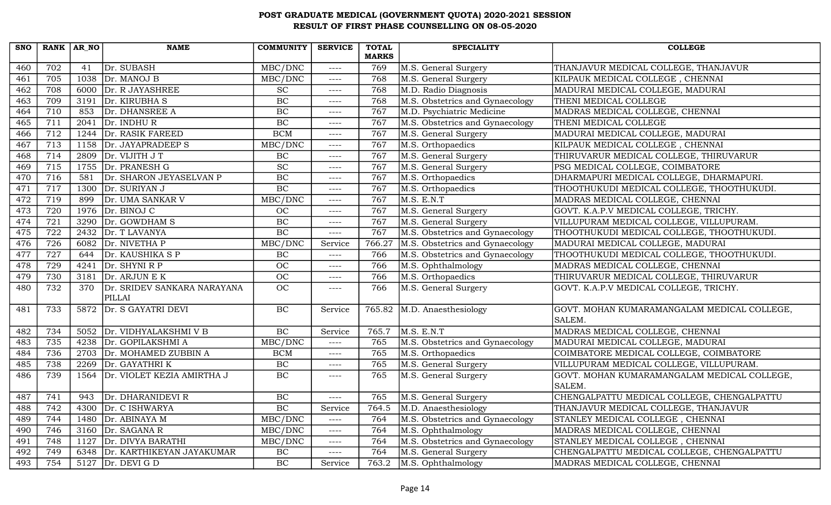|                         |            |                             |                             |          | <b>MARKS</b> |                                 |                                             |
|-------------------------|------------|-----------------------------|-----------------------------|----------|--------------|---------------------------------|---------------------------------------------|
| 702<br>460<br>705       | 41<br>1038 | Dr. SUBASH<br>Dr. MANOJ B   | MBC/DNC                     | $---$    | 769          | M.S. General Surgery            | THANJAVUR MEDICAL COLLEGE, THANJAVUR        |
| 461                     |            |                             | MBC/DNC                     | $---$    | 768          | M.S. General Surgery            | KILPAUK MEDICAL COLLEGE, CHENNAI            |
| 708<br>462              | 6000       | Dr. R JAYASHREE             | $\protect\operatorname{SC}$ | $---$    | 768          | M.D. Radio Diagnosis            | MADURAI MEDICAL COLLEGE, MADURAI            |
| 709<br>463              | 3191       | Dr. KIRUBHA S               | BC                          | $---$    | 768          | M.S. Obstetrics and Gynaecology | THENI MEDICAL COLLEGE                       |
| 710<br>464              | 853        | Dr. DHANSREE A              | BC                          | $---$    | 767          | M.D. Psychiatric Medicine       | MADRAS MEDICAL COLLEGE, CHENNAI             |
| 465<br>711              | 2041       | Dr. INDHUR                  | BC                          | $--- -$  | 767          | M.S. Obstetrics and Gynaecology | THENI MEDICAL COLLEGE                       |
| 712<br>466              | 1244       | Dr. RASIK FAREED            | <b>BCM</b>                  | $---$    | 767          | M.S. General Surgery            | MADURAI MEDICAL COLLEGE, MADURAI            |
| 713<br>467              | 1158       | Dr. JAYAPRADEEP S           | MBC/DNC                     | $---$    | 767          | M.S. Orthopaedics               | KILPAUK MEDICAL COLLEGE, CHENNAI            |
| 714<br>468              | 2809       | Dr. VIJITH JT               | BC                          | $--- -$  | 767          | M.S. General Surgery            | THIRUVARUR MEDICAL COLLEGE, THIRUVARUR      |
| 715<br>469              |            | 1755 Dr. PRANESH G          | $\overline{SC}$             | $--- -$  | 767          | M.S. General Surgery            | PSG MEDICAL COLLEGE, COIMBATORE             |
| 716<br>470              | 581        | Dr. SHARON JEYASELVAN P     | BC                          | $--- -$  | 767          | M.S. Orthopaedics               | DHARMAPURI MEDICAL COLLEGE, DHARMAPURI.     |
| 717<br>471              | 1300       | Dr. SURIYAN J               | BC                          | $---$    | 767          | M.S. Orthopaedics               | THOOTHUKUDI MEDICAL COLLEGE, THOOTHUKUDI.   |
| 472<br>719              | 899        | Dr. UMA SANKAR V            | MBC/DNC                     | $---$    | 767          | M.S. E.N.T                      | MADRAS MEDICAL COLLEGE, CHENNAI             |
| 473<br>720              | 1976       | Dr. BINOJ C                 | <b>OC</b>                   | $---$    | 767          | M.S. General Surgery            | GOVT. K.A.P.V MEDICAL COLLEGE, TRICHY.      |
| $\overline{721}$<br>474 | 3290       | Dr. GOWDHAM S               | BC                          | $---$    | 767          | M.S. General Surgery            | VILLUPURAM MEDICAL COLLEGE, VILLUPURAM.     |
| 475<br>722              | 2432       | Dr. T LAVANYA               | BC                          | $---$    | 767          | M.S. Obstetrics and Gynaecology | THOOTHUKUDI MEDICAL COLLEGE, THOOTHUKUDI.   |
| 726<br>476              | 6082       | Dr. NIVETHA P               | MBC/DNC                     | Service  | 766.27       | M.S. Obstetrics and Gynaecology | MADURAI MEDICAL COLLEGE, MADURAI            |
| 727<br>477              | 644        | Dr. KAUSHIKA S P            | BC                          | $---$    | 766          | M.S. Obstetrics and Gynaecology | THOOTHUKUDI MEDICAL COLLEGE, THOOTHUKUDI.   |
| $\overline{729}$<br>478 | 4241       | Dr. SHYNI R P               | OC                          | $---$    | 766          | M.S. Ophthalmology              | MADRAS MEDICAL COLLEGE, CHENNAI             |
| 730<br>479              |            | 3181 $\vert$ Dr. ARJUN E K  | OC                          | $---$    | 766          | M.S. Orthopaedics               | THIRUVARUR MEDICAL COLLEGE, THIRUVARUR      |
| 480<br>732              | 370        | Dr. SRIDEV SANKARA NARAYANA | OC                          | $---$    | 766          | M.S. General Surgery            | GOVT. K.A.P.V MEDICAL COLLEGE, TRICHY.      |
|                         |            | PILLAI                      |                             |          |              |                                 |                                             |
| 481<br>733              | 5872       | Dr. S GAYATRI DEVI          | BC                          | Service  | 765.82       | M.D. Anaesthesiology            | GOVT. MOHAN KUMARAMANGALAM MEDICAL COLLEGE, |
|                         |            |                             |                             |          |              |                                 | SALEM.                                      |
| 482<br>734              | 5052       | Dr. VIDHYALAKSHMI V B       | $\overline{BC}$             | Service  | 765.7        | M.S. E.N.T                      | MADRAS MEDICAL COLLEGE, CHENNAI             |
| $\overline{735}$<br>483 | 4238       | Dr. GOPILAKSHMI A           | MBC/DNC                     | $---$    | 765          | M.S. Obstetrics and Gynaecology | MADURAI MEDICAL COLLEGE, MADURAI            |
| 736<br>484              | 2703       | Dr. MOHAMED ZUBBIN A        | <b>BCM</b>                  | $---$    | 765          | M.S. Orthopaedics               | COIMBATORE MEDICAL COLLEGE, COIMBATORE      |
| 738<br>485              | 2269       | Dr. GAYATHRIK               | <b>BC</b>                   | $---$    | 765          | M.S. General Surgery            | VILLUPURAM MEDICAL COLLEGE, VILLUPURAM.     |
| 739<br>486              | 1564       | Dr. VIOLET KEZIA AMIRTHA J  | BC                          | $--- -$  | 765          | M.S. General Surgery            | GOVT. MOHAN KUMARAMANGALAM MEDICAL COLLEGE, |
|                         |            |                             |                             |          |              |                                 | SALEM.                                      |
| 741<br>487              | 943        | Dr. DHARANIDEVI R           | BC                          | $---$    | 765          | M.S. General Surgery            | CHENGALPATTU MEDICAL COLLEGE, CHENGALPATTU  |
| 742<br>488              | 4300       | Dr. C ISHWARYA              | BC                          | Service  | 764.5        | M.D. Anaesthesiology            | THANJAVUR MEDICAL COLLEGE, THANJAVUR        |
| 489<br>744              | 1480       | Dr. ABINAYA M               | MBC/DNC                     | $---$    | 764          | M.S. Obstetrics and Gynaecology | STANLEY MEDICAL COLLEGE, CHENNAI            |
| 490<br>746              | 3160       | Dr. SAGANA R                | MBC/DNC                     | $\cdots$ | 764          | M.S. Ophthalmology              | MADRAS MEDICAL COLLEGE, CHENNAI             |
| 491<br>748              | 1127       | Dr. DIVYA BARATHI           | MBC/DNC                     | $--- -$  | 764          | M.S. Obstetrics and Gynaecology | STANLEY MEDICAL COLLEGE, CHENNAI            |
| 492<br>749              | 6348       | Dr. KARTHIKEYAN JAYAKUMAR   | BC                          | $---$    | 764          | M.S. General Surgery            | CHENGALPATTU MEDICAL COLLEGE, CHENGALPATTU  |
| 493<br>754              |            | 5127 $Dr. DEVI G D$         | BC                          | Service  | 763.2        | M.S. Ophthalmology              | MADRAS MEDICAL COLLEGE, CHENNAI             |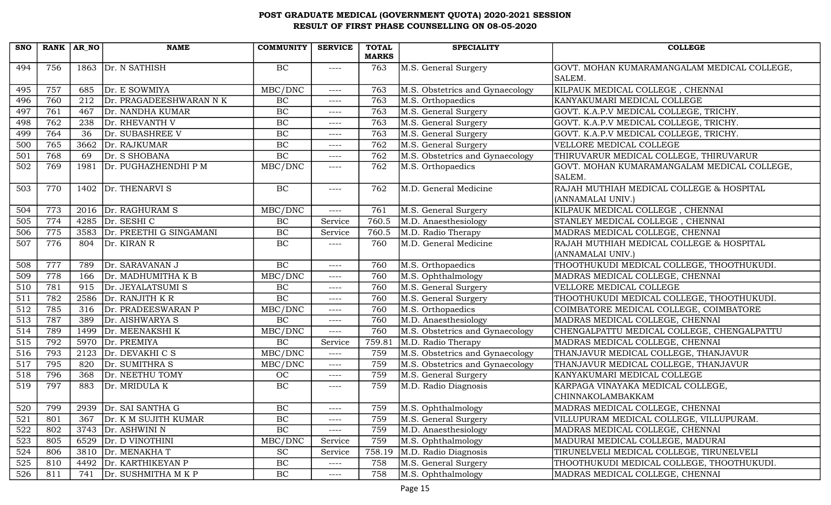| <b>SNO</b>       | RANK AR NO |      | <b>NAME</b>             | <b>COMMUNITY</b> | <b>SERVICE</b> | <b>TOTAL</b> | <b>SPECIALITY</b>               | <b>COLLEGE</b>                                                |
|------------------|------------|------|-------------------------|------------------|----------------|--------------|---------------------------------|---------------------------------------------------------------|
|                  |            |      |                         |                  |                | <b>MARKS</b> |                                 |                                                               |
| 494              | 756        |      | 1863 Dr. N SATHISH      | BC               | $--- -$        | 763          | M.S. General Surgery            | GOVT. MOHAN KUMARAMANGALAM MEDICAL COLLEGE,<br>SALEM.         |
| 495              | 757        | 685  | Dr. E SOWMIYA           | MBC/DNC          | $--- -$        | 763          | M.S. Obstetrics and Gynaecology | KILPAUK MEDICAL COLLEGE, CHENNAI                              |
| 496              | 760        | 212  | Dr. PRAGADEESHWARAN N K | BC               | ----           | 763          | M.S. Orthopaedics               | KANYAKUMARI MEDICAL COLLEGE                                   |
| 497              | 761        | 467  | Dr. NANDHA KUMAR        | BC               | ----           | 763          | M.S. General Surgery            | GOVT. K.A.P.V MEDICAL COLLEGE, TRICHY.                        |
| 498              | 762        | 238  | Dr. RHEVANTH V          | BC               | $--- -$        | 763          | M.S. General Surgery            | GOVT. K.A.P.V MEDICAL COLLEGE, TRICHY.                        |
| 499              | 764        | 36   | Dr. SUBASHREE V         | BC               | $--- -$        | 763          | M.S. General Surgery            | GOVT. K.A.P.V MEDICAL COLLEGE, TRICHY.                        |
| 500              | 765        | 3662 | Dr. RAJKUMAR            | BC               | $--- -$        | 762          | M.S. General Surgery            | VELLORE MEDICAL COLLEGE                                       |
| 501              | 768        | 69   | Dr. S SHOBANA           | BC               | $--- -$        | 762          | M.S. Obstetrics and Gynaecology | THIRUVARUR MEDICAL COLLEGE, THIRUVARUR                        |
| 502              | 769        | 1981 | Dr. PUGHAZHENDHI P M    | MBC/DNC          | $--- - -$      | 762          | M.S. Orthopaedics               | GOVT. MOHAN KUMARAMANGALAM MEDICAL COLLEGE,                   |
|                  |            |      |                         |                  |                |              |                                 | SALEM.                                                        |
| 503              | 770        | 1402 | Dr. THENARVI S          | BC               | $--- -$        | 762          | M.D. General Medicine           | RAJAH MUTHIAH MEDICAL COLLEGE & HOSPITAL<br>(ANNAMALAI UNIV.) |
| 504              | 773        | 2016 | Dr. RAGHURAM S          | MBC/DNC          | $--- -$        | 761          | M.S. General Surgery            | KILPAUK MEDICAL COLLEGE, CHENNAI                              |
| 505              | 774        | 4285 | Dr. SESHI C             | BC               | Service        | 760.5        | M.D. Anaesthesiology            | STANLEY MEDICAL COLLEGE, CHENNAI                              |
| 506              | 775        | 3583 | Dr. PREETHI G SINGAMANI | BC               | Service        | 760.5        | M.D. Radio Therapy              | MADRAS MEDICAL COLLEGE, CHENNAI                               |
| 507              | 776        | 804  | Dr. KIRAN R             | BC               | $--- -$        | 760          | M.D. General Medicine           | RAJAH MUTHIAH MEDICAL COLLEGE & HOSPITAL                      |
|                  |            |      |                         |                  |                |              |                                 | (ANNAMALAI UNIV.)                                             |
| 508              | 777        | 789  | Dr. SARAVANAN J         | BC               | $--- -$        | 760          | M.S. Orthopaedics               | THOOTHUKUDI MEDICAL COLLEGE, THOOTHUKUDI.                     |
| 509              | 778        | 166  | Dr. MADHUMITHA K B      | MBC/DNC          | $--- -$        | 760          | M.S. Ophthalmology              | MADRAS MEDICAL COLLEGE, CHENNAI                               |
| 510              | 781        | 915  | Dr. JEYALATSUMI S       | BC               | $--- -$        | 760          | M.S. General Surgery            | VELLORE MEDICAL COLLEGE                                       |
| 511              | 782        | 2586 | $Dr.$ RANJITH K R       | $\overline{BC}$  | $--- -$        | 760          | M.S. General Surgery            | THOOTHUKUDI MEDICAL COLLEGE, THOOTHUKUDI.                     |
| 512              | 785        | 316  | Dr. PRADEESWARAN P      | MBC/DNC          | $--- -$        | 760          | M.S. Orthopaedics               | COIMBATORE MEDICAL COLLEGE, COIMBATORE                        |
| 513              | 787        | 389  | Dr. AISHWARYA S         | $\overline{BC}$  | $---$          | 760          | M.D. Anaesthesiology            | MADRAS MEDICAL COLLEGE, CHENNAI                               |
| 514              | 789        | 1499 | Dr. MEENAKSHI K         | MBC/DNC          | $--- -$        | 760          | M.S. Obstetrics and Gynaecology | CHENGALPATTU MEDICAL COLLEGE, CHENGALPATTU                    |
| $\overline{515}$ | 792        |      | 5970 Dr. PREMIYA        | $\overline{BC}$  | Service        | 759.81       | M.D. Radio Therapy              | MADRAS MEDICAL COLLEGE, CHENNAI                               |
| 516              | 793        | 2123 | Dr. DEVAKHI C S         | MBC/DNC          | $--- -$        | 759          | M.S. Obstetrics and Gynaecology | THANJAVUR MEDICAL COLLEGE, THANJAVUR                          |
| 517              | 795        | 820  | Dr. SUMITHRA S          | MBC/DNC          | $---$          | 759          | M.S. Obstetrics and Gynaecology | THANJAVUR MEDICAL COLLEGE, THANJAVUR                          |
| 518              | 796        | 368  | Dr. NEETHU TOMY         | <b>OC</b>        | $--- -$        | 759          | M.S. General Surgery            | KANYAKUMARI MEDICAL COLLEGE                                   |
| 519              | 797        | 883  | Dr. MRIDULA K           | BC               | $--- -$        | 759          | M.D. Radio Diagnosis            | KARPAGA VINAYAKA MEDICAL COLLEGE,                             |
|                  |            |      |                         |                  |                |              |                                 | CHINNAKOLAMBAKKAM                                             |
| 520              | 799        |      | 2939 Dr. SAI SANTHA G   | BC               | $--- -$        | 759          | M.S. Ophthalmology              | MADRAS MEDICAL COLLEGE, CHENNAI                               |
| 521              | 801        | 367  | Dr. K M SUJITH KUMAR    | $\rm BC$         | ----           | 759          | M.S. General Surgery            | VILLUPURAM MEDICAL COLLEGE, VILLUPURAM.                       |
| 522              | 802        | 3743 | Dr. ASHWINI N           | BC               | $--- -$        | 759          | M.D. Anaesthesiology            | MADRAS MEDICAL COLLEGE, CHENNAI                               |
| 523              | 805        | 6529 | Dr. D VINOTHINI         | MBC/DNC          | Service        | 759          | M.S. Ophthalmology              | MADURAI MEDICAL COLLEGE, MADURAI                              |
| 524              | 806        |      | 3810 Dr. MENAKHA T      | <b>SC</b>        | Service        | 758.19       | M.D. Radio Diagnosis            | TIRUNELVELI MEDICAL COLLEGE, TIRUNELVELI                      |
| 525              | 810        | 4492 | Dr. KARTHIKEYAN P       | $\rm BC$         | $---$          | 758          | M.S. General Surgery            | THOOTHUKUDI MEDICAL COLLEGE, THOOTHUKUDI.                     |
| 526              | 811        | 741  | Dr. SUSHMITHA M K P     | $\rm BC$         | ----           | 758          | M.S. Ophthalmology              | MADRAS MEDICAL COLLEGE, CHENNAI                               |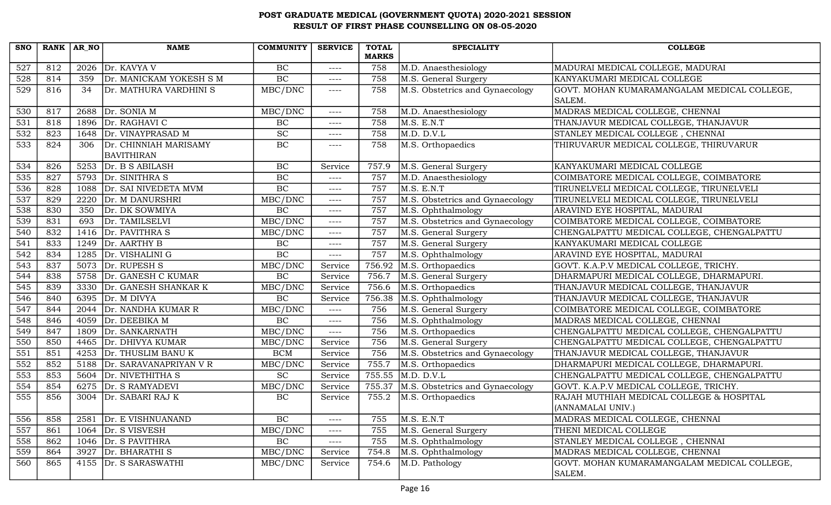| <b>SNO</b>       | RANK AR_NO |      | <b>NAME</b>             | <b>COMMUNITY</b>            | <b>SERVICE</b> | <b>TOTAL</b> | <b>SPECIALITY</b>               | <b>COLLEGE</b>                              |
|------------------|------------|------|-------------------------|-----------------------------|----------------|--------------|---------------------------------|---------------------------------------------|
|                  |            |      |                         |                             |                | <b>MARKS</b> |                                 |                                             |
| 527              | 812        | 2026 | Dr. KAVYA V             | BC                          | $---$          | 758          | M.D. Anaesthesiology            | MADURAI MEDICAL COLLEGE, MADURAI            |
| 528              | 814        | 359  | Dr. MANICKAM YOKESH S M | BC                          | ----           | 758          | M.S. General Surgery            | KANYAKUMARI MEDICAL COLLEGE                 |
| 529              | 816        | 34   | Dr. MATHURA VARDHINI S  | MBC/DNC                     | ----           | 758          | M.S. Obstetrics and Gynaecology | GOVT. MOHAN KUMARAMANGALAM MEDICAL COLLEGE, |
|                  |            |      |                         |                             |                |              |                                 | SALEM.                                      |
| 530              | 817        | 2688 | Dr. SONIA M             | MBC/DNC                     | ----           | 758          | M.D. Anaesthesiology            | MADRAS MEDICAL COLLEGE, CHENNAI             |
| 531              | 818        | 1896 | Dr. RAGHAVI C           | BC                          | $---$          | 758          | M.S. E.N.T                      | THANJAVUR MEDICAL COLLEGE, THANJAVUR        |
| 532              | 823        | 1648 | Dr. VINAYPRASAD M       | $\protect\operatorname{SC}$ | $---$          | 758          | M.D. D.V.L                      | STANLEY MEDICAL COLLEGE, CHENNAI            |
| 533              | 824        | 306  | Dr. CHINNIAH MARISAMY   | BC                          | $--- -$        | 758          | M.S. Orthopaedics               | THIRUVARUR MEDICAL COLLEGE, THIRUVARUR      |
|                  |            |      | <b>BAVITHIRAN</b>       |                             |                |              |                                 |                                             |
| 534              | 826        | 5253 | Dr. B S ABILASH         | BC                          | Service        | 757.9        | M.S. General Surgery            | KANYAKUMARI MEDICAL COLLEGE                 |
| 535              | 827        | 5793 | Dr. SINITHRA S          | BC                          | $--- -$        | 757          | M.D. Anaesthesiology            | COIMBATORE MEDICAL COLLEGE, COIMBATORE      |
| 536              | 828        | 1088 | Dr. SAI NIVEDETA MVM    | BC                          | $---$          | 757          | M.S. E.N.T                      | TIRUNELVELI MEDICAL COLLEGE, TIRUNELVELI    |
| 537              | 829        | 2220 | Dr. M DANURSHRI         | MBC/DNC                     | $--- -$        | 757          | M.S. Obstetrics and Gynaecology | TIRUNELVELI MEDICAL COLLEGE, TIRUNELVELI    |
| 538              | 830        | 350  | Dr. DK SOWMIYA          | BC                          | $---$          | 757          | M.S. Ophthalmology              | ARAVIND EYE HOSPITAL, MADURAI               |
| 539              | 831        | 693  | Dr. TAMILSELVI          | MBC/DNC                     | $---$          | 757          | M.S. Obstetrics and Gynaecology | COIMBATORE MEDICAL COLLEGE, COIMBATORE      |
| 540              | 832        | 1416 | Dr. PAVITHRA S          | MBC/DNC                     | $---$          | 757          | M.S. General Surgery            | CHENGALPATTU MEDICAL COLLEGE, CHENGALPATTU  |
| $\overline{541}$ | 833        |      | 1249 $Dr. AARTHY B$     | BC                          | $---$          | 757          | M.S. General Surgery            | KANYAKUMARI MEDICAL COLLEGE                 |
| 542              | 834        | 1285 | Dr. VISHALINI G         | BC                          | ----           | 757          | M.S. Ophthalmology              | ARAVIND EYE HOSPITAL, MADURAI               |
| 543              | 837        | 5073 | Dr. RUPESH S            | MBC/DNC                     | Service        | 756.92       | M.S. Orthopaedics               | GOVT. K.A.P.V MEDICAL COLLEGE, TRICHY.      |
| 544              | 838        | 5758 | Dr. GANESH C KUMAR      | BC                          | Service        | 756.7        | M.S. General Surgery            | DHARMAPURI MEDICAL COLLEGE, DHARMAPURI.     |
| 545              | 839        | 3330 | Dr. GANESH SHANKAR K    | MBC/DNC                     | Service        | 756.6        | M.S. Orthopaedics               | THANJAVUR MEDICAL COLLEGE, THANJAVUR        |
| 546              | 840        |      | 6395 $Dr. M DIVYA$      | BC                          | Service        | 756.38       | M.S. Ophthalmology              | THANJAVUR MEDICAL COLLEGE, THANJAVUR        |
| 547              | 844        | 2044 | Dr. NANDHA KUMAR R      | MBC/DNC                     | $---$          | 756          | M.S. General Surgery            | COIMBATORE MEDICAL COLLEGE, COIMBATORE      |
| 548              | 846        | 4059 | Dr. DEEBIKA M           | BC                          | $---$          | 756          | M.S. Ophthalmology              | MADRAS MEDICAL COLLEGE, CHENNAI             |
| 549              | 847        | 1809 | Dr. SANKARNATH          | MBC/DNC                     | ----           | 756          | M.S. Orthopaedics               | CHENGALPATTU MEDICAL COLLEGE, CHENGALPATTU  |
| 550              | 850        |      | 4465   Dr. DHIVYA KUMAR | MBC/DNC                     | Service        | 756          | M.S. General Surgery            | CHENGALPATTU MEDICAL COLLEGE, CHENGALPATTU  |
| 551              | 851        | 4253 | Dr. THUSLIM BANU K      | <b>BCM</b>                  | Service        | 756          | M.S. Obstetrics and Gynaecology | THANJAVUR MEDICAL COLLEGE, THANJAVUR        |
| 552              | 852        | 5188 | Dr. SARAVANAPRIYAN V R  | MBC/DNC                     | Service        | 755.7        | M.S. Orthopaedics               | DHARMAPURI MEDICAL COLLEGE, DHARMAPURI.     |
| 553              | 853        |      | 5604 Dr. NIVETHITHA S   | $\protect\operatorname{SC}$ | Service        | 755.55       | M.D. D.V.L                      | CHENGALPATTU MEDICAL COLLEGE, CHENGALPATTU  |
| 554              | 854        |      | 6275 Dr. S RAMYADEVI    | MBC/DNC                     | Service        | 755.37       | M.S. Obstetrics and Gynaecology | GOVT. K.A.P.V MEDICAL COLLEGE, TRICHY.      |
| 555              | 856        | 3004 | Dr. SABARI RAJ K        | BC                          | Service        | 755.2        | M.S. Orthopaedics               | RAJAH MUTHIAH MEDICAL COLLEGE & HOSPITAL    |
|                  |            |      |                         |                             |                |              |                                 | (ANNAMALAI UNIV.)                           |
| 556              | 858        | 2581 | Dr. E VISHNUANAND       | BC                          | ----           | 755          | M.S. E.N.T                      | MADRAS MEDICAL COLLEGE, CHENNAI             |
| 557              | 861        |      | 1064 $Dr. S VISVESH$    | MBC/DNC                     | ----           | 755          | M.S. General Surgery            | THENI MEDICAL COLLEGE                       |
| 558              | 862        |      | 1046   Dr. S PAVITHRA   | BC                          | ----           | 755          | M.S. Ophthalmology              | STANLEY MEDICAL COLLEGE, CHENNAI            |
| 559              | 864        | 3927 | Dr. BHARATHI S          | MBC/DNC                     | Service        | 754.8        | M.S. Ophthalmology              | MADRAS MEDICAL COLLEGE, CHENNAI             |
| 560              | 865        | 4155 | Dr. S SARASWATHI        | MBC/DNC                     | Service        | 754.6        | M.D. Pathology                  | GOVT. MOHAN KUMARAMANGALAM MEDICAL COLLEGE, |
|                  |            |      |                         |                             |                |              |                                 | SALEM.                                      |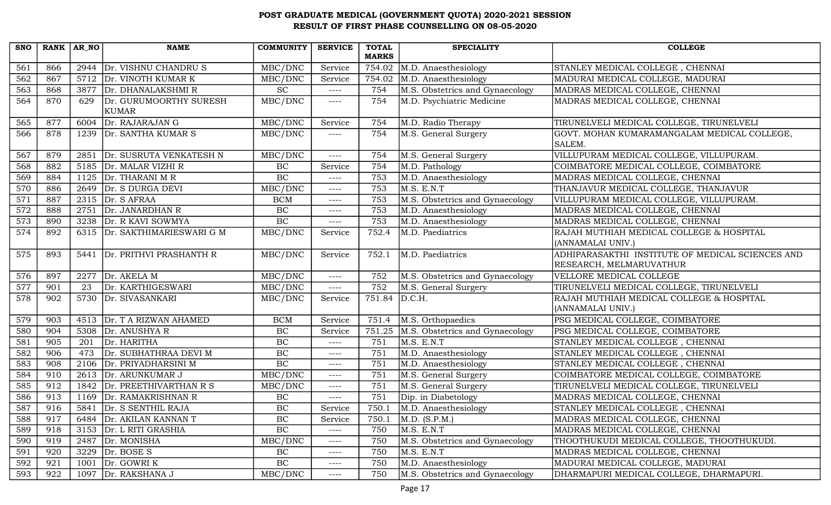| <b>SNO</b> | $RANK   AR_N$ |      | <b>NAME</b>                   | <b>COMMUNITY</b> | <b>SERVICE</b> | <b>TOTAL</b> | <b>SPECIALITY</b>               | <b>COLLEGE</b>                                                              |
|------------|---------------|------|-------------------------------|------------------|----------------|--------------|---------------------------------|-----------------------------------------------------------------------------|
|            |               |      |                               |                  |                | <b>MARKS</b> |                                 |                                                                             |
| 561        | 866           | 2944 | Dr. VISHNU CHANDRU S          | MBC/DNC          | Service        | 754.02       | M.D. Anaesthesiology            | STANLEY MEDICAL COLLEGE, CHENNAI                                            |
| 562        | 867           |      | 5712 Dr. VINOTH KUMAR K       | MBC/DNC          | Service        | 754.02       | M.D. Anaesthesiology            | MADURAI MEDICAL COLLEGE, MADURAI                                            |
| 563        | 868           |      | 3877 Dr. DHANALAKSHMIR        | <b>SC</b>        | $---$          | 754          | M.S. Obstetrics and Gynaecology | MADRAS MEDICAL COLLEGE, CHENNAI                                             |
| 564        | 870           | 629  | Dr. GURUMOORTHY SURESH        | MBC/DNC          | ----           | 754          | M.D. Psychiatric Medicine       | MADRAS MEDICAL COLLEGE, CHENNAI                                             |
|            |               |      | KUMAR                         |                  |                |              |                                 |                                                                             |
| 565        | 877           | 6004 | Dr. RAJARAJAN G               | MBC/DNC          | Service        | 754          | M.D. Radio Therapy              | TIRUNELVELI MEDICAL COLLEGE, TIRUNELVELI                                    |
| 566        | 878           |      | 1239 Dr. SANTHA KUMAR S       | MBC/DNC          | ----           | 754          | M.S. General Surgery            | GOVT. MOHAN KUMARAMANGALAM MEDICAL COLLEGE,<br>SALEM.                       |
| 567        | 879           | 2851 | Dr. SUSRUTA VENKATESH N       | MBC/DNC          | $---$          | 754          | M.S. General Surgery            | VILLUPURAM MEDICAL COLLEGE, VILLUPURAM.                                     |
| 568        | 882           |      | 5185 Dr. MALAR VIZHI R        | BC               | Service        | 754          | M.D. Pathology                  | COIMBATORE MEDICAL COLLEGE, COIMBATORE                                      |
| 569        | 884           |      | 1125 $Dr. THARANI M R$        | $\overline{BC}$  | $--- -$        | 753          | M.D. Anaesthesiology            | MADRAS MEDICAL COLLEGE, CHENNAI                                             |
| 570        | 886           |      | 2649   Dr. S DURGA DEVI       | MBC/DNC          | $---$          | 753          | M.S. E.N.T                      | THANJAVUR MEDICAL COLLEGE, THANJAVUR                                        |
| 571        | 887           |      | 2315 Dr. S AFRAA              | <b>BCM</b>       | ----           | 753          | M.S. Obstetrics and Gynaecology | VILLUPURAM MEDICAL COLLEGE, VILLUPURAM.                                     |
| 572        | 888           | 2751 | Dr. JANARDHAN R               | BC               | $--- -$        | 753          | M.D. Anaesthesiology            | MADRAS MEDICAL COLLEGE, CHENNAI                                             |
| 573        | 890           | 3238 | Dr. R KAVI SOWMYA             | $\overline{BC}$  | ----           | 753          | M.D. Anaesthesiology            | MADRAS MEDICAL COLLEGE, CHENNAI                                             |
| 574        | 892           |      | 6315 Dr. SAKTHIMARIESWARI G M | MBC/DNC          | Service        | 752.4        | M.D. Paediatrics                | RAJAH MUTHIAH MEDICAL COLLEGE & HOSPITAL                                    |
|            |               |      |                               |                  |                |              |                                 | (ANNAMALAI UNIV.)                                                           |
| 575        | 893           | 5441 | Dr. PRITHVI PRASHANTH R       | MBC/DNC          | Service        | 752.1        | M.D. Paediatrics                | ADHIPARASAKTHI INSTITUTE OF MEDICAL SCIENCES AND<br>RESEARCH, MELMARUVATHUR |
| 576        | 897           | 2277 | Dr. AKELA M                   | MBC/DNC          | $---$          | 752          | M.S. Obstetrics and Gynaecology | VELLORE MEDICAL COLLEGE                                                     |
| 577        | 901           | 23   | Dr. KARTHIGESWARI             | MBC/DNC          | $---$          | 752          | M.S. General Surgery            | TIRUNELVELI MEDICAL COLLEGE, TIRUNELVELI                                    |
| 578        | 902           |      | 5730 Dr. SIVASANKARI          | MBC/DNC          | Service        | 751.84       | D.C.H.                          | RAJAH MUTHIAH MEDICAL COLLEGE & HOSPITAL                                    |
|            |               |      |                               |                  |                |              |                                 | (ANNAMALAI UNIV.)                                                           |
| 579        | 903           |      | 4513 Dr. T A RIZWAN AHAMED    | <b>BCM</b>       | Service        | 751.4        | M.S. Orthopaedics               | PSG MEDICAL COLLEGE, COIMBATORE                                             |
| 580        | 904           | 5308 | Dr. ANUSHYA R                 | BC               | Service        | 751.25       | M.S. Obstetrics and Gynaecology | PSG MEDICAL COLLEGE, COIMBATORE                                             |
| 581        | 905           | 201  | Dr. HARITHA                   | BC               | $---$          | 751          | M.S. E.N.T                      | STANLEY MEDICAL COLLEGE, CHENNAI                                            |
| 582        | 906           | 473  | Dr. SUBHATHRAA DEVI M         | BC               | ----           | 751          | M.D. Anaesthesiology            | STANLEY MEDICAL COLLEGE, CHENNAI                                            |
| 583        | 908           | 2106 | Dr. PRIYADHARSINI M           | BC               | $---$          | 751          | M.D. Anaesthesiology            | STANLEY MEDICAL COLLEGE, CHENNAI                                            |
| 584        | 910           | 2613 | Dr. ARUNKUMAR J               | MBC/DNC          | ----           | 751          | M.S. General Surgery            | COIMBATORE MEDICAL COLLEGE, COIMBATORE                                      |
| 585        | 912           | 1842 | Dr. PREETHIVARTHAN R S        | MBC/DNC          | $---$          | 751          | M.S. General Surgery            | TIRUNELVELI MEDICAL COLLEGE, TIRUNELVELI                                    |
| 586        | 913           |      | 1169 Dr. RAMAKRISHNAN R       | $\rm BC$         | ----           | 751          | Dip. in Diabetology             | MADRAS MEDICAL COLLEGE, CHENNAI                                             |
| 587        | 916           | 5841 | Dr. S SENTHIL RAJA            | $\rm BC$         | Service        | 750.1        | M.D. Anaesthesiology            | STANLEY MEDICAL COLLEGE, CHENNAI                                            |
| 588        | 917           | 6484 | Dr. AKILAN KANNAN T           | $\rm BC$         | Service        | 750.1        | M.D. (S.P.M.)                   | MADRAS MEDICAL COLLEGE, CHENNAI                                             |
| 589        | 918           |      | 3153 Dr. L RITI GRASHIA       | BC               | $---$          | 750          | M.S. E.N.T                      | MADRAS MEDICAL COLLEGE, CHENNAI                                             |
| 590        | 919           |      | 2487 Dr. MONISHA              | MBC/DNC          | ----           | 750          | M.S. Obstetrics and Gynaecology | THOOTHUKUDI MEDICAL COLLEGE, THOOTHUKUDI.                                   |
| 591        | 920           | 3229 | Dr. BOSE S                    | $\rm BC$         | ----           | 750          | M.S. E.N.T                      | MADRAS MEDICAL COLLEGE, CHENNAI                                             |
| 592        | 921           | 1001 | Dr. GOWRI K                   | $\rm BC$         | ----           | 750          | M.D. Anaesthesiology            | MADURAI MEDICAL COLLEGE, MADURAI                                            |
| 593        | 922           | 1097 | Dr. RAKSHANA J                | MBC/DNC          | ----           | 750          | M.S. Obstetrics and Gynaecology | DHARMAPURI MEDICAL COLLEGE, DHARMAPURI.                                     |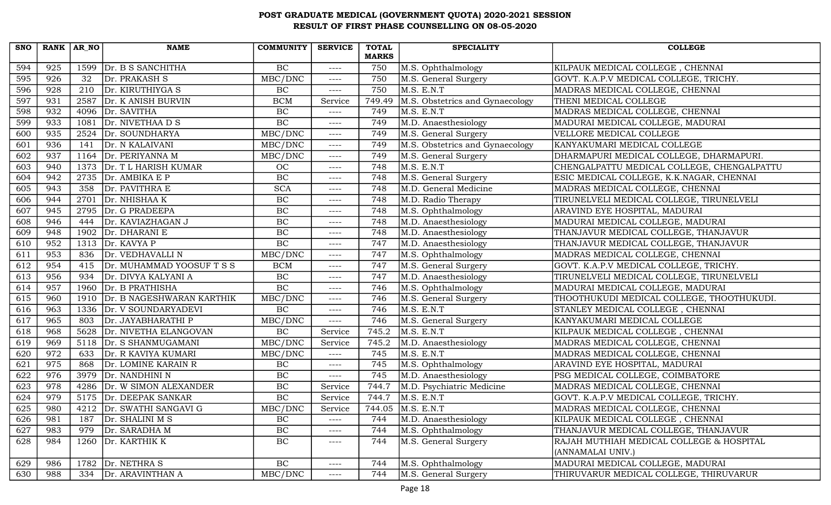| <b>SNO</b> | $RANK   AR_N$ |      | <b>NAME</b>                  | <b>COMMUNITY</b>             | <b>SERVICE</b> | <b>TOTAL</b> | <b>SPECIALITY</b>               | <b>COLLEGE</b>                             |
|------------|---------------|------|------------------------------|------------------------------|----------------|--------------|---------------------------------|--------------------------------------------|
|            |               |      |                              |                              |                | <b>MARKS</b> |                                 |                                            |
| 594        | 925           | 1599 | Dr. B S SANCHITHA            | BC                           | $---$          | 750          | M.S. Ophthalmology              | KILPAUK MEDICAL COLLEGE, CHENNAI           |
| 595        | 926           | 32   | Dr. PRAKASH S                | MBC/DNC                      | $---$          | 750          | M.S. General Surgery            | GOVT. K.A.P.V MEDICAL COLLEGE, TRICHY.     |
| 596        | 928           | 210  | Dr. KIRUTHIYGA S             | $\rm BC$                     | $---$          | 750          | M.S. E.N.T                      | MADRAS MEDICAL COLLEGE, CHENNAI            |
| 597        | 931           | 2587 | Dr. K ANISH BURVIN           | <b>BCM</b>                   | Service        | 749.49       | M.S. Obstetrics and Gynaecology | THENI MEDICAL COLLEGE                      |
| 598        | 932           | 4096 | Dr. SAVITHA                  | BC                           | $--- -$        | 749          | M.S. E.N.T                      | MADRAS MEDICAL COLLEGE, CHENNAI            |
| 599        | 933           | 1081 | Dr. NIVETHAA D S             | BC                           | $--- -$        | 749          | M.D. Anaesthesiology            | MADURAI MEDICAL COLLEGE, MADURAI           |
| 600        | 935           | 2524 | Dr. SOUNDHARYA               | MBC/DNC                      | $--- -$        | 749          | M.S. General Surgery            | VELLORE MEDICAL COLLEGE                    |
| 601        | 936           | 141  | Dr. N KALAIVANI              | $\overline{\text{MBC}}$ /DNC | $---$          | 749          | M.S. Obstetrics and Gynaecology | KANYAKUMARI MEDICAL COLLEGE                |
| 602        | 937           | 1164 | Dr. PERIYANNA M              | MBC/DNC                      | $--- -$        | 749          | M.S. General Surgery            | DHARMAPURI MEDICAL COLLEGE, DHARMAPURI.    |
| 603        | 940           | 1373 | Dr. T L HARISH KUMAR         | OC                           | $---$          | 748          | M.S. E.N.T                      | CHENGALPATTU MEDICAL COLLEGE, CHENGALPATTU |
| 604        | 942           | 2735 | Dr. AMBIKA E P               | BC                           | $--- -$        | 748          | M.S. General Surgery            | ESIC MEDICAL COLLEGE, K.K.NAGAR, CHENNAI   |
| 605        | 943           | 358  | Dr. PAVITHRA E               | <b>SCA</b>                   | $---$          | 748          | M.D. General Medicine           | MADRAS MEDICAL COLLEGE, CHENNAI            |
| 606        | 944           | 2701 | Dr. NHISHAA K                | BC                           | $- - - -$      | 748          | M.D. Radio Therapy              | TIRUNELVELI MEDICAL COLLEGE, TIRUNELVELI   |
| 607        | 945           | 2795 | Dr. G PRADEEPA               | $\rm BC$                     | $--- -$        | 748          | M.S. Ophthalmology              | ARAVIND EYE HOSPITAL, MADURAI              |
| 608        | 946           | 444  | Dr. KAVIAZHAGAN J            | $\rm BC$                     | $--- -$        | 748          | M.D. Anaesthesiology            | MADURAI MEDICAL COLLEGE, MADURAI           |
| 609        | 948           | 1902 | Dr. DHARANI E                | BC                           | $---$          | 748          | M.D. Anaesthesiology            | THANJAVUR MEDICAL COLLEGE, THANJAVUR       |
| 610        | 952           |      | 1313 $Dr. KAVYA P$           | BC                           | $---$          | 747          | M.D. Anaesthesiology            | THANJAVUR MEDICAL COLLEGE, THANJAVUR       |
| 611        | 953           | 836  | Dr. VEDHAVALLI N             | MBC/DNC                      | $---$          | 747          | M.S. Ophthalmology              | MADRAS MEDICAL COLLEGE, CHENNAI            |
| 612        | 954           | 415  | Dr. MUHAMMAD YOOSUF T S S    | <b>BCM</b>                   | $---$          | 747          | M.S. General Surgery            | GOVT. K.A.P.V MEDICAL COLLEGE, TRICHY.     |
| 613        | 956           | 934  | Dr. DIVYA KALYANI A          | BC                           | $--- -$        | 747          | M.D. Anaesthesiology            | TIRUNELVELI MEDICAL COLLEGE, TIRUNELVELI   |
| 614        | 957           |      | 1960 Dr. B PRATHISHA         | BC                           | $--- -$        | 746          | M.S. Ophthalmology              | MADURAI MEDICAL COLLEGE, MADURAI           |
| 615        | 960           | 1910 | Dr. B NAGESHWARAN KARTHIK    | MBC/DNC                      | $--- - -$      | 746          | M.S. General Surgery            | THOOTHUKUDI MEDICAL COLLEGE, THOOTHUKUDI.  |
| 616        | 963           | 1336 | Dr. V SOUNDARYADEVI          | $\rm BC$                     | $---$          | 746          | M.S. E.N.T                      | STANLEY MEDICAL COLLEGE, CHENNAI           |
| 617        | 965           | 803  | Dr. JAYABHARATHI P           | MBC/DNC                      | $---$          | 746          | M.S. General Surgery            | KANYAKUMARI MEDICAL COLLEGE                |
| 618        | 968           | 5628 | Dr. NIVETHA ELANGOVAN        | $\rm BC$                     | Service        | 745.2        | M.S. E.N.T                      | KILPAUK MEDICAL COLLEGE, CHENNAI           |
| 619        | 969           |      | 5118 Dr. S SHANMUGAMANI      | MBC/DNC                      | Service        | 745.2        | M.D. Anaesthesiology            | MADRAS MEDICAL COLLEGE, CHENNAI            |
| 620        | 972           | 633  | Dr. R KAVIYA KUMARI          | MBC/DNC                      | $---$          | 745          | M.S. E.N.T                      | MADRAS MEDICAL COLLEGE, CHENNAI            |
| 621        | 975           | 868  | Dr. LOMINE KARAIN R          | $\rm BC$                     | $---$          | 745          | M.S. Ophthalmology              | ARAVIND EYE HOSPITAL, MADURAI              |
| 622        | 976           | 3979 | Dr. NANDHINI N               | $\rm BC$                     | $---$          | 745          | M.D. Anaesthesiology            | PSG MEDICAL COLLEGE, COIMBATORE            |
| 623        | 978           |      | 4286   Dr. W SIMON ALEXANDER | $\rm BC$                     | Service        | 744.7        | M.D. Psychiatric Medicine       | MADRAS MEDICAL COLLEGE, CHENNAI            |
| 624        | 979           |      | 5175 Dr. DEEPAK SANKAR       | $\rm BC$                     | Service        | 744.7        | M.S. E.N.T                      | GOVT. K.A.P.V MEDICAL COLLEGE, TRICHY.     |
| 625        | 980           |      | 4212 Dr. SWATHI SANGAVI G    | MBC/DNC                      | Service        |              | 744.05   M.S. E.N.T             | MADRAS MEDICAL COLLEGE, CHENNAI            |
| 626        | 981           | 187  | Dr. SHALINI M S              | $\overline{BC}$              | $---$          | 744          | M.D. Anaesthesiology            | KILPAUK MEDICAL COLLEGE, CHENNAI           |
| 627        | 983           | 979  | Dr. SARADHA M                | BC                           | $--- -$        | 744          | M.S. Ophthalmology              | THANJAVUR MEDICAL COLLEGE, THANJAVUR       |
| 628        | 984           | 1260 | Dr. KARTHIK K                | $\overline{BC}$              | $---$          | 744          | M.S. General Surgery            | RAJAH MUTHIAH MEDICAL COLLEGE & HOSPITAL   |
|            |               |      |                              |                              |                |              |                                 | (ANNAMALAI UNIV.)                          |
| 629        | 986           | 1782 | Dr. NETHRA S                 | BC                           | $---$          | 744          | M.S. Ophthalmology              | MADURAI MEDICAL COLLEGE, MADURAI           |
| 630        | 988           | 334  | Dr. ARAVINTHAN A             | MBC/DNC                      | $---$          | 744          | M.S. General Surgery            | THIRUVARUR MEDICAL COLLEGE, THIRUVARUR     |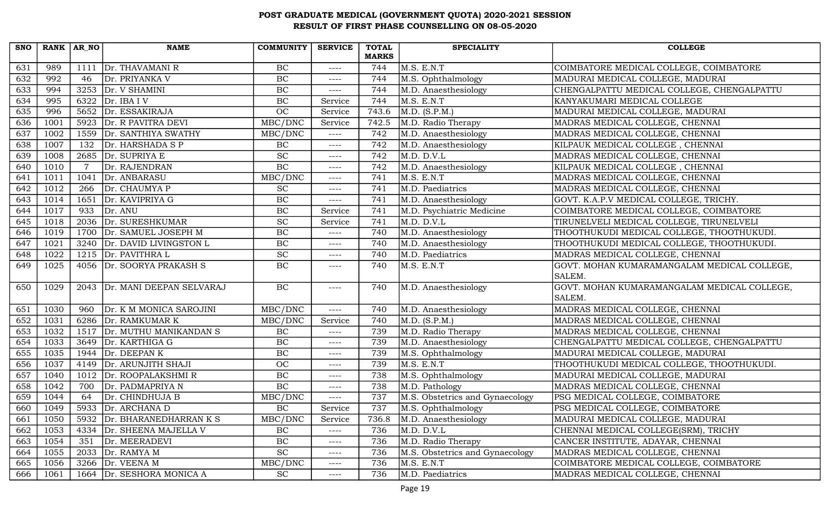| <b>SNO</b> | $RANK   AR_N$ |      | <b>NAME</b>                   | <b>COMMUNITY</b>            | <b>SERVICE</b> | <b>TOTAL</b> | <b>SPECIALITY</b>               | <b>COLLEGE</b>                              |
|------------|---------------|------|-------------------------------|-----------------------------|----------------|--------------|---------------------------------|---------------------------------------------|
|            |               |      |                               |                             |                | <b>MARKS</b> |                                 |                                             |
| 631        | 989           |      | 1111   Dr. THAVAMANI R        | BC                          | $---$          | 744          | M.S. E.N.T                      | COIMBATORE MEDICAL COLLEGE, COIMBATORE      |
| 632        | 992           | 46   | Dr. PRIYANKA V                | BC                          | ----           | 744          | M.S. Ophthalmology              | MADURAI MEDICAL COLLEGE, MADURAI            |
| 633        | 994           |      | $3253$ Dr. V SHAMINI          | $\rm BC$                    | ----           | 744          | M.D. Anaesthesiology            | CHENGALPATTU MEDICAL COLLEGE, CHENGALPATTU  |
| 634        | 995           |      | 6322 Dr. IBA I V              | BC                          | Service        | 744          | M.S. E.N.T                      | KANYAKUMARI MEDICAL COLLEGE                 |
| 635        | 996           | 5652 | Dr. ESSAKIRAJA                | <b>OC</b>                   | Service        | 743.6        | M.D. (S.P.M.)                   | MADURAI MEDICAL COLLEGE, MADURAI            |
| 636        | 1001          | 5923 | Dr. R PAVITRA DEVI            | MBC/DNC                     | Service        | 742.5        | M.D. Radio Therapy              | MADRAS MEDICAL COLLEGE, CHENNAI             |
| 637        | 1002          | 1559 | Dr. SANTHIYA SWATHY           | MBC/DNC                     | $---$          | 742          | M.D. Anaesthesiology            | MADRAS MEDICAL COLLEGE, CHENNAI             |
| 638        | 1007          | 132  | Dr. HARSHADA S P              | BC                          | $---$          | 742          | M.D. Anaesthesiology            | KILPAUK MEDICAL COLLEGE, CHENNAI            |
| 639        | 1008          | 2685 | Dr. SUPRIYA E                 | <b>SC</b>                   | ----           | 742          | M.D. D.V.L                      | MADRAS MEDICAL COLLEGE, CHENNAI             |
| 640        | 1010          |      | Dr. RAJENDRAN                 | $\overline{BC}$             | $---$          | 742          | M.D. Anaesthesiology            | KILPAUK MEDICAL COLLEGE, CHENNAI            |
| 641        | 1011          | 1041 | Dr. ANBARASU                  | MBC/DNC                     | ----           | 741          | M.S. E.N.T                      | MADRAS MEDICAL COLLEGE, CHENNAI             |
| 642        | 1012          |      | 266   Dr. CHAUMYA P           | $\protect\operatorname{SC}$ | $---$          | 741          | M.D. Paediatrics                | MADRAS MEDICAL COLLEGE, CHENNAI             |
| 643        | 1014          | 1651 | Dr. KAVIPRIYA G               | BC                          | ----           | 741          | M.D. Anaesthesiology            | GOVT. K.A.P.V MEDICAL COLLEGE, TRICHY.      |
| 644        | 1017          | 933  | Dr. ANU                       | BC                          | Service        | 741          | M.D. Psychiatric Medicine       | COIMBATORE MEDICAL COLLEGE, COIMBATORE      |
| 645        | 1018          | 2036 | Dr. SURESHKUMAR               | <b>SC</b>                   | Service        | 741          | M.D. D.V.L                      | TIRUNELVELI MEDICAL COLLEGE, TIRUNELVELI    |
| 646        | 1019          | 1700 | Dr. SAMUEL JOSEPH M           | BC                          | ----           | 740          | M.D. Anaesthesiology            | THOOTHUKUDI MEDICAL COLLEGE, THOOTHUKUDI.   |
| 647        | 1021          |      | 3240 Dr. DAVID LIVINGSTON L   | BC                          | $--- -$        | 740          | M.D. Anaesthesiology            | THOOTHUKUDI MEDICAL COLLEGE, THOOTHUKUDI.   |
| 648        | 1022          |      | 1215 $Dr. PAVITHRA L$         | <b>SC</b>                   | ----           | 740          | M.D. Paediatrics                | MADRAS MEDICAL COLLEGE, CHENNAI             |
| 649        | 1025          |      | 4056 Dr. SOORYA PRAKASH S     | BC                          | ----           | 740          | M.S. E.N.T                      | GOVT. MOHAN KUMARAMANGALAM MEDICAL COLLEGE, |
|            |               |      |                               |                             |                |              |                                 | SALEM.                                      |
| 650        | 1029          |      | 2043 Dr. MANI DEEPAN SELVARAJ | BC                          | ----           | 740          | M.D. Anaesthesiology            | GOVT. MOHAN KUMARAMANGALAM MEDICAL COLLEGE, |
|            |               |      |                               |                             |                |              |                                 | SALEM.                                      |
| 651        | 1030          | 960  | Dr. K M MONICA SAROJINI       | MBC/DNC                     | $---$          | 740          | M.D. Anaesthesiology            | MADRAS MEDICAL COLLEGE, CHENNAI             |
| 652        | 1031          | 6286 | Dr. RAMKUMAR K                | MBC/DNC                     | Service        | 740          | M.D. (S.P.M.)                   | MADRAS MEDICAL COLLEGE, CHENNAI             |
| 653        | 1032          | 1517 | Dr. MUTHU MANIKANDAN S        | $\rm BC$                    | ----           | 739          | M.D. Radio Therapy              | MADRAS MEDICAL COLLEGE, CHENNAI             |
| 654        | 1033          |      | 3649 Dr. KARTHIGA G           | BC                          | $---$          | 739          | M.D. Anaesthesiology            | CHENGALPATTU MEDICAL COLLEGE, CHENGALPATTU  |
| 655        | 1035          | 1944 | Dr. DEEPANK                   | $\rm BC$                    | ----           | 739          | M.S. Ophthalmology              | MADURAI MEDICAL COLLEGE, MADURAI            |
| 656        | 1037          | 4149 | Dr. ARUNJITH SHAJI            | <b>OC</b>                   | $---$          | 739          | M.S. E.N.T                      | THOOTHUKUDI MEDICAL COLLEGE, THOOTHUKUDI.   |
| 657        | 1040          | 1012 | Dr. ROOPALAKSHMIR             | $\rm BC$                    | ----           | 738          | M.S. Ophthalmology              | MADURAI MEDICAL COLLEGE, MADURAI            |
| 658        | 1042          | 700  | Dr. PADMAPRIYA N              | BC                          | $---$          | 738          | M.D. Pathology                  | MADRAS MEDICAL COLLEGE, CHENNAI             |
| 659        | 1044          | 64   | Dr. CHINDHUJA B               | MBC/DNC                     | ----           | 737          | M.S. Obstetrics and Gynaecology | PSG MEDICAL COLLEGE, COIMBATORE             |
| 660        | 1049          |      | 5933 Dr. ARCHANA D            | BC                          | Service        | 737          | M.S. Ophthalmology              | PSG MEDICAL COLLEGE, COIMBATORE             |
| 661        | 1050          | 5932 | Dr. BHARANEDHARRAN K S        | MBC/DNC                     | Service        | 736.8        | M.D. Anaesthesiology            | MADURAI MEDICAL COLLEGE, MADURAI            |
| 662        | 1053          | 4334 | Dr. SHEENA MAJELLA V          | BC                          | ----           | 736          | M.D. D.V.L                      | CHENNAI MEDICAL COLLEGE(SRM), TRICHY        |
| 663        | 1054          | 351  | Dr. MEERADEVI                 | $\rm BC$                    | ----           | 736          | M.D. Radio Therapy              | CANCER INSTITUTE, ADAYAR, CHENNAI           |
| 664        | 1055          |      | 2033 $\vert$ Dr. RAMYA M      | SC                          | ----           | 736          | M.S. Obstetrics and Gynaecology | MADRAS MEDICAL COLLEGE, CHENNAI             |
| 665        | 1056          | 3266 | Dr. VEENA M                   | MBC/DNC                     | ----           | 736          | M.S. E.N.T                      | COIMBATORE MEDICAL COLLEGE, COIMBATORE      |
| 666        | 1061          |      | 1664 Dr. SESHORA MONICA A     | <b>SC</b>                   | ----           | 736          | M.D. Paediatrics                | MADRAS MEDICAL COLLEGE, CHENNAI             |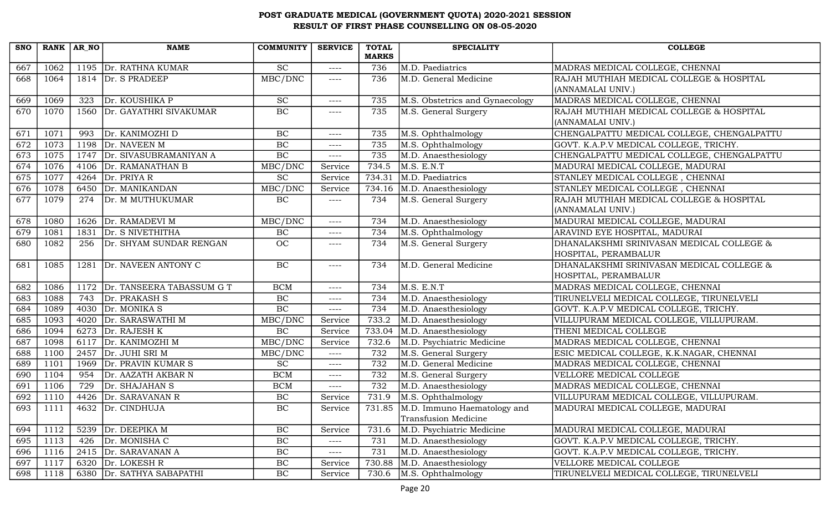| <b>SNO</b> | RANK AR NO |      | <b>NAME</b>                    | <b>COMMUNITY</b> | <b>SERVICE</b> | <b>TOTAL</b>        | <b>SPECIALITY</b>                  | <b>COLLEGE</b>                                                              |
|------------|------------|------|--------------------------------|------------------|----------------|---------------------|------------------------------------|-----------------------------------------------------------------------------|
| 667        | 1062       |      | 1195 Dr. RATHNA KUMAR          | <b>SC</b>        |                | <b>MARKS</b><br>736 | M.D. Paediatrics                   |                                                                             |
| 668        | 1064       |      | 1814 $Dr. S PRADEEP$           | MBC/DNC          | $---$<br>----  | 736                 | M.D. General Medicine              | MADRAS MEDICAL COLLEGE, CHENNAI<br>RAJAH MUTHIAH MEDICAL COLLEGE & HOSPITAL |
|            |            |      |                                |                  |                |                     |                                    | (ANNAMALAI UNIV.)                                                           |
| 669        | 1069       | 323  | Dr. KOUSHIKA P                 | <b>SC</b>        |                | 735                 | M.S. Obstetrics and Gynaecology    | MADRAS MEDICAL COLLEGE, CHENNAI                                             |
| 670        |            |      | Dr. GAYATHRI SIVAKUMAR         | BC               | ----           |                     |                                    | RAJAH MUTHIAH MEDICAL COLLEGE & HOSPITAL                                    |
|            | 1070       | 1560 |                                |                  | ----           | 735                 | M.S. General Surgery               | (ANNAMALAI UNIV.)                                                           |
| 671        | 1071       | 993  | Dr. KANIMOZHI D                | BC               | $---$          | 735                 | M.S. Ophthalmology                 | CHENGALPATTU MEDICAL COLLEGE, CHENGALPATTU                                  |
| 672        | 1073       | 1198 | Dr. NAVEEN M                   | $\rm BC$         | $--- -$        | 735                 | M.S. Ophthalmology                 | GOVT. K.A.P.V MEDICAL COLLEGE, TRICHY.                                      |
| 673        | 1075       |      | 1747 Dr. SIVASUBRAMANIYAN A    | BC               | ----           | 735                 | M.D. Anaesthesiology               | CHENGALPATTU MEDICAL COLLEGE, CHENGALPATTU                                  |
| 674        | 1076       | 4106 | Dr. RAMANATHAN B               | MBC/DNC          | Service        | 734.5               | M.S. E.N.T                         | MADURAI MEDICAL COLLEGE, MADURAI                                            |
| 675        | 1077       | 4264 | Dr. PRIYA R                    | <b>SC</b>        | Service        | 734.31              | M.D. Paediatrics                   | STANLEY MEDICAL COLLEGE, CHENNAI                                            |
| 676        | 1078       | 6450 | Dr. MANIKANDAN                 | MBC/DNC          | Service        | 734.16              | M.D. Anaesthesiology               | STANLEY MEDICAL COLLEGE, CHENNAI                                            |
| 677        | 1079       | 274  | Dr. M MUTHUKUMAR               | BC               | ----           | 734                 | M.S. General Surgery               | RAJAH MUTHIAH MEDICAL COLLEGE & HOSPITAL                                    |
|            |            |      |                                |                  |                |                     |                                    | (ANNAMALAI UNIV.)                                                           |
| 678        | 1080       |      | 1626   Dr. RAMADEVI M          | MBC/DNC          | $---$          | 734                 | M.D. Anaesthesiology               | MADURAI MEDICAL COLLEGE, MADURAI                                            |
| 679        | 1081       | 1831 | Dr. S NIVETHITHA               | $\rm BC$         | ----           | 734                 | M.S. Ophthalmology                 | ARAVIND EYE HOSPITAL, MADURAI                                               |
| 680        | 1082       | 256  | Dr. SHYAM SUNDAR RENGAN        | OC               | ----           | 734                 | M.S. General Surgery               | DHANALAKSHMI SRINIVASAN MEDICAL COLLEGE &                                   |
|            |            |      |                                |                  |                |                     |                                    | HOSPITAL, PERAMBALUR                                                        |
| 681        | 1085       | 1281 | Dr. NAVEEN ANTONY C            | BC               | $---$          | 734                 | M.D. General Medicine              | DHANALAKSHMI SRINIVASAN MEDICAL COLLEGE &                                   |
|            |            |      |                                |                  |                |                     |                                    | HOSPITAL, PERAMBALUR                                                        |
| 682        | 1086       |      | 1172 Dr. TANSEERA TABASSUM G T | <b>BCM</b>       | ----           | 734                 | M.S. E.N.T                         | MADRAS MEDICAL COLLEGE, CHENNAI                                             |
| 683        | 1088       | 743  | Dr. PRAKASH S                  | BC               | $---$          | 734                 | M.D. Anaesthesiology               | TIRUNELVELI MEDICAL COLLEGE, TIRUNELVELI                                    |
| 684        | 1089       | 4030 | Dr. MONIKA S                   | BC               | ----           | 734                 | M.D. Anaesthesiology               | GOVT. K.A.P.V MEDICAL COLLEGE, TRICHY.                                      |
| 685        | 1093       | 4020 | Dr. SARASWATHI M               | MBC/DNC          | Service        | 733.2               | M.D. Anaesthesiology               | VILLUPURAM MEDICAL COLLEGE, VILLUPURAM.                                     |
| 686        | 1094       | 6273 | Dr. RAJESH K                   | $\rm BC$         | Service        | 733.04              | M.D. Anaesthesiology               | THENI MEDICAL COLLEGE                                                       |
| 687        | 1098       | 6117 | Dr. KANIMOZHI M                | MBC/DNC          | Service        | 732.6               | M.D. Psychiatric Medicine          | MADRAS MEDICAL COLLEGE, CHENNAI                                             |
| 688        | 1100       |      | 2457 $\vert$ Dr. JUHI SRI M    | MBC/DNC          | $---$          | 732                 | M.S. General Surgery               | ESIC MEDICAL COLLEGE, K.K.NAGAR, CHENNAI                                    |
| 689        | 1101       | 1969 | Dr. PRAVIN KUMAR S             | <b>SC</b>        | $---$          | 732                 | M.D. General Medicine              | MADRAS MEDICAL COLLEGE, CHENNAI                                             |
| 690        | 1104       | 954  | Dr. AAZATH AKBAR N             | <b>BCM</b>       | $---$          | 732                 | M.S. General Surgery               | VELLORE MEDICAL COLLEGE                                                     |
| 691        | 1106       | 729  | Dr. SHAJAHAN S                 | <b>BCM</b>       | ----           | 732                 | M.D. Anaesthesiology               | MADRAS MEDICAL COLLEGE, CHENNAI                                             |
| 692        | 1110       |      | 4426 Dr. SARAVANAN R           | BC               | Service        | 731.9               | M.S. Ophthalmology                 | VILLUPURAM MEDICAL COLLEGE, VILLUPURAM.                                     |
| 693        | 1111       |      | 4632 Dr. CINDHUJA              | BC               | Service        |                     | 731.85 M.D. Immuno Haematology and | MADURAI MEDICAL COLLEGE, MADURAI                                            |
|            |            |      |                                |                  |                |                     | Transfusion Medicine               |                                                                             |
| 694        | 1112       | 5239 | Dr. DEEPIKA M                  | $\rm BC$         | Service        | 731.6               | M.D. Psychiatric Medicine          | MADURAI MEDICAL COLLEGE, MADURAI                                            |
| 695        | 1113       | 426  | Dr. MONISHA C                  | $\rm BC$         | $--- -$        | 731                 | M.D. Anaesthesiology               | GOVT. K.A.P.V MEDICAL COLLEGE, TRICHY.                                      |
| 696        | 1116       |      | 2415 Dr. SARAVANAN A           | $\rm BC$         | ----           | 731                 | M.D. Anaesthesiology               | GOVT. K.A.P.V MEDICAL COLLEGE, TRICHY.                                      |
| 697        | 1117       | 6320 | Dr. LOKESH R                   | $\rm BC$         | Service        | 730.88              | M.D. Anaesthesiology               | VELLORE MEDICAL COLLEGE                                                     |
| 698        | 1118       |      | 6380 Dr. SATHYA SABAPATHI      | BC               | Service        | 730.6               | M.S. Ophthalmology                 | TIRUNELVELI MEDICAL COLLEGE, TIRUNELVELI                                    |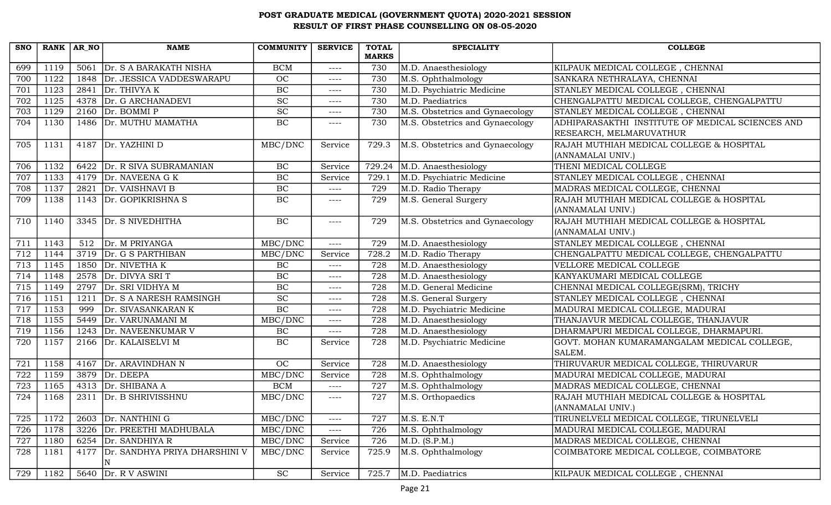| <b>SNO</b> | RANK AR NO |      | <b>NAME</b>                        | <b>COMMUNITY</b>            | <b>SERVICE</b> | <b>TOTAL</b> | <b>SPECIALITY</b>               | <b>COLLEGE</b>                                   |
|------------|------------|------|------------------------------------|-----------------------------|----------------|--------------|---------------------------------|--------------------------------------------------|
|            |            |      |                                    |                             |                | <b>MARKS</b> |                                 |                                                  |
| 699        | 1119       | 5061 | Dr. S A BARAKATH NISHA             | <b>BCM</b>                  | $--- -$        | 730          | M.D. Anaesthesiology            | KILPAUK MEDICAL COLLEGE, CHENNAI                 |
| 700        | 1122       | 1848 | Dr. JESSICA VADDESWARAPU           | OC                          | $--- -$        | 730          | M.S. Ophthalmology              | SANKARA NETHRALAYA, CHENNAI                      |
| 701        | 1123       |      | 2841 $Dr. THIVYA K$                | BC                          | $--- -$        | 730          | M.D. Psychiatric Medicine       | STANLEY MEDICAL COLLEGE, CHENNAI                 |
| 702        | 1125       | 4378 | Dr. G ARCHANADEVI                  | $\overline{SC}$             | ----           | 730          | M.D. Paediatrics                | CHENGALPATTU MEDICAL COLLEGE, CHENGALPATTU       |
| 703        | 1129       | 2160 | Dr. BOMMI P                        | $\protect\operatorname{SC}$ | $--- -$        | 730          | M.S. Obstetrics and Gynaecology | STANLEY MEDICAL COLLEGE, CHENNAI                 |
| 704        | 1130       |      | 1486 Dr. MUTHU MAMATHA             | BC                          | ----           | 730          | M.S. Obstetrics and Gynaecology | ADHIPARASAKTHI INSTITUTE OF MEDICAL SCIENCES AND |
|            |            |      |                                    |                             |                |              |                                 | RESEARCH, MELMARUVATHUR                          |
| 705        | 1131       |      | 4187 Dr. YAZHINI D                 | MBC/DNC                     | Service        | 729.3        | M.S. Obstetrics and Gynaecology | RAJAH MUTHIAH MEDICAL COLLEGE & HOSPITAL         |
|            |            |      |                                    |                             |                |              |                                 | (ANNAMALAI UNIV.)                                |
| 706        | 1132       | 6422 | Dr. R SIVA SUBRAMANIAN             | $\rm BC$                    | Service        | 729.24       | M.D. Anaesthesiology            | THENI MEDICAL COLLEGE                            |
| 707        | 1133       |      | 4179 Dr. NAVEENA G K               | BC                          | Service        | 729.1        | M.D. Psychiatric Medicine       | STANLEY MEDICAL COLLEGE, CHENNAI                 |
| 708        | 1137       |      | 2821 Dr. VAISHNAVI B               | $\rm BC$                    | $---$          | 729          | M.D. Radio Therapy              | MADRAS MEDICAL COLLEGE, CHENNAI                  |
| 709        | 1138       |      | 1143 Dr. GOPIKRISHNA S             | $\rm BC$                    | ----           | 729          | M.S. General Surgery            | RAJAH MUTHIAH MEDICAL COLLEGE & HOSPITAL         |
|            |            |      |                                    |                             |                |              |                                 | (ANNAMALAI UNIV.)                                |
| 710        | 1140       |      | 3345 Dr. S NIVEDHITHA              | BC                          | $---$          | 729          | M.S. Obstetrics and Gynaecology | RAJAH MUTHIAH MEDICAL COLLEGE & HOSPITAL         |
|            |            |      |                                    |                             |                |              |                                 | (ANNAMALAI UNIV.)                                |
| 711        | 1143       | 512  | Dr. M PRIYANGA                     | MBC/DNC                     | $---$          | 729          | M.D. Anaesthesiology            | STANLEY MEDICAL COLLEGE, CHENNAI                 |
| 712        | 1144       |      | 3719 Dr. G S PARTHIBAN             | MBC/DNC                     | Service        | 728.2        | M.D. Radio Therapy              | CHENGALPATTU MEDICAL COLLEGE, CHENGALPATTU       |
| 713        | 1145       | 1850 | Dr. NIVETHA K                      | BC                          | $---$          | 728          | M.D. Anaesthesiology            | VELLORE MEDICAL COLLEGE                          |
| 714        | 1148       | 2578 | Dr. DIVYA SRI T                    | BC                          | $--- -$        | 728          | M.D. Anaesthesiology            | KANYAKUMARI MEDICAL COLLEGE                      |
| 715        | 1149       |      | 2797 $Dr. SRI VIDHYA M$            | $\rm BC$                    | $--- -$        | 728          | M.D. General Medicine           | CHENNAI MEDICAL COLLEGE(SRM), TRICHY             |
| 716        | 1151       | 1211 | Dr. S A NARESH RAMSINGH            | $\overline{SC}$             | ----           | 728          | M.S. General Surgery            | STANLEY MEDICAL COLLEGE, CHENNAI                 |
| 717        | 1153       | 999  | Dr. SIVASANKARAN K                 | $\rm BC$                    | $---$          | 728          | M.D. Psychiatric Medicine       | MADURAI MEDICAL COLLEGE, MADURAI                 |
| 718        | 1155       | 5449 | Dr. VARUNAMANI M                   | MBC/DNC                     | $--- -$        | 728          | M.D. Anaesthesiology            | THANJAVUR MEDICAL COLLEGE, THANJAVUR             |
| 719        | 1156       | 1243 | Dr. NAVEENKUMAR V                  | BC                          | ----           | 728          | M.D. Anaesthesiology            | DHARMAPURI MEDICAL COLLEGE, DHARMAPURI.          |
| 720        | 1157       |      | 2166 Dr. KALAISELVI M              | $\rm BC$                    | Service        | 728          | M.D. Psychiatric Medicine       | GOVT. MOHAN KUMARAMANGALAM MEDICAL COLLEGE,      |
|            |            |      |                                    |                             |                |              |                                 | SALEM.                                           |
| 721        | 1158       | 4167 | Dr. ARAVINDHAN N                   | <b>OC</b>                   | Service        | 728          | M.D. Anaesthesiology            | THIRUVARUR MEDICAL COLLEGE, THIRUVARUR           |
| 722        | 1159       | 3879 | Dr. DEEPA                          | MBC/DNC                     | Service        | 728          | M.S. Ophthalmology              | MADURAI MEDICAL COLLEGE, MADURAI                 |
| 723        | 1165       |      | 4313 $\vert$ Dr. SHIBANA A         | <b>BCM</b>                  | $---$          | 727          | M.S. Ophthalmology              | MADRAS MEDICAL COLLEGE, CHENNAI                  |
| 724        | 1168       | 2311 | Dr. B SHRIVISSHNU                  | MBC/DNC                     | $---$          | 727          | M.S. Orthopaedics               | RAJAH MUTHIAH MEDICAL COLLEGE & HOSPITAL         |
|            |            |      |                                    |                             |                |              |                                 | (ANNAMALAI UNIV.)                                |
| 725        | 1172       | 2603 | Dr. NANTHINI G                     | MBC/DNC                     | $---$          | 727          | M.S. E.N.T                      | TIRUNELVELI MEDICAL COLLEGE, TIRUNELVELI         |
| 726        | 1178       | 3226 | Dr. PREETHI MADHUBALA              | MBC/DNC                     | ----           | 726          | M.S. Ophthalmology              | MADURAI MEDICAL COLLEGE, MADURAI                 |
| 727        | 1180       |      | 6254 $Dr.$ SANDHIYA R              | MBC/DNC                     | Service        | 726          | M.D. (S.P.M.)                   | MADRAS MEDICAL COLLEGE, CHENNAI                  |
| 728        | 1181       |      | 4177 Dr. SANDHYA PRIYA DHARSHINI V | MBC/DNC                     | Service        | 725.9        | M.S. Ophthalmology              | COIMBATORE MEDICAL COLLEGE, COIMBATORE           |
|            |            |      |                                    |                             |                |              |                                 |                                                  |
| 729        | 1182       |      | 5640 $Dr. R V ASWINI$              | <b>SC</b>                   | Service        | 725.7        | M.D. Paediatrics                | KILPAUK MEDICAL COLLEGE, CHENNAI                 |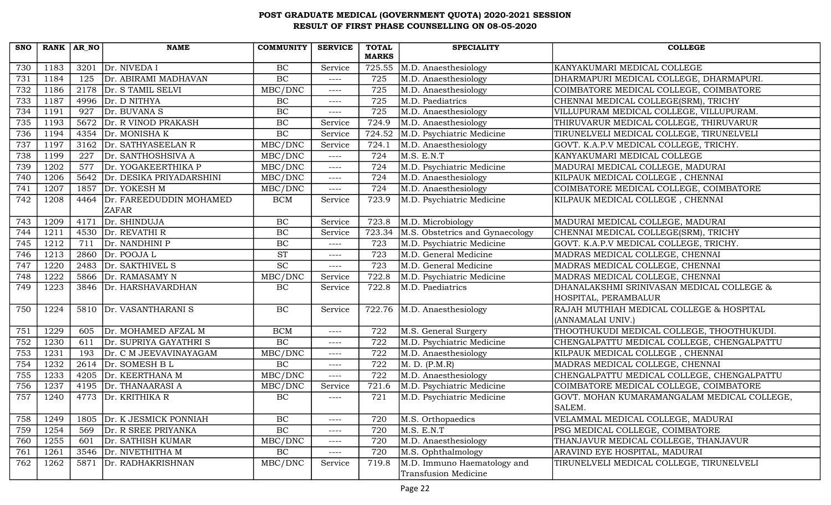| <b>SNO</b> | RANK AR NO |      | <b>NAME</b>                             | <b>COMMUNITY</b>       | <b>SERVICE</b> | <b>TOTAL</b> | <b>SPECIALITY</b>               | <b>COLLEGE</b>                                                |
|------------|------------|------|-----------------------------------------|------------------------|----------------|--------------|---------------------------------|---------------------------------------------------------------|
|            |            |      |                                         |                        |                | <b>MARKS</b> |                                 |                                                               |
| 730        | 1183       | 3201 | Dr. NIVEDA I                            | $\rm BC$               | Service        | 725.55       | M.D. Anaesthesiology            | KANYAKUMARI MEDICAL COLLEGE                                   |
| 731        | 1184       | 125  | Dr. ABIRAMI MADHAVAN                    | BC                     | $--- -$        | 725          | M.D. Anaesthesiology            | DHARMAPURI MEDICAL COLLEGE, DHARMAPURI.                       |
| 732        | 1186       | 2178 | Dr. S TAMIL SELVI                       | MBC/DNC                | $--- -$        | 725          | M.D. Anaesthesiology            | COIMBATORE MEDICAL COLLEGE, COIMBATORE                        |
| 733        | 1187       | 4996 | Dr. D NITHYA                            | BC                     | $--- -$        | 725          | M.D. Paediatrics                | CHENNAI MEDICAL COLLEGE(SRM), TRICHY                          |
| 734        | 1191       | 927  | Dr. BUVANA S                            | BC                     | $--- - -$      | 725          | M.D. Anaesthesiology            | VILLUPURAM MEDICAL COLLEGE, VILLUPURAM.                       |
| 735        | 1193       | 5672 | Dr. R VINOD PRAKASH                     | $\rm BC$               | Service        | 724.9        | M.D. Anaesthesiology            | THIRUVARUR MEDICAL COLLEGE, THIRUVARUR                        |
| 736        | 1194       | 4354 | Dr. MONISHAK                            | BC                     | Service        | 724.52       | M.D. Psychiatric Medicine       | TIRUNELVELI MEDICAL COLLEGE, TIRUNELVELI                      |
| 737        | 1197       | 3162 | Dr. SATHYASEELAN R                      | MBC/DNC                | Service        | 724.1        | M.D. Anaesthesiology            | GOVT. K.A.P.V MEDICAL COLLEGE, TRICHY.                        |
| 738        | 1199       | 227  | Dr. SANTHOSHSIVA A                      | MBC/DNC                | $---$          | 724          | M.S. E.N.T                      | KANYAKUMARI MEDICAL COLLEGE                                   |
| 739        | 1202       | 577  | Dr. YOGAKEERTHIKA P                     | MBC/DNC                | $--- - -$      | 724          | M.D. Psychiatric Medicine       | MADURAI MEDICAL COLLEGE, MADURAI                              |
| 740        | 1206       | 5642 | Dr. DESIKA PRIYADARSHINI                | MBC/DNC                | $---$          | 724          | M.D. Anaesthesiology            | KILPAUK MEDICAL COLLEGE, CHENNAI                              |
| 741        | 1207       | 1857 | Dr. YOKESH M                            | MBC/DNC                | $--- -$        | 724          | M.D. Anaesthesiology            | COIMBATORE MEDICAL COLLEGE, COIMBATORE                        |
| 742        | 1208       | 4464 | Dr. FAREEDUDDIN MOHAMED<br><b>ZAFAR</b> | <b>BCM</b>             | Service        | 723.9        | M.D. Psychiatric Medicine       | KILPAUK MEDICAL COLLEGE, CHENNAI                              |
| 743        | 1209       | 4171 | Dr. SHINDUJA                            | $\rm BC$               | Service        | 723.8        | M.D. Microbiology               | MADURAI MEDICAL COLLEGE, MADURAI                              |
| 744        | 1211       | 4530 | Dr. REVATHI R                           | BC                     | Service        | 723.34       | M.S. Obstetrics and Gynaecology | CHENNAI MEDICAL COLLEGE(SRM), TRICHY                          |
| 745        | 1212       | 711  | Dr. NANDHINI P                          | BC                     | $--- -$        | 723          | M.D. Psychiatric Medicine       | GOVT. K.A.P.V MEDICAL COLLEGE, TRICHY.                        |
| 746        | 1213       | 2860 | Dr. POOJA L                             | $\overline{\text{ST}}$ | $--- -$        | 723          | M.D. General Medicine           | MADRAS MEDICAL COLLEGE, CHENNAI                               |
| 747        | 1220       | 2483 | Dr. SAKTHIVEL S                         | <b>SC</b>              | $---$          | 723          | M.D. General Medicine           | MADRAS MEDICAL COLLEGE, CHENNAI                               |
| 748        | 1222       | 5866 | Dr. RAMASAMY N                          | MBC/DNC                | Service        | 722.8        | M.D. Psychiatric Medicine       | MADRAS MEDICAL COLLEGE, CHENNAI                               |
| 749        | 1223       | 3846 | Dr. HARSHAVARDHAN                       | BC                     | Service        | 722.8        | M.D. Paediatrics                | DHANALAKSHMI SRINIVASAN MEDICAL COLLEGE &                     |
|            |            |      |                                         |                        |                |              |                                 | HOSPITAL, PERAMBALUR                                          |
| 750        | 1224       | 5810 | Dr. VASANTHARANI S                      | $\rm BC$               | Service        |              | 722.76 M.D. Anaesthesiology     | RAJAH MUTHIAH MEDICAL COLLEGE & HOSPITAL<br>(ANNAMALAI UNIV.) |
| 751        | 1229       | 605  | Dr. MOHAMED AFZAL M                     | <b>BCM</b>             | $--- -$        | 722          | M.S. General Surgery            | THOOTHUKUDI MEDICAL COLLEGE, THOOTHUKUDI.                     |
| 752        | 1230       | 611  | Dr. SUPRIYA GAYATHRI S                  | BC                     | $--- -$        | 722          | M.D. Psychiatric Medicine       | CHENGALPATTU MEDICAL COLLEGE, CHENGALPATTU                    |
| 753        | 1231       | 193  | Dr. C M JEEVAVINAYAGAM                  | MBC/DNC                | $--- -$        | 722          | M.D. Anaesthesiology            | KILPAUK MEDICAL COLLEGE, CHENNAI                              |
| 754        | 1232       | 2614 | Dr. SOMESH B L                          | BC                     | $--- - -$      | 722          | M. D. (P.M.R)                   | MADRAS MEDICAL COLLEGE, CHENNAI                               |
| 755        | 1233       | 4205 | Dr. KEERTHANA M                         | MBC/DNC                | $--- -$        | 722          | M.D. Anaesthesiology            | CHENGALPATTU MEDICAL COLLEGE, CHENGALPATTU                    |
| 756        | 1237       | 4195 | Dr. THANAARASI A                        | MBC/DNC                | Service        | 721.6        | M.D. Psychiatric Medicine       | COIMBATORE MEDICAL COLLEGE, COIMBATORE                        |
| 757        | 1240       |      | 4773 Dr. KRITHIKA R                     | BC                     | ----           | 721          | M.D. Psychiatric Medicine       | GOVT. MOHAN KUMARAMANGALAM MEDICAL COLLEGE,                   |
|            |            |      |                                         |                        |                |              |                                 | SALEM.                                                        |
| 758        | 1249       | 1805 | Dr. K JESMICK PONNIAH                   | BC                     | $--- -$        | 720          | M.S. Orthopaedics               | VELAMMAL MEDICAL COLLEGE, MADURAI                             |
| 759        | 1254       | 569  | Dr. R SREE PRIYANKA                     | BC                     | $--- - -$      | 720          | M.S. E.N.T                      | PSG MEDICAL COLLEGE, COIMBATORE                               |
| 760        | 1255       | 601  | Dr. SATHISH KUMAR                       | MBC/DNC                | $--- -$        | 720          | M.D. Anaesthesiology            | THANJAVUR MEDICAL COLLEGE, THANJAVUR                          |
| 761        | 1261       | 3546 | Dr. NIVETHITHA M                        | BC                     | $--- -$        | 720          | M.S. Ophthalmology              | ARAVIND EYE HOSPITAL, MADURAI                                 |
| 762        | 1262       | 5871 | Dr. RADHAKRISHNAN                       | MBC/DNC                | Service        | 719.8        | M.D. Immuno Haematology and     | TIRUNELVELI MEDICAL COLLEGE, TIRUNELVELI                      |
|            |            |      |                                         |                        |                |              | Transfusion Medicine            |                                                               |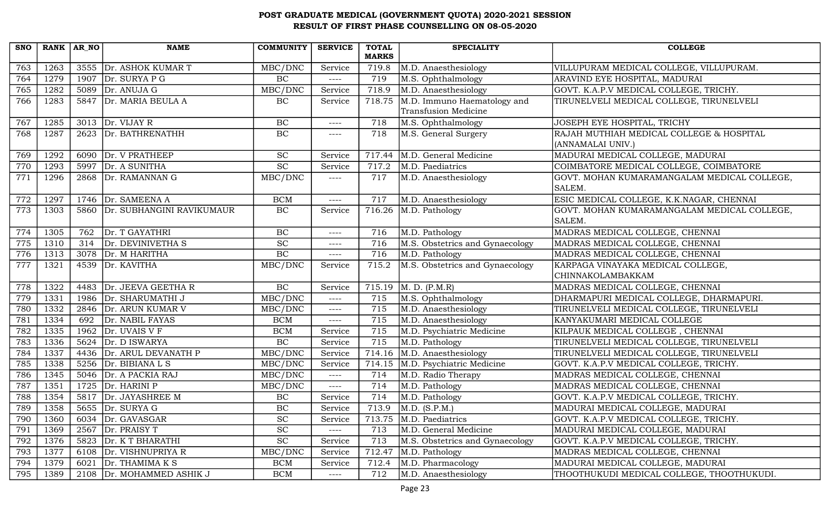| <b>SNO</b> | RANK $AR_N$ |      | <b>NAME</b>               | <b>COMMUNITY</b>    | <b>SERVICE</b> | <b>TOTAL</b> | <b>SPECIALITY</b>                   | <b>COLLEGE</b>                              |
|------------|-------------|------|---------------------------|---------------------|----------------|--------------|-------------------------------------|---------------------------------------------|
|            |             |      |                           |                     |                | <b>MARKS</b> |                                     |                                             |
| 763        | 1263        |      | 3555 Dr. ASHOK KUMAR T    | MBC/DNC             | Service        | 719.8        | M.D. Anaesthesiology                | VILLUPURAM MEDICAL COLLEGE, VILLUPURAM.     |
| 764        | 1279        |      | 1907 $Dr.$ SURYA P G      | BC                  | $---$          | 719          | M.S. Ophthalmology                  | ARAVIND EYE HOSPITAL, MADURAI               |
| 765        | 1282        |      | 5089 $Dr. ANUJA G$        | MBC/DNC             | Service        | 718.9        | M.D. Anaesthesiology                | GOVT. K.A.P.V MEDICAL COLLEGE, TRICHY.      |
| 766        | 1283        |      | 5847 Dr. MARIA BEULA A    | $\rm BC$            | Service        | 718.75       | M.D. Immuno Haematology and         | TIRUNELVELI MEDICAL COLLEGE, TIRUNELVELI    |
|            |             |      |                           |                     |                |              | <b>Transfusion Medicine</b>         |                                             |
| 767        | 1285        |      | $3013$ Dr. VIJAY R        | BC                  | $--- -$        | 718          | M.S. Ophthalmology                  | JOSEPH EYE HOSPITAL, TRICHY                 |
| 768        | 1287        | 2623 | Dr. BATHRENATHH           | BC                  | $--- - -$      | 718          | M.S. General Surgery                | RAJAH MUTHIAH MEDICAL COLLEGE & HOSPITAL    |
|            |             |      |                           |                     |                |              |                                     | (ANNAMALAI UNIV.)                           |
| 769        | 1292        | 6090 | Dr. V PRATHEEP            | SC                  | Service        | 717.44       | M.D. General Medicine               | MADURAI MEDICAL COLLEGE, MADURAI            |
| 770        | 1293        | 5997 | Dr. A SUNITHA             | $\overline{SC}$     | Service        | 717.2        | M.D. Paediatrics                    | COIMBATORE MEDICAL COLLEGE, COIMBATORE      |
| 771        | 1296        |      | 2868 Dr. RAMANNAN G       | MBC/DNC             | $--- -$        | 717          | M.D. Anaesthesiology                | GOVT. MOHAN KUMARAMANGALAM MEDICAL COLLEGE, |
|            |             |      |                           |                     |                |              |                                     | SALEM.                                      |
| 772        | 1297        |      | 1746 Dr. SAMEENA A        | <b>BCM</b>          | ----           | 717          | M.D. Anaesthesiology                | ESIC MEDICAL COLLEGE, K.K.NAGAR, CHENNAI    |
| 773        | 1303        | 5860 | Dr. SUBHANGINI RAVIKUMAUR | BC                  | Service        | 716.26       | M.D. Pathology                      | GOVT. MOHAN KUMARAMANGALAM MEDICAL COLLEGE, |
|            |             |      |                           |                     |                |              |                                     | SALEM.                                      |
| 774        | 1305        | 762  | Dr. T GAYATHRI            | BC                  | $--- -$        | 716          | M.D. Pathology                      | MADRAS MEDICAL COLLEGE, CHENNAI             |
| 775        | 1310        | 314  | Dr. DEVINIVETHA S         | $\overline{SC}$     | $--- -$        | 716          | M.S. Obstetrics and Gynaecology     | MADRAS MEDICAL COLLEGE, CHENNAI             |
| 776        | 1313        |      | 3078 Dr. M HARITHA        | BC                  | $--- -$        | 716          | M.D. Pathology                      | MADRAS MEDICAL COLLEGE, CHENNAI             |
| 777        | 1321        | 4539 | Dr. KAVITHA               | MBC/DNC             | Service        | 715.2        | M.S. Obstetrics and Gynaecology     | KARPAGA VINAYAKA MEDICAL COLLEGE,           |
|            |             |      |                           |                     |                |              |                                     | CHINNAKOLAMBAKKAM                           |
| 778        | 1322        |      | 4483 Dr. JEEVA GEETHA R   | BC                  | Service        | 715.19       | M. D. (P.M.R)                       | MADRAS MEDICAL COLLEGE, CHENNAI             |
| 779        | 1331        |      | 1986   Dr. SHARUMATHI J   | MBC/DNC             | $--- -$        | 715          | M.S. Ophthalmology                  | DHARMAPURI MEDICAL COLLEGE, DHARMAPURI.     |
| 780        | 1332        | 2846 | Dr. ARUN KUMAR V          | MBC/DNC             | $--- -$        | 715          | M.D. Anaesthesiology                | TIRUNELVELI MEDICAL COLLEGE, TIRUNELVELI    |
| 781        | 1334        | 692  | Dr. NABIL FAYAS           | <b>BCM</b>          | $--- - -$      | 715          | M.D. Anaesthesiology                | KANYAKUMARI MEDICAL COLLEGE                 |
| 782        | 1335        | 1962 | Dr. UVAIS V F             | <b>BCM</b>          | Service        | 715          | M.D. Psychiatric Medicine           | KILPAUK MEDICAL COLLEGE, CHENNAI            |
| 783        | 1336        |      | 5624 $Dr. D ISWARYA$      | BC                  | Service        | 715          | M.D. Pathology                      | TIRUNELVELI MEDICAL COLLEGE, TIRUNELVELI    |
| 784        | 1337        |      | 4436 Dr. ARUL DEVANATH P  | MBC/DNC             | Service        | 714.16       | M.D. Anaesthesiology                | TIRUNELVELI MEDICAL COLLEGE, TIRUNELVELI    |
| 785        | 1338        | 5256 | Dr. BIBIANA L S           | MBC/DNC             | Service        | 714.15       | M.D. Psychiatric Medicine           | GOVT. K.A.P.V MEDICAL COLLEGE, TRICHY.      |
| 786        | 1345        | 5046 | Dr. A PACKIA RAJ          | MBC/DNC             | $---$          | 714          | M.D. Radio Therapy                  | MADRAS MEDICAL COLLEGE, CHENNAI             |
| 787        | 1351        | 1725 | Dr. HARINI P              | MBC/DNC             | $---$          | 714          | M.D. Pathology                      | MADRAS MEDICAL COLLEGE, CHENNAI             |
| 788        | 1354        |      | 5817 Dr. JAYASHREE M      | $\rm BC$            | Service        | 714          | M.D. Pathology                      | GOVT. K.A.P.V MEDICAL COLLEGE, TRICHY.      |
| 789        | 1358        |      | 5655 Dr. SURYA G          | BC                  | Service        | 713.9        | $\overline{\mathrm{M.D. (S.P.M.)}}$ | MADURAI MEDICAL COLLEGE, MADURAI            |
| 790        | 1360        | 6034 | Dr. GAVASGAR              | $\operatorname{SC}$ | Service        | 713.75       | M.D. Paediatrics                    | GOVT. K.A.P.V MEDICAL COLLEGE, TRICHY.      |
| 791        | 1369        | 2567 | Dr. PRAISY T              | SC                  | $--- -$        | 713          | M.D. General Medicine               | MADURAI MEDICAL COLLEGE, MADURAI            |
| 792        | 1376        |      | 5823 Dr. K T BHARATHI     | $\operatorname{SC}$ | Service        | 713          | M.S. Obstetrics and Gynaecology     | GOVT. K.A.P.V MEDICAL COLLEGE, TRICHY.      |
| 793        | 1377        |      | 6108 Dr. VISHNUPRIYA R    | MBC/DNC             | Service        | 712.47       | M.D. Pathology                      | MADRAS MEDICAL COLLEGE, CHENNAI             |
| 794        | 1379        | 6021 | Dr. THAMIMA K S           | <b>BCM</b>          | Service        | 712.4        | M.D. Pharmacology                   | MADURAI MEDICAL COLLEGE, MADURAI            |
| 795        | 1389        |      | 2108 Dr. MOHAMMED ASHIK J | <b>BCM</b>          | $---$          | 712          | M.D. Anaesthesiology                | THOOTHUKUDI MEDICAL COLLEGE, THOOTHUKUDI.   |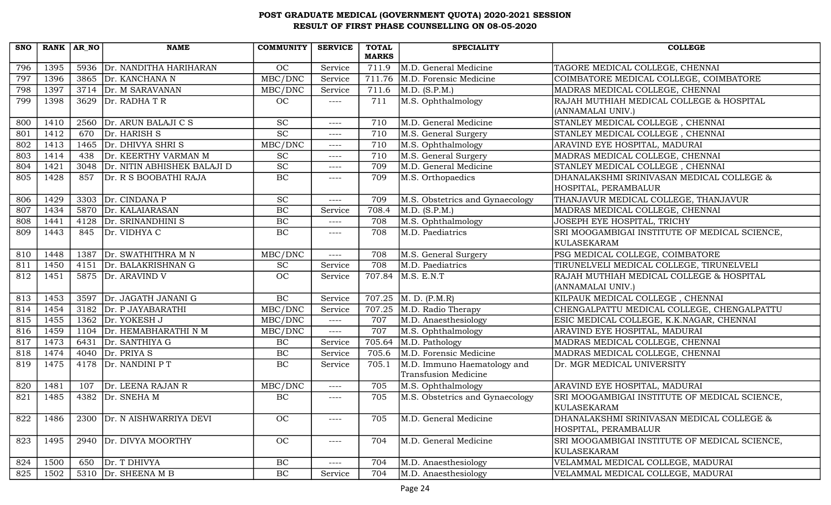| <b>SNO</b> | RANK AR NO |      | <b>NAME</b>                 | <b>COMMUNITY</b> | <b>SERVICE</b> | <b>TOTAL</b> | <b>SPECIALITY</b>               | <b>COLLEGE</b>                                |
|------------|------------|------|-----------------------------|------------------|----------------|--------------|---------------------------------|-----------------------------------------------|
|            |            |      |                             |                  |                | <b>MARKS</b> |                                 |                                               |
| 796        | 1395       | 5936 | Dr. NANDITHA HARIHARAN      | OC               | Service        | 711.9        | M.D. General Medicine           | TAGORE MEDICAL COLLEGE, CHENNAI               |
| 797        | 1396       |      | 3865 Dr. KANCHANA N         | MBC/DNC          | Service        | 711.76       | M.D. Forensic Medicine          | COIMBATORE MEDICAL COLLEGE, COIMBATORE        |
| 798        | 1397       |      | 3714 Dr. M SARAVANAN        | MBC/DNC          | Service        | 711.6        | M.D. (S.P.M.)                   | MADRAS MEDICAL COLLEGE, CHENNAI               |
| 799        | 1398       |      | 3629 $Dr.$ RADHA T R        | OC.              | ----           | 711          | M.S. Ophthalmology              | RAJAH MUTHIAH MEDICAL COLLEGE & HOSPITAL      |
|            |            |      |                             |                  |                |              |                                 | (ANNAMALAI UNIV.)                             |
| 800        | 1410       | 2560 | Dr. ARUN BALAJI C S         | <b>SC</b>        | $---$          | 710          | M.D. General Medicine           | STANLEY MEDICAL COLLEGE, CHENNAI              |
| 801        | 1412       | 670  | Dr. HARISH S                | $\overline{SC}$  | ----           | 710          | M.S. General Surgery            | STANLEY MEDICAL COLLEGE, CHENNAI              |
| 802        | 1413       |      | 1465 $Dr. DHIVYA SHRI S$    | MBC/DNC          | $--- -$        | 710          | M.S. Ophthalmology              | ARAVIND EYE HOSPITAL, MADURAI                 |
| 803        | 1414       | 438  | Dr. KEERTHY VARMAN M        | <b>SC</b>        | ----           | 710          | M.S. General Surgery            | MADRAS MEDICAL COLLEGE, CHENNAI               |
| 804        | 1421       | 3048 | Dr. NITIN ABHISHEK BALAJI D | SC               | $---$          | 709          | M.D. General Medicine           | STANLEY MEDICAL COLLEGE, CHENNAI              |
| 805        | 1428       | 857  | Dr. R S BOOBATHI RAJA       | $\rm BC$         | ----           | 709          | M.S. Orthopaedics               | DHANALAKSHMI SRINIVASAN MEDICAL COLLEGE &     |
|            |            |      |                             |                  |                |              |                                 | HOSPITAL, PERAMBALUR                          |
| 806        | 1429       |      | 3303 Dr. CINDANA P          | $\overline{SC}$  | ----           | 709          | M.S. Obstetrics and Gynaecology | THANJAVUR MEDICAL COLLEGE, THANJAVUR          |
| 807        | 1434       | 5870 | Dr. KALAIARASAN             | BC               | Service        | 708.4        | M.D. (S.P.M.)                   | MADRAS MEDICAL COLLEGE, CHENNAI               |
| 808        | 1441       | 4128 | Dr. SRINANDHINI S           | BC               | $--- -$        | 708          | M.S. Ophthalmology              | JOSEPH EYE HOSPITAL, TRICHY                   |
| 809        | 1443       | 845  | Dr. VIDHYA C                | BC               | ----           | 708          | M.D. Paediatrics                | SRI MOOGAMBIGAI INSTITUTE OF MEDICAL SCIENCE, |
|            |            |      |                             |                  |                |              |                                 | KULASEKARAM                                   |
| 810        | 1448       |      | 1387 Dr. SWATHITHRA M N     | MBC/DNC          | ----           | 708          | M.S. General Surgery            | PSG MEDICAL COLLEGE, COIMBATORE               |
| 811        | 1450       | 4151 | Dr. BALAKRISHNAN G          | <b>SC</b>        | Service        | 708          | M.D. Paediatrics                | TIRUNELVELI MEDICAL COLLEGE, TIRUNELVELI      |
| 812        | 1451       |      | 5875 Dr. ARAVIND V          | <b>OC</b>        | Service        | 707.84       | M.S. E.N.T                      | RAJAH MUTHIAH MEDICAL COLLEGE & HOSPITAL      |
|            |            |      |                             |                  |                |              |                                 | (ANNAMALAI UNIV.)                             |
| 813        | 1453       |      | 3597 Dr. JAGATH JANANI G    | BC               | Service        | 707.25       | M. D. (P.M.R)                   | KILPAUK MEDICAL COLLEGE, CHENNAI              |
| 814        | 1454       |      | 3182 Dr. P JAYABARATHI      | MBC/DNC          | Service        | 707.25       | M.D. Radio Therapy              | CHENGALPATTU MEDICAL COLLEGE, CHENGALPATTU    |
| 815        | 1455       |      | 1362 $Dr. YOKESHJ$          | MBC/DNC          | $---$          | 707          | M.D. Anaesthesiology            | ESIC MEDICAL COLLEGE, K.K.NAGAR, CHENNAI      |
| 816        | 1459       | 1104 | Dr. HEMABHARATHI N M        | MBC/DNC          | $---$          | 707          | M.S. Ophthalmology              | ARAVIND EYE HOSPITAL, MADURAI                 |
| 817        | 1473       |      | 6431 Dr. SANTHIYA G         | BC               | Service        | 705.64       | M.D. Pathology                  | MADRAS MEDICAL COLLEGE, CHENNAI               |
| 818        | 1474       |      | 4040 $Dr. PRIYA S$          | BC               | Service        | 705.6        | M.D. Forensic Medicine          | MADRAS MEDICAL COLLEGE, CHENNAI               |
| 819        | 1475       | 4178 | Dr. NANDINI P T             | BC               | Service        | 705.1        | M.D. Immuno Haematology and     | Dr. MGR MEDICAL UNIVERSITY                    |
|            |            |      |                             |                  |                |              | <b>Transfusion Medicine</b>     |                                               |
| 820        | 1481       | 107  | Dr. LEENA RAJAN R           | MBC/DNC          | ----           | 705          | M.S. Ophthalmology              | ARAVIND EYE HOSPITAL, MADURAI                 |
| 821        | 1485       | 4382 | Dr. SNEHA M                 | $\rm BC$         | ----           | 705          | M.S. Obstetrics and Gynaecology | SRI MOOGAMBIGAI INSTITUTE OF MEDICAL SCIENCE, |
|            |            |      |                             |                  |                |              |                                 | KULASEKARAM                                   |
| 822        | 1486       | 2300 | Dr. N AISHWARRIYA DEVI      | OC               | ----           | 705          | M.D. General Medicine           | DHANALAKSHMI SRINIVASAN MEDICAL COLLEGE &     |
|            |            |      |                             |                  |                |              |                                 | HOSPITAL, PERAMBALUR                          |
| 823        | 1495       |      | 2940 Dr. DIVYA MOORTHY      | OC               | $---$          | 704          | M.D. General Medicine           | SRI MOOGAMBIGAI INSTITUTE OF MEDICAL SCIENCE, |
|            |            |      |                             |                  |                |              |                                 | KULASEKARAM                                   |
| 824        | 1500       | 650  | Dr. T DHIVYA                | $\rm BC$         | ----           | 704          | M.D. Anaesthesiology            | VELAMMAL MEDICAL COLLEGE, MADURAI             |
| 825        | 1502       |      | 5310 Dr. SHEENA M B         | $\rm BC$         | Service        | 704          | M.D. Anaesthesiology            | VELAMMAL MEDICAL COLLEGE, MADURAI             |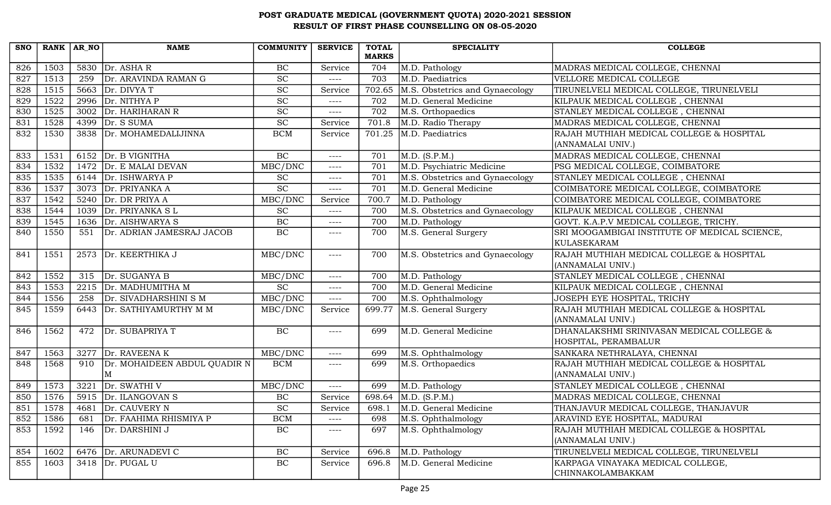| <b>SNO</b> | $RANK   AR_N$ |      | <b>NAME</b>                       | <b>COMMUNITY</b>            | <b>SERVICE</b> | <b>TOTAL</b><br><b>MARKS</b> | <b>SPECIALITY</b>               | <b>COLLEGE</b>                                                    |
|------------|---------------|------|-----------------------------------|-----------------------------|----------------|------------------------------|---------------------------------|-------------------------------------------------------------------|
| 826        | 1503          |      | 5830 $Dr. ASHA R$                 | $\rm BC$                    | Service        | 704                          | M.D. Pathology                  | MADRAS MEDICAL COLLEGE, CHENNAI                                   |
| 827        | 1513          | 259  | Dr. ARAVINDA RAMAN G              | SC                          | $---$          | 703                          | M.D. Paediatrics                | VELLORE MEDICAL COLLEGE                                           |
| 828        | 1515          |      | 5663 $Dr. DIVYA T$                | <b>SC</b>                   | Service        | 702.65                       | M.S. Obstetrics and Gynaecology | TIRUNELVELI MEDICAL COLLEGE, TIRUNELVELI                          |
| 829        | 1522          | 2996 | Dr. NITHYA P                      | SC                          | $---$          | 702                          | M.D. General Medicine           | KILPAUK MEDICAL COLLEGE, CHENNAI                                  |
| 830        | 1525          | 3002 | Dr. HARIHARAN R                   | $\protect\operatorname{SC}$ | $---$          | 702                          | M.S. Orthopaedics               | STANLEY MEDICAL COLLEGE, CHENNAI                                  |
| 831        | 1528          |      | 4399 Dr. S SUMA                   | $\overline{SC}$             | Service        | 701.8                        | M.D. Radio Therapy              | MADRAS MEDICAL COLLEGE, CHENNAI                                   |
| 832        | 1530          |      | 3838 Dr. MOHAMEDALIJINNA          | <b>BCM</b>                  | Service        | 701.25                       | M.D. Paediatrics                | RAJAH MUTHIAH MEDICAL COLLEGE & HOSPITAL<br>(ANNAMALAI UNIV.)     |
| 833        | 1531          |      | 6152 Dr. B VIGNITHA               | BC                          | $---$          | 701                          | M.D. (S.P.M.)                   | MADRAS MEDICAL COLLEGE, CHENNAI                                   |
| 834        | 1532          |      | 1472 Dr. E MALAI DEVAN            | MBC/DNC                     | ----           | 701                          | M.D. Psychiatric Medicine       | PSG MEDICAL COLLEGE, COIMBATORE                                   |
| 835        | 1535          |      | 6144 $Dr.$ ISHWARYA P             | <b>SC</b>                   | ----           | 701                          | M.S. Obstetrics and Gynaecology | STANLEY MEDICAL COLLEGE, CHENNAI                                  |
| 836        | 1537          |      | 3073 Dr. PRIYANKA A               | $\overline{SC}$             | $---$          | 701                          | M.D. General Medicine           | COIMBATORE MEDICAL COLLEGE, COIMBATORE                            |
| 837        | 1542          | 5240 | Dr. DR PRIYA A                    | MBC/DNC                     | Service        | 700.7                        | M.D. Pathology                  | COIMBATORE MEDICAL COLLEGE, COIMBATORE                            |
| 838        | 1544          | 1039 | Dr. PRIYANKA SL                   | <b>SC</b>                   | $---$          | 700                          | M.S. Obstetrics and Gynaecology | KILPAUK MEDICAL COLLEGE, CHENNAI                                  |
| 839        | 1545          | 1636 | Dr. AISHWARYA S                   | $\rm BC$                    | ----           | 700                          | M.D. Pathology                  | GOVT. K.A.P.V MEDICAL COLLEGE, TRICHY.                            |
| 840        | 1550          | 551  | Dr. ADRIAN JAMESRAJ JACOB         | BC                          | ----           | 700                          | M.S. General Surgery            | SRI MOOGAMBIGAI INSTITUTE OF MEDICAL SCIENCE,<br>KULASEKARAM      |
| 841        | 1551          |      | 2573 Dr. KEERTHIKA J              | MBC/DNC                     | $---$          | 700                          | M.S. Obstetrics and Gynaecology | RAJAH MUTHIAH MEDICAL COLLEGE & HOSPITAL<br>(ANNAMALAI UNIV.)     |
| 842        | 1552          | 315  | Dr. SUGANYA B                     | MBC/DNC                     | ----           | 700                          | M.D. Pathology                  | STANLEY MEDICAL COLLEGE, CHENNAI                                  |
| 843        | 1553          |      | 2215 $\vert$ Dr. MADHUMITHA M     | $\overline{SC}$             | $---$          | 700                          | M.D. General Medicine           | KILPAUK MEDICAL COLLEGE, CHENNAI                                  |
| 844        | 1556          | 258  | Dr. SIVADHARSHINI S M             | MBC/DNC                     | ----           | 700                          | M.S. Ophthalmology              | JOSEPH EYE HOSPITAL, TRICHY                                       |
| 845        | 1559          | 6443 | Dr. SATHIYAMURTHY M M             | MBC/DNC                     | Service        | 699.77                       | M.S. General Surgery            | RAJAH MUTHIAH MEDICAL COLLEGE & HOSPITAL<br>(ANNAMALAI UNIV.)     |
| 846        | 1562          | 472  | Dr. SUBAPRIYA T                   | <b>BC</b>                   | ----           | 699                          | M.D. General Medicine           | DHANALAKSHMI SRINIVASAN MEDICAL COLLEGE &<br>HOSPITAL, PERAMBALUR |
| 847        | 1563          | 3277 | Dr. RAVEENA K                     | MBC/DNC                     | ----           | 699                          | M.S. Ophthalmology              | SANKARA NETHRALAYA, CHENNAI                                       |
| 848        | 1568          | 910  | Dr. MOHAIDEEN ABDUL QUADIR N<br>M | <b>BCM</b>                  | ----           | 699                          | M.S. Orthopaedics               | RAJAH MUTHIAH MEDICAL COLLEGE & HOSPITAL<br>(ANNAMALAI UNIV.)     |
| 849        | 1573          | 3221 | Dr. SWATHI V                      | MBC/DNC                     | ----           | 699                          | M.D. Pathology                  | STANLEY MEDICAL COLLEGE, CHENNAI                                  |
| 850        | 1576          |      | 5915 Dr. ILANGOVAN S              | $\rm BC$                    | Service        | 698.64                       | M.D. (S.P.M.)                   | MADRAS MEDICAL COLLEGE, CHENNAI                                   |
| 851        | 1578          |      | 4681 Dr. CAUVERY N                | $\protect\operatorname{SC}$ | Service        | 698.1                        | M.D. General Medicine           | THANJAVUR MEDICAL COLLEGE, THANJAVUR                              |
| 852        | 1586          | 681  | Dr. FAAHIMA RHISMIYA P            | <b>BCM</b>                  | ----           | 698                          | M.S. Ophthalmology              | ARAVIND EYE HOSPITAL, MADURAI                                     |
| 853        | 1592          | 146  | Dr. DARSHINI J                    | BC                          | ----           | 697                          | M.S. Ophthalmology              | RAJAH MUTHIAH MEDICAL COLLEGE & HOSPITAL<br>(ANNAMALAI UNIV.)     |
| 854        | 1602          |      | 6476   Dr. ARUNADEVI C            | BC                          | Service        | 696.8                        | M.D. Pathology                  | TIRUNELVELI MEDICAL COLLEGE, TIRUNELVELI                          |
| 855        | 1603          |      | $3418$ Dr. PUGAL U                | BC                          | Service        | 696.8                        | M.D. General Medicine           | KARPAGA VINAYAKA MEDICAL COLLEGE,<br><b>CHINNAKOLAMBAKKAM</b>     |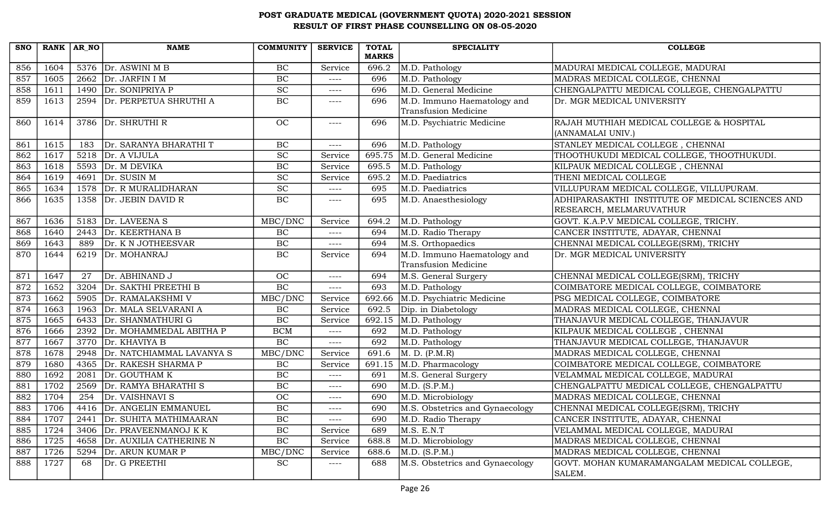| <b>SNO</b> |      | RANK AR NO | <b>NAME</b>                 | <b>COMMUNITY</b>            | <b>SERVICE</b> | <b>TOTAL</b> | <b>SPECIALITY</b>               | <b>COLLEGE</b>                                   |
|------------|------|------------|-----------------------------|-----------------------------|----------------|--------------|---------------------------------|--------------------------------------------------|
|            |      |            |                             |                             |                | <b>MARKS</b> |                                 |                                                  |
| 856        | 1604 |            | 5376 $Dr.$ ASWINI M B       | BC                          | Service        | 696.2        | M.D. Pathology                  | MADURAI MEDICAL COLLEGE, MADURAI                 |
| 857        | 1605 |            | 2662 $\vert$ Dr. JARFIN I M | BC                          | $--- -$        | 696          | M.D. Pathology                  | MADRAS MEDICAL COLLEGE, CHENNAI                  |
| 858        | 1611 |            | 1490 Dr. SONIPRIYA P        | $\protect\operatorname{SC}$ | ----           | 696          | M.D. General Medicine           | CHENGALPATTU MEDICAL COLLEGE, CHENGALPATTU       |
| 859        | 1613 |            | 2594 Dr. PERPETUA SHRUTHI A | BC                          | ----           | 696          | M.D. Immuno Haematology and     | Dr. MGR MEDICAL UNIVERSITY                       |
|            |      |            |                             |                             |                |              | Transfusion Medicine            |                                                  |
| 860        | 1614 |            | 3786 Dr. SHRUTHI R          | OC                          | $---$          | 696          | M.D. Psychiatric Medicine       | RAJAH MUTHIAH MEDICAL COLLEGE & HOSPITAL         |
|            |      |            |                             |                             |                |              |                                 | (ANNAMALAI UNIV.)                                |
| 861        | 1615 | 183        | Dr. SARANYA BHARATHI T      | $\rm BC$                    | ----           | 696          | M.D. Pathology                  | STANLEY MEDICAL COLLEGE, CHENNAI                 |
| 862        | 1617 | 5218       | Dr. A VIJULA                | $\overline{SC}$             | Service        | 695.75       | M.D. General Medicine           | THOOTHUKUDI MEDICAL COLLEGE, THOOTHUKUDI.        |
| 863        | 1618 |            | 5593 Dr. M DEVIKA           | BC                          | Service        | 695.5        | M.D. Pathology                  | KILPAUK MEDICAL COLLEGE, CHENNAI                 |
| 864        | 1619 | 4691       | Dr. SUSIN M                 | $\overline{SC}$             | Service        | 695.2        | M.D. Paediatrics                | THENI MEDICAL COLLEGE                            |
| 865        | 1634 |            | 1578 Dr. R MURALIDHARAN     | $\overline{SC}$             | $---$          | 695          | M.D. Paediatrics                | VILLUPURAM MEDICAL COLLEGE, VILLUPURAM.          |
| 866        | 1635 |            | 1358 Dr. JEBIN DAVID R      | BC                          | ----           | 695          | M.D. Anaesthesiology            | ADHIPARASAKTHI INSTITUTE OF MEDICAL SCIENCES AND |
|            |      |            |                             |                             |                |              |                                 | RESEARCH, MELMARUVATHUR                          |
| 867        | 1636 |            | 5183 Dr. LAVEENA S          | MBC/DNC                     | Service        | 694.2        | M.D. Pathology                  | GOVT. K.A.P.V MEDICAL COLLEGE, TRICHY.           |
| 868        | 1640 | 2443       | Dr. KEERTHANA B             | BC                          | ----           | 694          | M.D. Radio Therapy              | CANCER INSTITUTE, ADAYAR, CHENNAI                |
| 869        | 1643 | 889        | Dr. K N JOTHEESVAR          | <b>BC</b>                   | $---$          | 694          | M.S. Orthopaedics               | CHENNAI MEDICAL COLLEGE(SRM), TRICHY             |
| 870        | 1644 | 6219       | Dr. MOHANRAJ                | BC                          | Service        | 694          | M.D. Immuno Haematology and     | Dr. MGR MEDICAL UNIVERSITY                       |
|            |      |            |                             |                             |                |              | Transfusion Medicine            |                                                  |
| 871        | 1647 | 27         | Dr. ABHINAND J              | OC                          | ----           | 694          | M.S. General Surgery            | CHENNAI MEDICAL COLLEGE(SRM), TRICHY             |
| 872        | 1652 |            | 3204 Dr. SAKTHI PREETHI B   | $\rm BC$                    | $---$          | 693          | M.D. Pathology                  | COIMBATORE MEDICAL COLLEGE, COIMBATORE           |
| 873        | 1662 |            | 5905 Dr. RAMALAKSHMI V      | MBC/DNC                     | Service        | 692.66       | M.D. Psychiatric Medicine       | PSG MEDICAL COLLEGE, COIMBATORE                  |
| 874        | 1663 | 1963       | Dr. MALA SELVARANI A        | BC                          | Service        | 692.5        | Dip. in Diabetology             | MADRAS MEDICAL COLLEGE, CHENNAI                  |
| 875        | 1665 | 6433       | Dr. SHANMATHURI G           | BC                          | Service        | 692.15       | M.D. Pathology                  | THANJAVUR MEDICAL COLLEGE, THANJAVUR             |
| 876        | 1666 | 2392       | Dr. MOHAMMEDAL ABITHA P     | <b>BCM</b>                  | $---$          | 692          | M.D. Pathology                  | KILPAUK MEDICAL COLLEGE, CHENNAI                 |
| 877        | 1667 |            | $3770$ Dr. KHAVIYA B        | BC                          | $---$          | 692          | M.D. Pathology                  | THANJAVUR MEDICAL COLLEGE, THANJAVUR             |
| 878        | 1678 | 2948       | Dr. NATCHIAMMAL LAVANYA S   | MBC/DNC                     | Service        | 691.6        | M. D. (P.M.R)                   | MADRAS MEDICAL COLLEGE, CHENNAI                  |
| 879        | 1680 |            | 4365 Dr. RAKESH SHARMA P    | BC                          | Service        | 691.15       | M.D. Pharmacology               | COIMBATORE MEDICAL COLLEGE, COIMBATORE           |
| 880        | 1692 | 2081       | Dr. GOUTHAM K               | BC                          | $---$          | 691          | M.S. General Surgery            | VELAMMAL MEDICAL COLLEGE, MADURAI                |
| 881        | 1702 | 2569       | Dr. RAMYA BHARATHI S        | $\rm BC$                    | ----           | 690          | M.D. (S.P.M.)                   | CHENGALPATTU MEDICAL COLLEGE, CHENGALPATTU       |
| 882        | 1704 | 254        | Dr. VAISHNAVI S             | OC                          | ----           | 690          | M.D. Microbiology               | MADRAS MEDICAL COLLEGE, CHENNAI                  |
| 883        | 1706 |            | 4416 Dr. ANGELIN EMMANUEL   | $\rm BC$                    | $---$          | 690          | M.S. Obstetrics and Gynaecology | CHENNAI MEDICAL COLLEGE(SRM), TRICHY             |
| 884        | 1707 | 2441       | Dr. SUHITA MATHIMAARAN      | $\rm BC$                    | ----           | 690          | M.D. Radio Therapy              | CANCER INSTITUTE, ADAYAR, CHENNAI                |
| 885        | 1724 | 3406       | Dr. PRAVEENMANOJ K K        | $\rm BC$                    | Service        | 689          | M.S. E.N.T                      | VELAMMAL MEDICAL COLLEGE, MADURAI                |
| 886        | 1725 | 4658       | Dr. AUXILIA CATHERINE N     | BC                          | Service        | 688.8        | M.D. Microbiology               | MADRAS MEDICAL COLLEGE, CHENNAI                  |
| 887        | 1726 | 5294       | Dr. ARUN KUMAR P            | MBC/DNC                     | Service        | 688.6        | M.D. (S.P.M.)                   | MADRAS MEDICAL COLLEGE, CHENNAI                  |
| 888        | 1727 | 68         | Dr. G PREETHI               | <b>SC</b>                   | ----           | 688          | M.S. Obstetrics and Gynaecology | GOVT. MOHAN KUMARAMANGALAM MEDICAL COLLEGE,      |
|            |      |            |                             |                             |                |              |                                 | SALEM.                                           |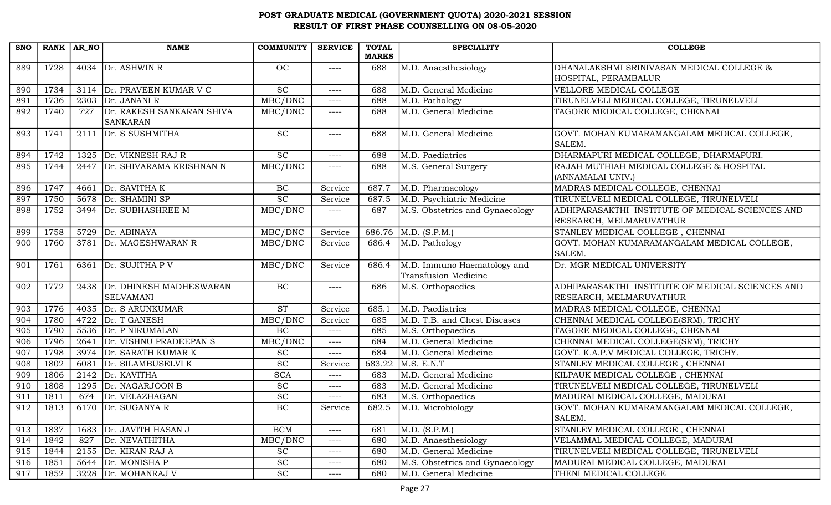| <b>SNO</b> | RANK AR_NO |      | <b>NAME</b>                                  | <b>COMMUNITY</b>            | <b>SERVICE</b> | <b>TOTAL</b> | <b>SPECIALITY</b>                                   | <b>COLLEGE</b>                                                              |
|------------|------------|------|----------------------------------------------|-----------------------------|----------------|--------------|-----------------------------------------------------|-----------------------------------------------------------------------------|
|            |            |      |                                              |                             |                | <b>MARKS</b> |                                                     |                                                                             |
| 889        | 1728       |      | 4034 $\vert$ Dr. ASHWIN R                    | OC                          | $--- - -$      | 688          | M.D. Anaesthesiology                                | DHANALAKSHMI SRINIVASAN MEDICAL COLLEGE &                                   |
|            |            |      |                                              |                             |                |              |                                                     | HOSPITAL, PERAMBALUR                                                        |
| 890        | 1734       |      | 3114 Dr. PRAVEEN KUMAR V C                   | $\overline{SC}$             | $--- -$        | 688          | M.D. General Medicine                               | VELLORE MEDICAL COLLEGE                                                     |
| 891        | 1736       | 2303 | Dr. JANANI R                                 | MBC/DNC                     | ----           | 688          | M.D. Pathology                                      | TIRUNELVELI MEDICAL COLLEGE, TIRUNELVELI                                    |
| 892        | 1740       | 727  | Dr. RAKESH SANKARAN SHIVA<br><b>SANKARAN</b> | MBC/DNC                     | $---$          | 688          | M.D. General Medicine                               | TAGORE MEDICAL COLLEGE, CHENNAI                                             |
| 893        | 1741       | 2111 | Dr. S SUSHMITHA                              | SC                          | $--- -$        | 688          | M.D. General Medicine                               | GOVT. MOHAN KUMARAMANGALAM MEDICAL COLLEGE,<br>SALEM.                       |
| 894        | 1742       | 1325 | Dr. VIKNESH RAJ R                            | SC                          | $--- -$        | 688          | M.D. Paediatrics                                    | DHARMAPURI MEDICAL COLLEGE, DHARMAPURI.                                     |
| 895        | 1744       | 2447 | Dr. SHIVARAMA KRISHNAN N                     | MBC/DNC                     | ----           | 688          | M.S. General Surgery                                | RAJAH MUTHIAH MEDICAL COLLEGE & HOSPITAL<br>(ANNAMALAI UNIV.)               |
| 896        | 1747       | 4661 | Dr. SAVITHA K                                | $\rm BC$                    | Service        | 687.7        | M.D. Pharmacology                                   | MADRAS MEDICAL COLLEGE, CHENNAI                                             |
| 897        | 1750       | 5678 | Dr. SHAMINI SP                               | $\overline{SC}$             | Service        | 687.5        | M.D. Psychiatric Medicine                           | TIRUNELVELI MEDICAL COLLEGE, TIRUNELVELI                                    |
| 898        | 1752       | 3494 | Dr. SUBHASHREE M                             | MBC/DNC                     | ----           | 687          | M.S. Obstetrics and Gynaecology                     | ADHIPARASAKTHI INSTITUTE OF MEDICAL SCIENCES AND<br>RESEARCH, MELMARUVATHUR |
| 899        | 1758       | 5729 | Dr. ABINAYA                                  | MBC/DNC                     | Service        | 686.76       | M.D. (S.P.M.)                                       | STANLEY MEDICAL COLLEGE, CHENNAI                                            |
| 900        | 1760       | 3781 | Dr. MAGESHWARAN R                            | MBC/DNC                     | Service        | 686.4        | M.D. Pathology                                      | GOVT. MOHAN KUMARAMANGALAM MEDICAL COLLEGE,<br>SALEM.                       |
| 901        | 1761       | 6361 | Dr. SUJITHA P V                              | MBC/DNC                     | Service        | 686.4        | M.D. Immuno Haematology and<br>Transfusion Medicine | Dr. MGR MEDICAL UNIVERSITY                                                  |
| 902        | 1772       | 2438 | Dr. DHINESH MADHESWARAN<br><b>SELVAMANI</b>  | $\rm BC$                    | ----           | 686          | M.S. Orthopaedics                                   | ADHIPARASAKTHI INSTITUTE OF MEDICAL SCIENCES AND<br>RESEARCH, MELMARUVATHUR |
| 903        | 1776       | 4035 | Dr. S ARUNKUMAR                              | $\overline{\text{ST}}$      | Service        | 685.1        | M.D. Paediatrics                                    | MADRAS MEDICAL COLLEGE, CHENNAI                                             |
| 904        | 1780       | 4722 | Dr. T GANESH                                 | MBC/DNC                     | Service        | 685          | M.D. T.B. and Chest Diseases                        | CHENNAI MEDICAL COLLEGE(SRM), TRICHY                                        |
| 905        | 1790       | 5536 | Dr. P NIRUMALAN                              | $\rm BC$                    | $---$          | 685          | M.S. Orthopaedics                                   | TAGORE MEDICAL COLLEGE, CHENNAI                                             |
| 906        | 1796       | 2641 | Dr. VISHNU PRADEEPAN S                       | MBC/DNC                     | $--- -$        | 684          | M.D. General Medicine                               | CHENNAI MEDICAL COLLEGE(SRM), TRICHY                                        |
| 907        | 1798       |      | 3974 Dr. SARATH KUMAR K                      | <b>SC</b>                   | $--- -$        | 684          | M.D. General Medicine                               | GOVT. K.A.P.V MEDICAL COLLEGE, TRICHY.                                      |
| 908        | 1802       | 6081 | Dr. SILAMBUSELVI K                           | $\overline{SC}$             | Service        | 683.22       | M.S. E.N.T                                          | STANLEY MEDICAL COLLEGE, CHENNAI                                            |
| 909        | 1806       | 2142 | Dr. KAVITHA                                  | <b>SCA</b>                  | $---$          | 683          | M.D. General Medicine                               | KILPAUK MEDICAL COLLEGE, CHENNAI                                            |
| 910        | 1808       | 1295 | Dr. NAGARJOON B                              | SC                          | ----           | 683          | M.D. General Medicine                               | TIRUNELVELI MEDICAL COLLEGE, TIRUNELVELI                                    |
| 911        | 1811       | 674  | Dr. VELAZHAGAN                               | $\overline{SC}$             | ----           | 683          | M.S. Orthopaedics                                   | MADURAI MEDICAL COLLEGE, MADURAI                                            |
| 912        | 1813       |      | 6170 Dr. SUGANYA R                           | BC                          | Service        | 682.5        | M.D. Microbiology                                   | GOVT. MOHAN KUMARAMANGALAM MEDICAL COLLEGE,                                 |
|            |            |      |                                              |                             |                |              |                                                     | SALEM.                                                                      |
| 913        | 1837       | 1683 | Dr. JAVITH HASAN J                           | $\rm BCM$                   | ----           | 681          | M.D. (S.P.M.)                                       | STANLEY MEDICAL COLLEGE, CHENNAI                                            |
| 914        | 1842       | 827  | Dr. NEVATHITHA                               | MBC/DNC                     | ----           | 680          | M.D. Anaesthesiology                                | VELAMMAL MEDICAL COLLEGE, MADURAI                                           |
| 915        | 1844       |      | 2155 Dr. KIRAN RAJ A                         | <b>SC</b>                   | $---$          | 680          | M.D. General Medicine                               | TIRUNELVELI MEDICAL COLLEGE, TIRUNELVELI                                    |
| 916        | 1851       |      | 5644 Dr. MONISHA P                           | $\protect\operatorname{SC}$ | $---$          | 680          | M.S. Obstetrics and Gynaecology                     | MADURAI MEDICAL COLLEGE, MADURAI                                            |
| 917        | 1852       |      | 3228 Dr. MOHANRAJ V                          | <b>SC</b>                   | $---$          | 680          | M.D. General Medicine                               | THENI MEDICAL COLLEGE                                                       |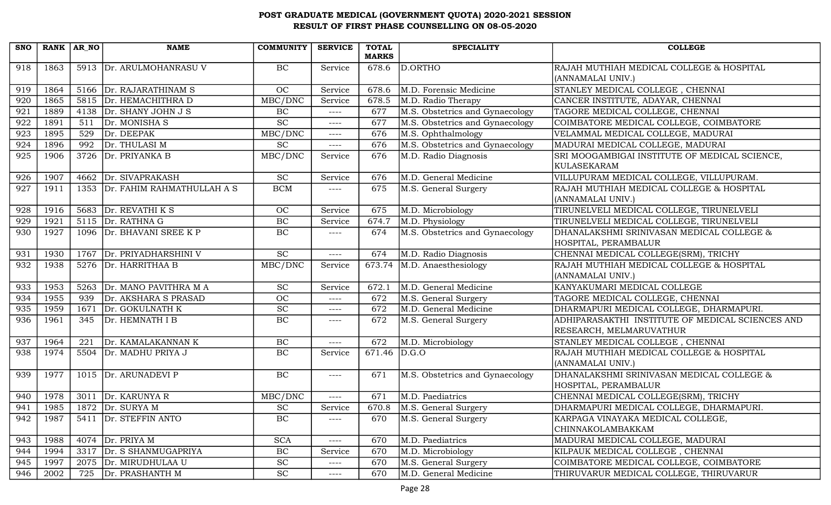| <b>SNO</b> |      | RANK AR NO | <b>NAME</b>                     | <b>COMMUNITY</b>            | <b>SERVICE</b> | <b>TOTAL</b><br><b>MARKS</b> | <b>SPECIALITY</b>               | <b>COLLEGE</b>                                                              |
|------------|------|------------|---------------------------------|-----------------------------|----------------|------------------------------|---------------------------------|-----------------------------------------------------------------------------|
| 918        | 1863 |            | 5913 Dr. ARULMOHANRASU V        | BC                          | Service        | 678.6                        | D.ORTHO                         | RAJAH MUTHIAH MEDICAL COLLEGE & HOSPITAL<br>(ANNAMALAI UNIV.)               |
| 919        | 1864 |            | 5166 Dr. RAJARATHINAM S         | OC                          | Service        | 678.6                        | M.D. Forensic Medicine          | STANLEY MEDICAL COLLEGE, CHENNAI                                            |
| 920        | 1865 |            | 5815 Dr. HEMACHITHRA D          | MBC/DNC                     | Service        | 678.5                        | M.D. Radio Therapy              | CANCER INSTITUTE, ADAYAR, CHENNAI                                           |
| 921        | 1889 | 4138       | Dr. SHANY JOHN J S              | BC                          | $--- -$        | 677                          | M.S. Obstetrics and Gynaecology | TAGORE MEDICAL COLLEGE, CHENNAI                                             |
| 922        | 1891 | 511        | Dr. MONISHA S                   | $\overline{SC}$             | ----           | 677                          | M.S. Obstetrics and Gynaecology | COIMBATORE MEDICAL COLLEGE, COIMBATORE                                      |
| 923        | 1895 | 529        | Dr. DEEPAK                      | MBC/DNC                     | $---$          | 676                          | M.S. Ophthalmology              | VELAMMAL MEDICAL COLLEGE, MADURAI                                           |
| 924        | 1896 | 992        | Dr. THULASI M                   | <b>SC</b>                   | ----           | 676                          | M.S. Obstetrics and Gynaecology | MADURAI MEDICAL COLLEGE, MADURAI                                            |
| 925        | 1906 | 3726       | Dr. PRIYANKA B                  | MBC/DNC                     | Service        | 676                          | M.D. Radio Diagnosis            | SRI MOOGAMBIGAI INSTITUTE OF MEDICAL SCIENCE,<br>KULASEKARAM                |
| 926        | 1907 |            | 4662 Dr. SIVAPRAKASH            | SC                          | Service        | 676                          | M.D. General Medicine           | VILLUPURAM MEDICAL COLLEGE, VILLUPURAM.                                     |
| 927        | 1911 |            | 1353 Dr. FAHIM RAHMATHULLAH A S | <b>BCM</b>                  | ----           | 675                          | M.S. General Surgery            | RAJAH MUTHIAH MEDICAL COLLEGE & HOSPITAL<br>(ANNAMALAI UNIV.)               |
| 928        | 1916 |            | 5683 $Dr. REVATHI K S$          | <b>OC</b>                   | Service        | 675                          | M.D. Microbiology               | TIRUNELVELI MEDICAL COLLEGE, TIRUNELVELI                                    |
| 929        | 1921 |            | 5115 Dr. RATHNA G               | <b>BC</b>                   | Service        | 674.7                        | M.D. Physiology                 | TIRUNELVELI MEDICAL COLLEGE, TIRUNELVELI                                    |
| 930        | 1927 |            | 1096 Dr. BHAVANI SREE K P       | $\rm BC$                    | ----           | 674                          | M.S. Obstetrics and Gynaecology | DHANALAKSHMI SRINIVASAN MEDICAL COLLEGE &<br>HOSPITAL, PERAMBALUR           |
| 931        | 1930 |            | 1767 Dr. PRIYADHARSHINI V       | SC                          | $---$          | 674                          | M.D. Radio Diagnosis            | CHENNAI MEDICAL COLLEGE(SRM), TRICHY                                        |
| 932        | 1938 |            | 5276   Dr. HARRITHAA B          | MBC/DNC                     | Service        | 673.74                       | M.D. Anaesthesiology            | RAJAH MUTHIAH MEDICAL COLLEGE & HOSPITAL<br>(ANNAMALAI UNIV.)               |
| 933        | 1953 | 5263       | Dr. MANO PAVITHRA M A           | <b>SC</b>                   | Service        | 672.1                        | M.D. General Medicine           | KANYAKUMARI MEDICAL COLLEGE                                                 |
| 934        | 1955 | 939        | Dr. AKSHARA S PRASAD            | OC                          | ----           | 672                          | M.S. General Surgery            | TAGORE MEDICAL COLLEGE, CHENNAI                                             |
| 935        | 1959 | 1671       | Dr. GOKULNATH K                 | $\operatorname{SC}$         | $---$          | 672                          | M.D. General Medicine           | DHARMAPURI MEDICAL COLLEGE, DHARMAPURI.                                     |
| 936        | 1961 | 345        | Dr. HEMNATH I B                 | BC                          | ----           | 672                          | M.S. General Surgery            | ADHIPARASAKTHI INSTITUTE OF MEDICAL SCIENCES AND<br>RESEARCH, MELMARUVATHUR |
| 937        | 1964 | 221        | Dr. KAMALAKANNAN K              | $\rm BC$                    | $---$          | 672                          | M.D. Microbiology               | STANLEY MEDICAL COLLEGE, CHENNAI                                            |
| 938        | 1974 |            | 5504 Dr. MADHU PRIYA J          | BC                          | Service        | 671.46 $D.G.O$               |                                 | RAJAH MUTHIAH MEDICAL COLLEGE & HOSPITAL<br>(ANNAMALAI UNIV.)               |
| 939        | 1977 |            | 1015 Dr. ARUNADEVI P            | BC                          | $---$          | 671                          | M.S. Obstetrics and Gynaecology | DHANALAKSHMI SRINIVASAN MEDICAL COLLEGE &<br>HOSPITAL, PERAMBALUR           |
| 940        | 1978 |            | 3011 $Dr. KARUNYA R$            | MBC/DNC                     | ----           | 671                          | M.D. Paediatrics                | CHENNAI MEDICAL COLLEGE(SRM), TRICHY                                        |
| 941        | 1985 |            | 1872 $\vert$ Dr. SURYA M        | $\protect\operatorname{SC}$ | Service        | 670.8                        | M.S. General Surgery            | DHARMAPURI MEDICAL COLLEGE, DHARMAPURI.                                     |
| 942        | 1987 |            | 5411 Dr. STEFFIN ANTO           | BC                          | ----           | 670                          | M.S. General Surgery            | KARPAGA VINAYAKA MEDICAL COLLEGE,<br>CHINNAKOLAMBAKKAM                      |
| 943        | 1988 |            | 4074 $Dr. PRIYA M$              | <b>SCA</b>                  | ----           | 670                          | M.D. Paediatrics                | MADURAI MEDICAL COLLEGE, MADURAI                                            |
| 944        | 1994 |            | 3317 Dr. S SHANMUGAPRIYA        | BC                          | Service        | 670                          | M.D. Microbiology               | KILPAUK MEDICAL COLLEGE, CHENNAI                                            |
| 945        | 1997 | 2075       | Dr. MIRUDHULAA U                | <b>SC</b>                   | ----           | 670                          | M.S. General Surgery            | COIMBATORE MEDICAL COLLEGE, COIMBATORE                                      |
| 946        | 2002 | 725        | Dr. PRASHANTH M                 | <b>SC</b>                   | ----           | 670                          | M.D. General Medicine           | THIRUVARUR MEDICAL COLLEGE, THIRUVARUR                                      |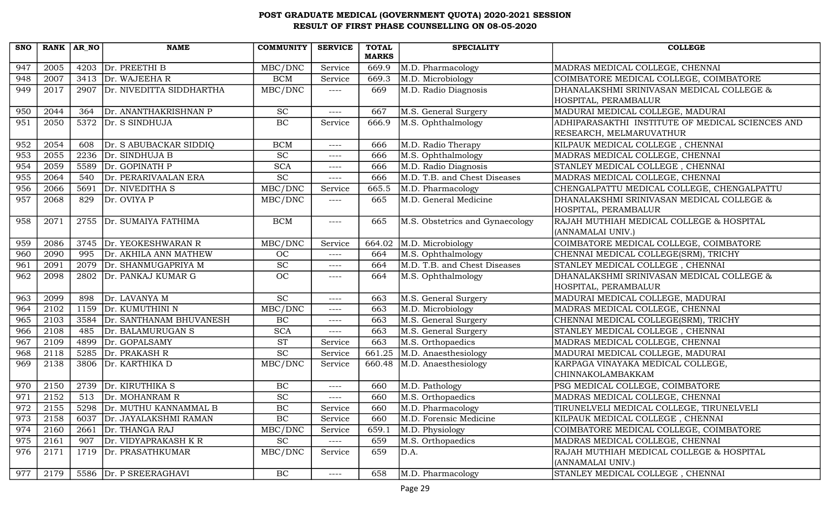| <b>SNO</b> | RANK AR NO |      | <b>NAME</b>                   | <b>COMMUNITY</b>            | <b>SERVICE</b> | <b>TOTAL</b> | <b>SPECIALITY</b>               | <b>COLLEGE</b>                                   |
|------------|------------|------|-------------------------------|-----------------------------|----------------|--------------|---------------------------------|--------------------------------------------------|
|            |            |      |                               |                             |                | <b>MARKS</b> |                                 |                                                  |
| 947        | 2005       | 4203 | Dr. PREETHI B                 | MBC/DNC                     | Service        | 669.9        | M.D. Pharmacology               | MADRAS MEDICAL COLLEGE, CHENNAI                  |
| 948        | 2007       |      | 3413 Dr. WAJEEHAR             | <b>BCM</b>                  | Service        | 669.3        | M.D. Microbiology               | COIMBATORE MEDICAL COLLEGE, COIMBATORE           |
| 949        | 2017       |      | 2907 Dr. NIVEDITTA SIDDHARTHA | MBC/DNC                     | $---$          | 669          | M.D. Radio Diagnosis            | DHANALAKSHMI SRINIVASAN MEDICAL COLLEGE &        |
|            |            |      |                               |                             |                |              |                                 | HOSPITAL, PERAMBALUR                             |
| 950        | 2044       | 364  | Dr. ANANTHAKRISHNAN P         | <b>SC</b>                   | ----           | 667          | M.S. General Surgery            | MADURAI MEDICAL COLLEGE, MADURAI                 |
| 951        | 2050       |      | 5372 Dr. S SINDHUJA           | BC                          | Service        | 666.9        | M.S. Ophthalmology              | ADHIPARASAKTHI INSTITUTE OF MEDICAL SCIENCES AND |
|            |            |      |                               |                             |                |              |                                 | RESEARCH, MELMARUVATHUR                          |
| 952        | 2054       | 608  | Dr. S ABUBACKAR SIDDIQ        | <b>BCM</b>                  | $--- -$        | 666          | M.D. Radio Therapy              | KILPAUK MEDICAL COLLEGE, CHENNAI                 |
| 953        | 2055       | 2236 | Dr. SINDHUJA B                | SC                          | ----           | 666          | M.S. Ophthalmology              | MADRAS MEDICAL COLLEGE, CHENNAI                  |
| 954        | 2059       | 5589 | Dr. GOPINATH P                | <b>SCA</b>                  | $---$          | 666          | M.D. Radio Diagnosis            | STANLEY MEDICAL COLLEGE, CHENNAI                 |
| 955        | 2064       | 540  | Dr. PERARIVAALAN ERA          | $\overline{SC}$             | $--- -$        | 666          | M.D. T.B. and Chest Diseases    | MADRAS MEDICAL COLLEGE, CHENNAI                  |
| 956        | 2066       | 5691 | Dr. NIVEDITHA S               | MBC/DNC                     | Service        | 665.5        | M.D. Pharmacology               | CHENGALPATTU MEDICAL COLLEGE, CHENGALPATTU       |
| 957        | 2068       | 829  | Dr. OVIYA P                   | MBC/DNC                     | ----           | 665          | M.D. General Medicine           | DHANALAKSHMI SRINIVASAN MEDICAL COLLEGE &        |
|            |            |      |                               |                             |                |              |                                 | HOSPITAL, PERAMBALUR                             |
| 958        | 2071       |      | 2755 Dr. SUMAIYA FATHIMA      | <b>BCM</b>                  | ----           | 665          | M.S. Obstetrics and Gynaecology | RAJAH MUTHIAH MEDICAL COLLEGE & HOSPITAL         |
|            |            |      |                               |                             |                |              |                                 | (ANNAMALAI UNIV.)                                |
| 959        | 2086       | 3745 | Dr. YEOKESHWARAN R            | MBC/DNC                     | Service        | 664.02       | M.D. Microbiology               | COIMBATORE MEDICAL COLLEGE, COIMBATORE           |
| 960        | 2090       | 995  | Dr. AKHILA ANN MATHEW         | <b>OC</b>                   | ----           | 664          | M.S. Ophthalmology              | CHENNAI MEDICAL COLLEGE(SRM), TRICHY             |
| 961        | 2091       | 2079 | Dr. SHANMUGAPRIYA M           | $\protect\operatorname{SC}$ | $---$          | 664          | M.D. T.B. and Chest Diseases    | STANLEY MEDICAL COLLEGE, CHENNAI                 |
| 962        | 2098       |      | 2802 Dr. PANKAJ KUMAR G       | OC                          | ----           | 664          | M.S. Ophthalmology              | DHANALAKSHMI SRINIVASAN MEDICAL COLLEGE &        |
|            |            |      |                               |                             |                |              |                                 | HOSPITAL, PERAMBALUR                             |
| 963        | 2099       | 898  | Dr. LAVANYA M                 | <b>SC</b>                   | $--- -$        | 663          | M.S. General Surgery            | MADURAI MEDICAL COLLEGE, MADURAI                 |
| 964        | 2102       | 1159 | Dr. KUMUTHINI N               | MBC/DNC                     | ----           | 663          | M.D. Microbiology               | MADRAS MEDICAL COLLEGE, CHENNAI                  |
| 965        | 2103       | 3584 | Dr. SANTHANAM BHUVANESH       | BC                          | $--- -$        | 663          | M.S. General Surgery            | CHENNAI MEDICAL COLLEGE(SRM), TRICHY             |
| 966        | 2108       | 485  | Dr. BALAMURUGAN S             | <b>SCA</b>                  | $---$          | 663          | M.S. General Surgery            | STANLEY MEDICAL COLLEGE, CHENNAI                 |
| 967        | 2109       | 4899 | Dr. GOPALSAMY                 | <b>ST</b>                   | Service        | 663          | M.S. Orthopaedics               | MADRAS MEDICAL COLLEGE, CHENNAI                  |
| 968        | 2118       | 5285 | Dr. PRAKASH R                 | <b>SC</b>                   | Service        | 661.25       | M.D. Anaesthesiology            | MADURAI MEDICAL COLLEGE, MADURAI                 |
| 969        | 2138       | 3806 | Dr. KARTHIKA D                | MBC/DNC                     | Service        | 660.48       | M.D. Anaesthesiology            | KARPAGA VINAYAKA MEDICAL COLLEGE,                |
|            |            |      |                               |                             |                |              |                                 | CHINNAKOLAMBAKKAM                                |
| 970        | 2150       | 2739 | Dr. KIRUTHIKA S               | BC                          | $--- -$        | 660          | M.D. Pathology                  | PSG MEDICAL COLLEGE, COIMBATORE                  |
| 971        | 2152       | 513  | Dr. MOHANRAM R                | $\overline{SC}$             | ----           | 660          | M.S. Orthopaedics               | MADRAS MEDICAL COLLEGE, CHENNAI                  |
| 972        | 2155       |      | 5298 Dr. MUTHU KANNAMMAL B    | $\rm BC$                    | Service        | 660          | M.D. Pharmacology               | TIRUNELVELI MEDICAL COLLEGE, TIRUNELVELI         |
| 973        | 2158       | 6037 | Dr. JAYALAKSHMI RAMAN         | $\rm BC$                    | Service        | 660          | M.D. Forensic Medicine          | KILPAUK MEDICAL COLLEGE, CHENNAI                 |
| 974        | 2160       | 2661 | Dr. THANGA RAJ                | MBC/DNC                     | Service        | 659.1        | M.D. Physiology                 | COIMBATORE MEDICAL COLLEGE, COIMBATORE           |
| 975        | 2161       | 907  | Dr. VIDYAPRAKASH K R          | <b>SC</b>                   | ----           | 659          | M.S. Orthopaedics               | MADRAS MEDICAL COLLEGE, CHENNAI                  |
| 976        | 2171       |      | 1719 Dr. PRASATHKUMAR         | MBC/DNC                     | Service        | 659          | D.A.                            | RAJAH MUTHIAH MEDICAL COLLEGE & HOSPITAL         |
|            |            |      |                               |                             |                |              |                                 | (ANNAMALAI UNIV.)                                |
| 977        | 2179       |      | 5586   Dr. P SREERAGHAVI      | BC                          | $---$          | 658          | M.D. Pharmacology               | STANLEY MEDICAL COLLEGE, CHENNAI                 |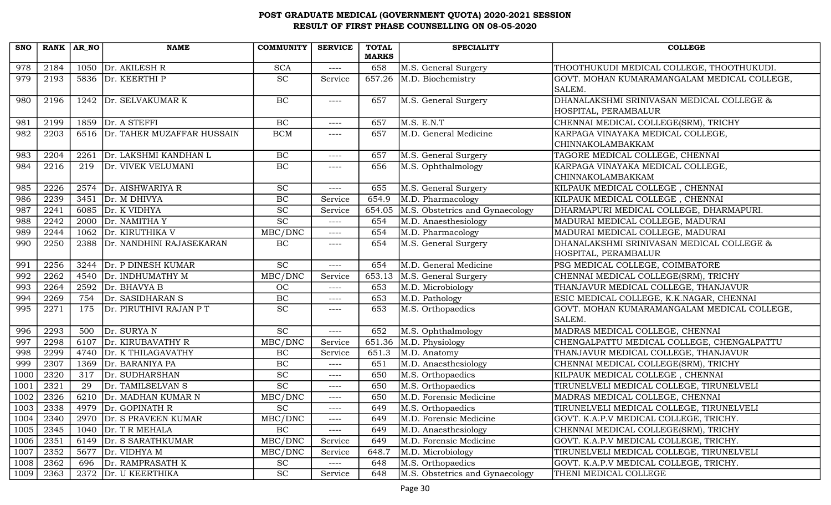| <b>SNO</b> | RANK AR NO |      | <b>NAME</b>                     | <b>COMMUNITY</b> | <b>SERVICE</b> | <b>TOTAL</b><br><b>MARKS</b> | <b>SPECIALITY</b>                        | <b>COLLEGE</b>                                        |
|------------|------------|------|---------------------------------|------------------|----------------|------------------------------|------------------------------------------|-------------------------------------------------------|
| 978        | 2184       |      | 1050 $Dr. AKILESH R$            | <b>SCA</b>       | $---$          | 658                          | M.S. General Surgery                     | THOOTHUKUDI MEDICAL COLLEGE, THOOTHUKUDI.             |
| 979        | 2193       |      | 5836 Dr. KEERTHI P              | SC               | Service        | 657.26                       | M.D. Biochemistry                        | GOVT. MOHAN KUMARAMANGALAM MEDICAL COLLEGE,           |
|            |            |      |                                 |                  |                |                              |                                          | SALEM.                                                |
| 980        | 2196       |      | 1242 Dr. SELVAKUMAR K           | $\rm BC$         | $--- -$        | 657                          | M.S. General Surgery                     | DHANALAKSHMI SRINIVASAN MEDICAL COLLEGE &             |
|            |            |      |                                 |                  |                |                              |                                          | HOSPITAL, PERAMBALUR                                  |
| 981        | 2199       | 1859 | Dr. A STEFFI                    | $\rm BC$         | $--- -$        | 657                          | M.S. E.N.T                               | CHENNAI MEDICAL COLLEGE(SRM), TRICHY                  |
| 982        | 2203       |      | 6516 Dr. TAHER MUZAFFAR HUSSAIN | <b>BCM</b>       | $---$          | 657                          | M.D. General Medicine                    | KARPAGA VINAYAKA MEDICAL COLLEGE,                     |
|            |            |      |                                 |                  |                |                              |                                          | <b>CHINNAKOLAMBAKKAM</b>                              |
| 983        | 2204       | 2261 | Dr. LAKSHMI KANDHAN L           | BC               | $--- -$        | 657                          | M.S. General Surgery                     | TAGORE MEDICAL COLLEGE, CHENNAI                       |
| 984        | 2216       | 219  | Dr. VIVEK VELUMANI              | $\rm BC$         | $--- -$        | 656                          | M.S. Ophthalmology                       | KARPAGA VINAYAKA MEDICAL COLLEGE,                     |
|            |            |      |                                 |                  |                |                              |                                          | <b>CHINNAKOLAMBAKKAM</b>                              |
| 985        | 2226       |      | 2574 Dr. AISHWARIYA R           | SC               | $---$          | 655                          | M.S. General Surgery                     | KILPAUK MEDICAL COLLEGE, CHENNAI                      |
| 986        | 2239       | 3451 | Dr. M DHIVYA                    | BC               | Service        | 654.9                        | M.D. Pharmacology                        | KILPAUK MEDICAL COLLEGE, CHENNAI                      |
| 987        | 2241       | 6085 | Dr. K VIDHYA                    | SC               | Service        | 654.05                       | M.S. Obstetrics and Gynaecology          | DHARMAPURI MEDICAL COLLEGE, DHARMAPURI.               |
| 988        | 2242       | 2000 | Dr. NAMITHA Y                   | $\overline{SC}$  | $---$          | 654                          | M.D. Anaesthesiology                     | MADURAI MEDICAL COLLEGE, MADURAI                      |
| 989        | 2244       |      | 1062 Dr. KIRUTHIKA V            | MBC/DNC          | $--- -$        | 654                          | M.D. Pharmacology                        | MADURAI MEDICAL COLLEGE, MADURAI                      |
| 990        | 2250       |      | 2388 Dr. NANDHINI RAJASEKARAN   | BC               | $--- -$        | 654                          | M.S. General Surgery                     | DHANALAKSHMI SRINIVASAN MEDICAL COLLEGE &             |
|            |            |      |                                 |                  |                |                              |                                          | HOSPITAL, PERAMBALUR                                  |
| 991        | 2256       | 3244 | Dr. P DINESH KUMAR              | <b>SC</b>        | $---$          | 654                          | M.D. General Medicine                    | PSG MEDICAL COLLEGE, COIMBATORE                       |
| 992        | 2262       | 4540 | Dr. INDHUMATHY M                | MBC/DNC          | Service        | 653.13                       | M.S. General Surgery                     | CHENNAI MEDICAL COLLEGE(SRM), TRICHY                  |
| 993        | 2264       | 2592 | Dr. BHAVYA B                    | OC               | $---$          | 653                          | $\overline{\mathrm{M.D}}$ . Microbiology | THANJAVUR MEDICAL COLLEGE, THANJAVUR                  |
| 994        | 2269       | 754  | Dr. SASIDHARAN S                | <b>BC</b>        | $---$          | 653                          | M.D. Pathology                           | ESIC MEDICAL COLLEGE, K.K.NAGAR, CHENNAI              |
| 995        | 2271       | 175  | Dr. PIRUTHIVI RAJAN P T         | <b>SC</b>        | $--- -$        | 653                          | M.S. Orthopaedics                        | GOVT. MOHAN KUMARAMANGALAM MEDICAL COLLEGE,<br>SALEM. |
| 996        | 2293       | 500  | Dr. SURYAN                      | SC               | $---$          | 652                          | M.S. Ophthalmology                       | MADRAS MEDICAL COLLEGE, CHENNAI                       |
| 997        | 2298       | 6107 | Dr. KIRUBAVATHY R               | MBC/DNC          | Service        | 651.36                       | M.D. Physiology                          | CHENGALPATTU MEDICAL COLLEGE, CHENGALPATTU            |
| 998        | 2299       | 4740 | Dr. K THILAGAVATHY              | BC               | Service        | 651.3                        | M.D. Anatomy                             | THANJAVUR MEDICAL COLLEGE, THANJAVUR                  |
| 999        | 2307       | 1369 | Dr. BARANIYA PA                 | BC               | $---$          | 651                          | M.D. Anaesthesiology                     | CHENNAI MEDICAL COLLEGE(SRM), TRICHY                  |
| 1000       | 2320       | 317  | Dr. SUDHARSHAN                  | $\overline{SC}$  | $---$          | 650                          | M.S. Orthopaedics                        | KILPAUK MEDICAL COLLEGE, CHENNAI                      |
| 1001       | 2321       | 29   | Dr. TAMILSELVAN S               | SC               | $---$          | 650                          | M.S. Orthopaedics                        | TIRUNELVELI MEDICAL COLLEGE, TIRUNELVELI              |
| 1002       | 2326       |      | 6210 Dr. MADHAN KUMAR N         | MBC/DNC          | $--- -$        | 650                          | M.D. Forensic Medicine                   | MADRAS MEDICAL COLLEGE, CHENNAI                       |
| 1003       | 2338       |      | 4979 Dr. GOPINATH R             | SC               | $--- -$        | 649                          | M.S. Orthopaedics                        | TIRUNELVELI MEDICAL COLLEGE, TIRUNELVELI              |
| 1004       | 2340       | 2970 | Dr. S PRAVEEN KUMAR             | MBC/DNC          | $---$          | 649                          | M.D. Forensic Medicine                   | GOVT. K.A.P.V MEDICAL COLLEGE, TRICHY.                |
| 1005       | 2345       | 1040 | Dr. T R MEHALA                  | $\rm BC$         | $--- -$        | 649                          | M.D. Anaesthesiology                     | CHENNAI MEDICAL COLLEGE(SRM), TRICHY                  |
| 1006       | 2351       |      | 6149 Dr. S SARATHKUMAR          | MBC/DNC          | Service        | 649                          | M.D. Forensic Medicine                   | GOVT. K.A.P.V MEDICAL COLLEGE, TRICHY.                |
| 1007       | 2352       | 5677 | Dr. VIDHYA M                    | MBC/DNC          | Service        | 648.7                        | M.D. Microbiology                        | TIRUNELVELI MEDICAL COLLEGE, TIRUNELVELI              |
| 1008       | 2362       | 696  | Dr. RAMPRASATH K                | <b>SC</b>        | $----$         | 648                          | M.S. Orthopaedics                        | GOVT. K.A.P.V MEDICAL COLLEGE, TRICHY.                |
| 1009       | 2363       | 2372 | Dr. U KEERTHIKA                 | <b>SC</b>        | Service        | 648                          | M.S. Obstetrics and Gynaecology          | THENI MEDICAL COLLEGE                                 |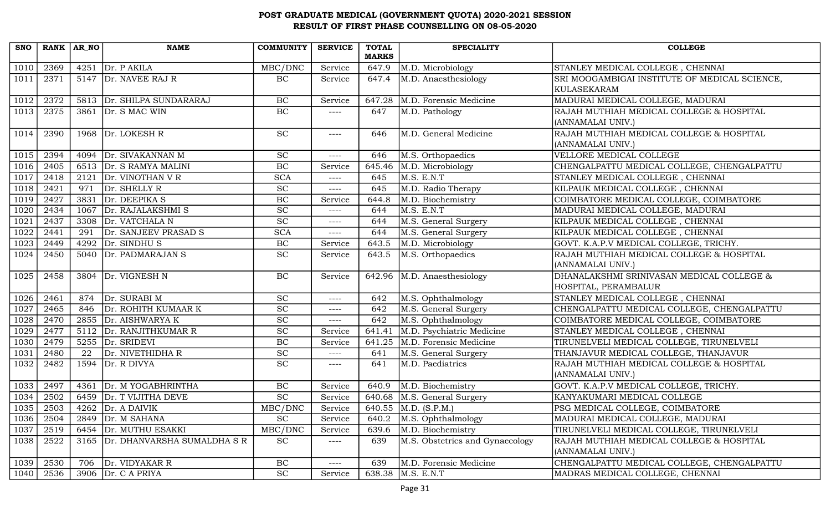| <b>SNO</b> | RANK AR NO |      | <b>NAME</b>                      | <b>COMMUNITY</b>            | <b>SERVICE</b> | <b>TOTAL</b><br><b>MARKS</b> | <b>SPECIALITY</b>               | <b>COLLEGE</b>                                                    |
|------------|------------|------|----------------------------------|-----------------------------|----------------|------------------------------|---------------------------------|-------------------------------------------------------------------|
| 1010       | 2369       |      | 4251 $Dr. P AKILA$               | MBC/DNC                     | Service        | 647.9                        | M.D. Microbiology               | STANLEY MEDICAL COLLEGE, CHENNAI                                  |
| 1011       | 2371       |      | 5147 Dr. NAVEE RAJ R             | BC                          | Service        | 647.4                        | M.D. Anaesthesiology            | SRI MOOGAMBIGAI INSTITUTE OF MEDICAL SCIENCE,<br>KULASEKARAM      |
| 1012       | 2372       |      | 5813 Dr. SHILPA SUNDARARAJ       | BC                          | Service        | 647.28                       | M.D. Forensic Medicine          | MADURAI MEDICAL COLLEGE, MADURAI                                  |
| 1013       | 2375       |      | 3861 $Dr. S MAC WIN$             | BC                          | ----           | 647                          | M.D. Pathology                  | RAJAH MUTHIAH MEDICAL COLLEGE & HOSPITAL<br>(ANNAMALAI UNIV.)     |
| 1014       | 2390       |      | 1968 $Dr. LOKESH R$              | <b>SC</b>                   | $---$          | 646                          | M.D. General Medicine           | RAJAH MUTHIAH MEDICAL COLLEGE & HOSPITAL<br>(ANNAMALAI UNIV.)     |
| 1015       | 2394       |      | 4094   Dr. SIVAKANNAN M          | <b>SC</b>                   | ----           | 646                          | M.S. Orthopaedics               | VELLORE MEDICAL COLLEGE                                           |
| 1016       | 2405       |      | 6513 Dr. S RAMYA MALINI          | $\rm BC$                    | Service        | 645.46                       | M.D. Microbiology               | CHENGALPATTU MEDICAL COLLEGE, CHENGALPATTU                        |
| 1017       | 2418       |      | 2121 $Dr.$ VINOTHAN V R          | <b>SCA</b>                  | $--- -$        | 645                          | M.S. E.N.T                      | STANLEY MEDICAL COLLEGE, CHENNAI                                  |
| 1018       | 2421       | 971  | Dr. SHELLY R                     | $\protect\operatorname{SC}$ | $---$          | 645                          | M.D. Radio Therapy              | KILPAUK MEDICAL COLLEGE, CHENNAI                                  |
| 1019       | 2427       |      | 3831 $Dr. DEEPIKA S$             | BC                          | Service        | 644.8                        | M.D. Biochemistry               | COIMBATORE MEDICAL COLLEGE, COIMBATORE                            |
| 1020       | 2434       | 1067 | Dr. RAJALAKSHMI S                | <b>SC</b>                   | $---$          | 644                          | M.S. E.N.T                      | MADURAI MEDICAL COLLEGE, MADURAI                                  |
| 1021       | 2437       |      | 3308 Dr. VATCHALA N              | SC                          | $---$          | 644                          | M.S. General Surgery            | KILPAUK MEDICAL COLLEGE, CHENNAI                                  |
| 1022       | 2441       | 291  | Dr. SANJEEV PRASAD S             | <b>SCA</b>                  | $---$          | 644                          | M.S. General Surgery            | KILPAUK MEDICAL COLLEGE, CHENNAI                                  |
| 1023       | 2449       |      | 4292 $Dr.$ SINDHU S              | BC                          | Service        | 643.5                        | M.D. Microbiology               | GOVT. K.A.P.V MEDICAL COLLEGE, TRICHY.                            |
| 1024       | 2450       |      | 5040 Dr. PADMARAJAN S            | <b>SC</b>                   | Service        | 643.5                        | M.S. Orthopaedics               | RAJAH MUTHIAH MEDICAL COLLEGE & HOSPITAL<br>(ANNAMALAI UNIV.)     |
| 1025       | 2458       |      | 3804 Dr. VIGNESH N               | BC                          | Service        |                              | 642.96 M.D. Anaesthesiology     | DHANALAKSHMI SRINIVASAN MEDICAL COLLEGE &<br>HOSPITAL, PERAMBALUR |
| 1026       | 2461       | 874  | Dr. SURABI M                     | <b>SC</b>                   | $--- -$        | 642                          | M.S. Ophthalmology              | STANLEY MEDICAL COLLEGE, CHENNAI                                  |
| 1027       | 2465       | 846  | Dr. ROHITH KUMAAR K              | <b>SC</b>                   | $---$          | 642                          | M.S. General Surgery            | CHENGALPATTU MEDICAL COLLEGE, CHENGALPATTU                        |
| 1028       | 2470       |      | 2855 Dr. AISHWARYA K             | SC                          | $---$          | 642                          | M.S. Ophthalmology              | COIMBATORE MEDICAL COLLEGE, COIMBATORE                            |
| 1029       | 2477       |      | 5112 Dr. RANJITHKUMAR R          | $\overline{SC}$             | Service        | 641.41                       | M.D. Psychiatric Medicine       | STANLEY MEDICAL COLLEGE, CHENNAI                                  |
| 1030       | 2479       |      | 5255 Dr. SRIDEVI                 | BC                          | Service        | 641.25                       | M.D. Forensic Medicine          | TIRUNELVELI MEDICAL COLLEGE, TIRUNELVELI                          |
| 1031       | 2480       | 22   | Dr. NIVETHIDHA R                 | <b>SC</b>                   | $--- -$        | 641                          | M.S. General Surgery            | THANJAVUR MEDICAL COLLEGE, THANJAVUR                              |
| 1032       | 2482       |      | $1594$ Dr. R DIVYA               | SC                          | ----           | 641                          | M.D. Paediatrics                | RAJAH MUTHIAH MEDICAL COLLEGE & HOSPITAL<br>(ANNAMALAI UNIV.)     |
| 1033       | 2497       | 4361 | Dr. M YOGABHRINTHA               | BC                          | Service        | 640.9                        | M.D. Biochemistry               | GOVT. K.A.P.V MEDICAL COLLEGE, TRICHY.                            |
| 1034       | 2502       |      | 6459 Dr. T VIJITHA DEVE          | $\overline{SC}$             | Service        |                              | 640.68 M.S. General Surgery     | KANYAKUMARI MEDICAL COLLEGE                                       |
| 1035       | 2503       |      | $\overline{4262}$ Dr. A DAIVIK   | MBC/DNC                     | Service        |                              | 640.55 M.D. (S.P.M.)            | PSG MEDICAL COLLEGE, COIMBATORE                                   |
| 1036       | 2504       | 2849 | Dr. M SAHANA                     | <b>SC</b>                   | Service        | 640.2                        | M.S. Ophthalmology              | MADURAI MEDICAL COLLEGE, MADURAI                                  |
| 1037       | 2519       | 6454 | Dr. MUTHU ESAKKI                 | MBC/DNC                     | Service        | 639.6                        | M.D. Biochemistry               | TIRUNELVELI MEDICAL COLLEGE, TIRUNELVELI                          |
| 1038       | 2522       |      | 3165 Dr. DHANVARSHA SUMALDHA S R | $\protect\operatorname{SC}$ | ----           | 639                          | M.S. Obstetrics and Gynaecology | RAJAH MUTHIAH MEDICAL COLLEGE & HOSPITAL<br>(ANNAMALAI UNIV.)     |
| 1039       | 2530       | 706  | Dr. VIDYAKAR R                   | BC                          | ----           | 639                          | M.D. Forensic Medicine          | CHENGALPATTU MEDICAL COLLEGE, CHENGALPATTU                        |
| 1040       | 2536       |      | 3906 $Dr. C A PRIYA$             | $\protect\operatorname{SC}$ | Service        | 638.38                       | M.S. E.N.T                      | MADRAS MEDICAL COLLEGE, CHENNAI                                   |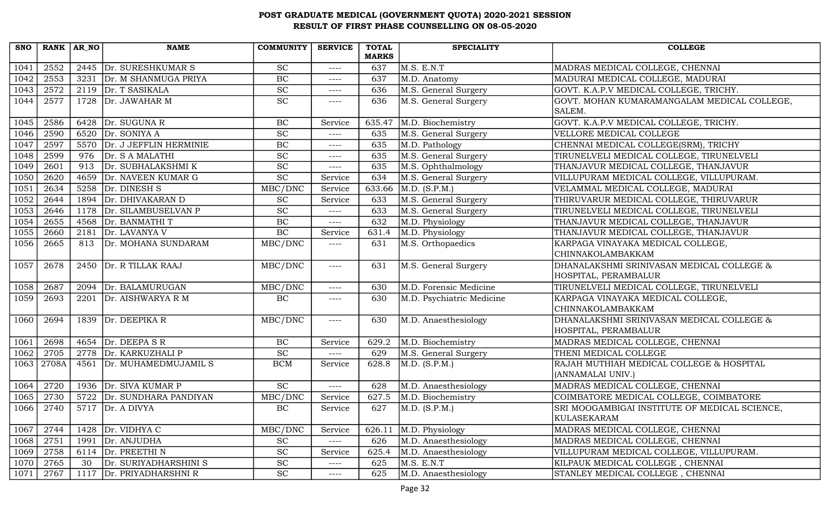| <b>SNO</b> | RANK AR NO |      | <b>NAME</b>                   | <b>COMMUNITY</b>            | <b>SERVICE</b> | <b>TOTAL</b>       | <b>SPECIALITY</b>         | <b>COLLEGE</b>                                |
|------------|------------|------|-------------------------------|-----------------------------|----------------|--------------------|---------------------------|-----------------------------------------------|
|            |            |      |                               |                             |                | <b>MARKS</b>       |                           |                                               |
| 1041       | 2552       | 2445 | Dr. SURESHKUMAR S             | <b>SC</b>                   | $---$          | 637                | M.S. E.N.T                | MADRAS MEDICAL COLLEGE, CHENNAI               |
| 1042       | 2553       | 3231 | Dr. M SHANMUGA PRIYA          | BC                          | ----           | 637                | M.D. Anatomy              | MADURAI MEDICAL COLLEGE, MADURAI              |
| 1043       | 2572       |      | 2119 $Dr. T$ SASIKALA         | $\overline{SC}$             | $--- -$        | 636                | M.S. General Surgery      | GOVT. K.A.P.V MEDICAL COLLEGE, TRICHY.        |
| 1044       | 2577       | 1728 | Dr. JAWAHAR M                 | $\overline{SC}$             | ----           | 636                | M.S. General Surgery      | GOVT. MOHAN KUMARAMANGALAM MEDICAL COLLEGE,   |
|            |            |      |                               |                             |                |                    |                           | SALEM.                                        |
| 1045       | 2586       | 6428 | Dr. SUGUNA R                  | BC                          | Service        | 635.47             | M.D. Biochemistry         | GOVT. K.A.P.V MEDICAL COLLEGE, TRICHY.        |
| 1046       | 2590       | 6520 | Dr. SONIYA A                  | $\overline{SC}$             | $--- -$        | 635                | M.S. General Surgery      | VELLORE MEDICAL COLLEGE                       |
| 1047       | 2597       |      | 5570 Dr. J JEFFLIN HERMINIE   | BC                          | $--- -$        | 635                | M.D. Pathology            | CHENNAI MEDICAL COLLEGE(SRM), TRICHY          |
| 1048       | 2599       | 976  | Dr. S A MALATHI               | <b>SC</b>                   | $--- -$        | 635                | M.S. General Surgery      | TIRUNELVELI MEDICAL COLLEGE, TIRUNELVELI      |
| 1049       | 2601       | 913  | Dr. SUBHALAKSHMI K            | $\overline{SC}$             | $---$          | 635                | M.S. Ophthalmology        | THANJAVUR MEDICAL COLLEGE, THANJAVUR          |
| 1050       | 2620       | 4659 | Dr. NAVEEN KUMAR G            | $\overline{SC}$             | Service        | 634                | M.S. General Surgery      | VILLUPURAM MEDICAL COLLEGE, VILLUPURAM.       |
| 1051       | 2634       | 5258 | Dr. DINESH S                  | MBC/DNC                     | Service        | 633.66             | M.D. (S.P.M.)             | VELAMMAL MEDICAL COLLEGE, MADURAI             |
| 1052       | 2644       | 1894 | Dr. DHIVAKARAN D              | <b>SC</b>                   | Service        | 633                | M.S. General Surgery      | THIRUVARUR MEDICAL COLLEGE, THIRUVARUR        |
| 1053       | 2646       | 1178 | Dr. SILAMBUSELVAN P           | SC                          | $--- -$        | 633                | M.S. General Surgery      | TIRUNELVELI MEDICAL COLLEGE, TIRUNELVELI      |
| 1054       | 2655       | 4568 | Dr. BANMATHI T                | $\rm BC$                    | $---$          | 632                | M.D. Physiology           | THANJAVUR MEDICAL COLLEGE, THANJAVUR          |
| 1055       | 2660       | 2181 | Dr. LAVANYA V                 | BC                          | Service        | 631.4              | M.D. Physiology           | THANJAVUR MEDICAL COLLEGE, THANJAVUR          |
| 1056       | 2665       | 813  | Dr. MOHANA SUNDARAM           | MBC/DNC                     | $--- -$        | 631                | M.S. Orthopaedics         | KARPAGA VINAYAKA MEDICAL COLLEGE,             |
|            |            |      |                               |                             |                |                    |                           | CHINNAKOLAMBAKKAM                             |
| 1057       | 2678       | 2450 | Dr. R TILLAK RAAJ             | MBC/DNC                     | $---$          | 631                | M.S. General Surgery      | DHANALAKSHMI SRINIVASAN MEDICAL COLLEGE &     |
|            |            |      |                               |                             |                |                    |                           | HOSPITAL, PERAMBALUR                          |
| 1058       | 2687       | 2094 | Dr. BALAMURUGAN               | MBC/DNC                     | ----           | 630                | M.D. Forensic Medicine    | TIRUNELVELI MEDICAL COLLEGE, TIRUNELVELI      |
| 1059       | 2693       | 2201 | Dr. AISHWARYA R M             | BC                          | ----           | 630                | M.D. Psychiatric Medicine | KARPAGA VINAYAKA MEDICAL COLLEGE,             |
|            |            |      |                               |                             |                |                    |                           | CHINNAKOLAMBAKKAM                             |
| 1060       | 2694       | 1839 | Dr. DEEPIKA R                 | MBC/DNC                     | $---$          | 630                | M.D. Anaesthesiology      | DHANALAKSHMI SRINIVASAN MEDICAL COLLEGE &     |
|            |            |      |                               |                             |                |                    |                           | HOSPITAL, PERAMBALUR                          |
| 1061       | 2698       |      | 4654 Dr. DEEPA SR             | BC                          | Service        | 629.2              | M.D. Biochemistry         | MADRAS MEDICAL COLLEGE, CHENNAI               |
| 1062       | 2705       | 2778 | Dr. KARKUZHALI P              | <b>SC</b>                   | ----           | 629                | M.S. General Surgery      | THENI MEDICAL COLLEGE                         |
| 1063       | 2708A      | 4561 | Dr. MUHAMEDMUJAMIL S          | <b>BCM</b>                  | Service        | 628.8              | M.D. (S.P.M.)             | RAJAH MUTHIAH MEDICAL COLLEGE & HOSPITAL      |
|            |            |      |                               |                             |                |                    |                           | (ANNAMALAI UNIV.)                             |
| 1064       | 2720       |      | 1936 Dr. SIVA KUMAR P         | <b>SC</b>                   | $---$          | 628                | M.D. Anaesthesiology      | MADRAS MEDICAL COLLEGE, CHENNAI               |
| 1065       | 2730       |      | 5722 Dr. SUNDHARA PANDIYAN    | MBC/DNC                     | Service        | $\overline{627.5}$ | M.D. Biochemistry         | COIMBATORE MEDICAL COLLEGE, COIMBATORE        |
| 1066       | 2740       |      | $\overline{5717}$ Dr. A DIVYA | BC                          | Service        | 627                | M.D. (S.P.M.)             | SRI MOOGAMBIGAI INSTITUTE OF MEDICAL SCIENCE, |
|            |            |      |                               |                             |                |                    |                           | KULASEKARAM                                   |
| 1067       | 2744       | 1428 | Dr. VIDHYA C                  | MBC/DNC                     | Service        | 626.11             | M.D. Physiology           | MADRAS MEDICAL COLLEGE, CHENNAI               |
| 1068       | 2751       | 1991 | Dr. ANJUDHA                   | $\protect\operatorname{SC}$ | ----           | 626                | M.D. Anaesthesiology      | MADRAS MEDICAL COLLEGE, CHENNAI               |
| 1069       | 2758       |      | 6114 $Dr. PREETHI N$          | $\operatorname{SC}$         | Service        | 625.4              | M.D. Anaesthesiology      | VILLUPURAM MEDICAL COLLEGE, VILLUPURAM.       |
| 1070       | 2765       | 30   | Dr. SURIYADHARSHINI S         | <b>SC</b>                   | $--- -$        | 625                | M.S. E.N.T                | KILPAUK MEDICAL COLLEGE, CHENNAI              |
| 1071       | 2767       |      | 1117 Dr. PRIYADHARSHNI R      | <b>SC</b>                   | $---$          | 625                | M.D. Anaesthesiology      | STANLEY MEDICAL COLLEGE, CHENNAI              |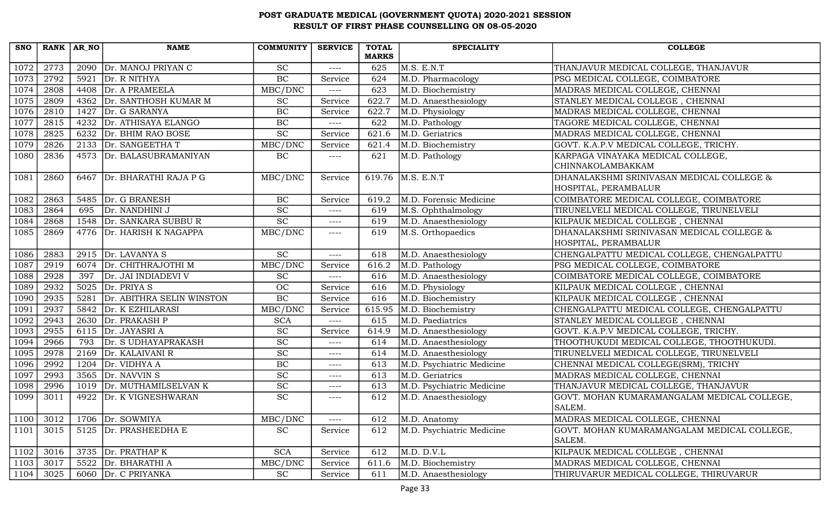| <b>SNO</b> | RANK AR NO |      | <b>NAME</b>                | <b>COMMUNITY</b> | <b>SERVICE</b> | <b>TOTAL</b> | <b>SPECIALITY</b>         | <b>COLLEGE</b>                              |
|------------|------------|------|----------------------------|------------------|----------------|--------------|---------------------------|---------------------------------------------|
|            |            |      |                            |                  |                | <b>MARKS</b> |                           |                                             |
| 1072       | 2773       | 2090 | Dr. MANOJ PRIYAN C         | <b>SC</b>        | $---$          | 625          | M.S. E.N.T                | THANJAVUR MEDICAL COLLEGE, THANJAVUR        |
| 1073       | 2792       | 5921 | Dr. R NITHYA               | BC               | Service        | 624          | M.D. Pharmacology         | PSG MEDICAL COLLEGE, COIMBATORE             |
| 1074       | 2808       |      | 4408 Dr. A PRAMEELA        | MBC/DNC          | $---$          | 623          | M.D. Biochemistry         | MADRAS MEDICAL COLLEGE, CHENNAI             |
| 1075       | 2809       | 4362 | Dr. SANTHOSH KUMAR M       | <b>SC</b>        | Service        | 622.7        | M.D. Anaesthesiology      | STANLEY MEDICAL COLLEGE, CHENNAI            |
| 1076       | 2810       | 1427 | Dr. G SARANYA              | BC               | Service        | 622.7        | M.D. Physiology           | MADRAS MEDICAL COLLEGE, CHENNAI             |
| 1077       | 2815       | 4232 | Dr. ATHISAYA ELANGO        | $\rm BC$         | $--- -$        | 622          | M.D. Pathology            | TAGORE MEDICAL COLLEGE, CHENNAI             |
| 1078       | 2825       | 6232 | Dr. BHIM RAO BOSE          | $\overline{SC}$  | Service        | 621.6        | M.D. Geriatrics           | MADRAS MEDICAL COLLEGE, CHENNAI             |
| 1079       | 2826       |      | 2133 Dr. SANGEETHAT        | MBC/DNC          | Service        | 621.4        | M.D. Biochemistry         | GOVT. K.A.P.V MEDICAL COLLEGE, TRICHY.      |
| 1080       | 2836       |      | 4573 Dr. BALASUBRAMANIYAN  | $\rm BC$         | ----           | 621          | M.D. Pathology            | KARPAGA VINAYAKA MEDICAL COLLEGE,           |
|            |            |      |                            |                  |                |              |                           | CHINNAKOLAMBAKKAM                           |
| 1081       | 2860       |      | 6467 Dr. BHARATHI RAJA P G | MBC/DNC          | Service        |              | 619.76   M.S. E.N.T       | DHANALAKSHMI SRINIVASAN MEDICAL COLLEGE &   |
|            |            |      |                            |                  |                |              |                           | HOSPITAL, PERAMBALUR                        |
| 1082       | 2863       |      | 5485 Dr. G BRANESH         | $\rm BC$         | Service        | 619.2        | M.D. Forensic Medicine    | COIMBATORE MEDICAL COLLEGE, COIMBATORE      |
| 1083       | 2864       | 695  | Dr. NANDHINI J             | <b>SC</b>        | $--- -$        | 619          | M.S. Ophthalmology        | TIRUNELVELI MEDICAL COLLEGE, TIRUNELVELI    |
| 1084       | 2868       | 1548 | Dr. SANKARA SUBBU R        | $\overline{SC}$  | $---$          | 619          | M.D. Anaesthesiology      | KILPAUK MEDICAL COLLEGE, CHENNAI            |
| 1085       | 2869       |      | 4776 Dr. HARISH K NAGAPPA  | MBC/DNC          | ----           | 619          | M.S. Orthopaedics         | DHANALAKSHMI SRINIVASAN MEDICAL COLLEGE &   |
|            |            |      |                            |                  |                |              |                           | HOSPITAL, PERAMBALUR                        |
| 1086       | 2883       |      | 2915 $Dr. LAVANYA S$       | <b>SC</b>        | ----           | 618          | M.D. Anaesthesiology      | CHENGALPATTU MEDICAL COLLEGE, CHENGALPATTU  |
| 1087       | 2919       | 6074 | Dr. CHITHRAJOTHI M         | MBC/DNC          | Service        | 616.2        | M.D. Pathology            | PSG MEDICAL COLLEGE, COIMBATORE             |
| 1088       | 2928       | 397  | Dr. JAI INDIADEVI V        | <b>SC</b>        | $---$          | 616          | M.D. Anaesthesiology      | COIMBATORE MEDICAL COLLEGE, COIMBATORE      |
| 1089       | 2932       |      | 5025 $Dr. PRIYA S$         | OC               | Service        | 616          | M.D. Physiology           | KILPAUK MEDICAL COLLEGE, CHENNAI            |
| 1090       | 2935       | 5281 | Dr. ABITHRA SELIN WINSTON  | BC               | Service        | 616          | M.D. Biochemistry         | KILPAUK MEDICAL COLLEGE, CHENNAI            |
| 1091       | 2937       | 5842 | Dr. K EZHILARASI           | MBC/DNC          | Service        | 615.95       | M.D. Biochemistry         | CHENGALPATTU MEDICAL COLLEGE, CHENGALPATTU  |
| 1092       | 2943       | 2630 | Dr. PRAKASH P              | <b>SCA</b>       | $---$          | 615          | M.D. Paediatrics          | STANLEY MEDICAL COLLEGE, CHENNAI            |
| 1093       | 2955       |      | 6115 Dr. JAYASRI A         | SC               | Service        | 614.9        | M.D. Anaesthesiology      | GOVT. K.A.P.V MEDICAL COLLEGE, TRICHY.      |
| 1094       | 2966       | 793  | Dr. S UDHAYAPRAKASH        | <b>SC</b>        | $--- - -$      | 614          | M.D. Anaesthesiology      | THOOTHUKUDI MEDICAL COLLEGE, THOOTHUKUDI.   |
| 1095       | 2978       |      | 2169 Dr. KALAIVANI R       | $\overline{SC}$  | $--- -$        | 614          | M.D. Anaesthesiology      | TIRUNELVELI MEDICAL COLLEGE, TIRUNELVELI    |
| 1096       | 2992       | 1204 | Dr. VIDHYA A               | BC               | $- - - -$      | 613          | M.D. Psychiatric Medicine | CHENNAI MEDICAL COLLEGE(SRM), TRICHY        |
| 1097       | 2993       | 3565 | Dr. NAVVIN S               | $\overline{SC}$  | $--- -$        | 613          | M.D. Geriatrics           | MADRAS MEDICAL COLLEGE, CHENNAI             |
| 1098       | 2996       |      | 1019 Dr. MUTHAMILSELVAN K  | <b>SC</b>        | $--- -$        | 613          | M.D. Psychiatric Medicine | THANJAVUR MEDICAL COLLEGE, THANJAVUR        |
| 1099       | 3011       | 4922 | Dr. K VIGNESHWARAN         | $\overline{SC}$  | ----           | 612          | M.D. Anaesthesiology      | GOVT. MOHAN KUMARAMANGALAM MEDICAL COLLEGE, |
|            |            |      |                            |                  |                |              |                           | SALEM.                                      |
| 1100       | 3012       |      | 1706 $Dr.$ SOWMIYA         | MBC/DNC          | $---$          | 612          | M.D. Anatomy              | MADRAS MEDICAL COLLEGE, CHENNAI             |
| 1101       | 3015       |      | 5125 Dr. PRASHEEDHA E      | <b>SC</b>        | Service        | 612          | M.D. Psychiatric Medicine | GOVT. MOHAN KUMARAMANGALAM MEDICAL COLLEGE, |
|            |            |      |                            |                  |                |              |                           | SALEM.                                      |
| 1102       | 3016       |      | 3735 Dr. PRATHAP K         | <b>SCA</b>       | Service        | 612          | M.D. D.V.L                | KILPAUK MEDICAL COLLEGE, CHENNAI            |
| 1103       | 3017       | 5522 | Dr. BHARATHI A             | MBC/DNC          | Service        | 611.6        | M.D. Biochemistry         | MADRAS MEDICAL COLLEGE, CHENNAI             |
| 1104       | 3025       |      | 6060 Dr. C PRIYANKA        | <b>SC</b>        | Service        | 611          | M.D. Anaesthesiology      | THIRUVARUR MEDICAL COLLEGE, THIRUVARUR      |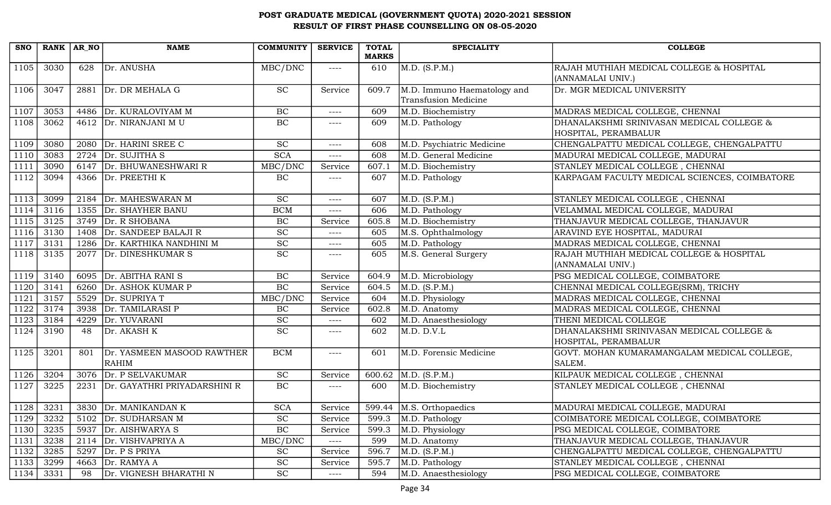| <b>SNO</b> | RANK AR NO |      | <b>NAME</b>                       | <b>COMMUNITY</b>            | <b>SERVICE</b> | <b>TOTAL</b><br><b>MARKS</b> | <b>SPECIALITY</b>           | <b>COLLEGE</b>                                |
|------------|------------|------|-----------------------------------|-----------------------------|----------------|------------------------------|-----------------------------|-----------------------------------------------|
|            |            | 628  | Dr. ANUSHA                        | MBC/DNC                     |                |                              | M.D. (S.P.M.)               | RAJAH MUTHIAH MEDICAL COLLEGE & HOSPITAL      |
| 1105       | 3030       |      |                                   |                             | $---$          | 610                          |                             | (ANNAMALAI UNIV.)                             |
| 1106       | 3047       |      | 2881 Dr. DR MEHALA G              | <b>SC</b>                   | Service        | 609.7                        | M.D. Immuno Haematology and | Dr. MGR MEDICAL UNIVERSITY                    |
|            |            |      |                                   |                             |                |                              | Transfusion Medicine        |                                               |
| 1107       | 3053       |      | 4486   Dr. KURALOVIYAM M          | BC                          | $--- - -$      | 609                          | M.D. Biochemistry           | MADRAS MEDICAL COLLEGE, CHENNAI               |
| 1108       | 3062       |      | 4612 Dr. NIRANJANI MU             | BC                          | $--- -$        | 609                          | M.D. Pathology              | DHANALAKSHMI SRINIVASAN MEDICAL COLLEGE &     |
|            |            |      |                                   |                             |                |                              |                             | HOSPITAL, PERAMBALUR                          |
| 1109       | 3080       |      | 2080 Dr. HARINI SREE C            | $\overline{SC}$             | $--- -$        | 608                          | M.D. Psychiatric Medicine   | CHENGALPATTU MEDICAL COLLEGE, CHENGALPATTU    |
| 1110       | 3083       | 2724 | Dr. SUJITHA S                     | <b>SCA</b>                  | $--- -$        | 608                          | M.D. General Medicine       | MADURAI MEDICAL COLLEGE, MADURAI              |
| 1111       | 3090       |      | 6147 Dr. BHUWANESHWARI R          | MBC/DNC                     | Service        | 607.1                        | M.D. Biochemistry           | STANLEY MEDICAL COLLEGE, CHENNAI              |
| 1112       | 3094       |      | 4366 Dr. PREETHI K                | BC                          | $---$          | 607                          | M.D. Pathology              | KARPAGAM FACULTY MEDICAL SCIENCES, COIMBATORE |
| 1113       | 3099       |      | 2184 Dr. MAHESWARAN M             | <b>SC</b>                   | ----           | 607                          | M.D. (S.P.M.)               | STANLEY MEDICAL COLLEGE, CHENNAI              |
| 1114       | 3116       | 1355 | Dr. SHAYHER BANU                  | <b>BCM</b>                  | $--- - -$      | 606                          | M.D. Pathology              | VELAMMAL MEDICAL COLLEGE, MADURAI             |
| 1115       | 3125       | 3749 | Dr. R SHOBANA                     | $\rm BC$                    | Service        | 605.8                        | M.D. Biochemistry           | THANJAVUR MEDICAL COLLEGE, THANJAVUR          |
| 1116       | 3130       | 1408 | Dr. SANDEEP BALAJI R              | $\overline{SC}$             | $--- -$        | 605                          | M.S. Ophthalmology          | ARAVIND EYE HOSPITAL, MADURAI                 |
| 1117       | 3131       |      | 1286 Dr. KARTHIKA NANDHINI M      | $\overline{SC}$             | $--- -$        | 605                          | M.D. Pathology              | MADRAS MEDICAL COLLEGE, CHENNAI               |
| 1118       | 3135       |      | 2077 Dr. DINESHKUMAR S            | SC                          | $--- -$        | 605                          | M.S. General Surgery        | RAJAH MUTHIAH MEDICAL COLLEGE & HOSPITAL      |
|            |            |      |                                   |                             |                |                              |                             | (ANNAMALAI UNIV.)                             |
| 1119       | 3140       |      | 6095 Dr. ABITHA RANI S            | $\rm BC$                    | Service        | 604.9                        | M.D. Microbiology           | PSG MEDICAL COLLEGE, COIMBATORE               |
| 1120       | 3141       |      | 6260 Dr. ASHOK KUMAR P            | $\rm BC$                    | Service        | 604.5                        | M.D. (S.P.M.)               | CHENNAI MEDICAL COLLEGE(SRM), TRICHY          |
| 1121       | 3157       |      | 5529 Dr. SUPRIYA T                | MBC/DNC                     | Service        | 604                          | M.D. Physiology             | MADRAS MEDICAL COLLEGE, CHENNAI               |
| 1122       | 3174       | 3938 | Dr. TAMILARASI P                  | BC                          | Service        | 602.8                        | M.D. Anatomy                | MADRAS MEDICAL COLLEGE, CHENNAI               |
| 1123       | 3184       | 4229 | Dr. YUVARANI                      | <b>SC</b>                   | $---$          | 602                          | M.D. Anaesthesiology        | THENI MEDICAL COLLEGE                         |
| 1124       | 3190       | 48   | Dr. AKASH K                       | <b>SC</b>                   | ----           | 602                          | M.D. D.V.L                  | DHANALAKSHMI SRINIVASAN MEDICAL COLLEGE &     |
|            |            |      |                                   |                             |                |                              |                             | HOSPITAL, PERAMBALUR                          |
| 1125       | 3201       | 801  | Dr. YASMEEN MASOOD RAWTHER        | <b>BCM</b>                  | $--- -$        | 601                          | M.D. Forensic Medicine      | GOVT. MOHAN KUMARAMANGALAM MEDICAL COLLEGE,   |
|            |            |      | RAHIM                             |                             |                |                              |                             | SALEM.                                        |
| 1126       | 3204       | 3076 | Dr. P SELVAKUMAR                  | <b>SC</b>                   | Service        | 600.62                       | M.D. (S.P.M.)               | KILPAUK MEDICAL COLLEGE, CHENNAI              |
| 1127       | 3225       |      | 2231 Dr. GAYATHRI PRIYADARSHINI R | $\rm BC$                    | $--- - -$      | 600                          | M.D. Biochemistry           | STANLEY MEDICAL COLLEGE, CHENNAI              |
|            | 1128 3231  |      | 3830 Dr. MANIKANDAN K             | <b>SCA</b>                  | Service        |                              | 599.44 M.S. Orthopaedics    | MADURAI MEDICAL COLLEGE, MADURAI              |
| 1129       | 3232       | 5102 | Dr. SUDHARSAN M                   | <b>SC</b>                   | Service        | 599.3                        | M.D. Pathology              | COIMBATORE MEDICAL COLLEGE, COIMBATORE        |
| 1130       | 3235       | 5937 | Dr. AISHWARYA S                   | $\overline{BC}$             | Service        | 599.3                        | M.D. Physiology             | PSG MEDICAL COLLEGE, COIMBATORE               |
| 1131       | 3238       |      | 2114 Dr. VISHVAPRIYA A            | MBC/DNC                     | $--- -$        | 599                          | M.D. Anatomy                | THANJAVUR MEDICAL COLLEGE, THANJAVUR          |
| 1132       | 3285       |      | 5297 $Dr. P S PRIYA$              | <b>SC</b>                   | Service        | 596.7                        | M.D. (S.P.M.)               | CHENGALPATTU MEDICAL COLLEGE, CHENGALPATTU    |
| 1133       | 3299       | 4663 | Dr. RAMYA A                       | $\protect\operatorname{SC}$ | Service        | 595.7                        | M.D. Pathology              | STANLEY MEDICAL COLLEGE, CHENNAI              |
| 1134       | 3331       | 98   | Dr. VIGNESH BHARATHI N            | <b>SC</b>                   | $---$          | 594                          | M.D. Anaesthesiology        | PSG MEDICAL COLLEGE, COIMBATORE               |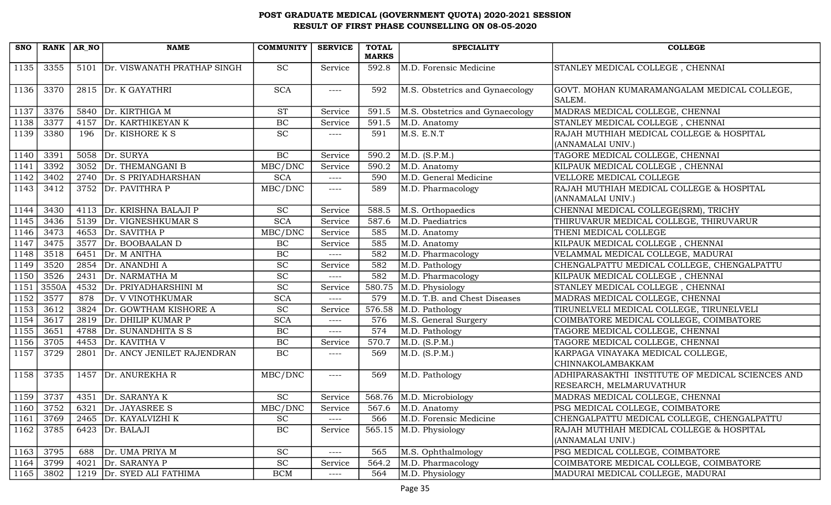| <b>SNO</b> | RANK AR NO |      | <b>NAME</b>                      | <b>COMMUNITY</b>            | <b>SERVICE</b> | <b>TOTAL</b> | <b>SPECIALITY</b>               | <b>COLLEGE</b>                                                              |
|------------|------------|------|----------------------------------|-----------------------------|----------------|--------------|---------------------------------|-----------------------------------------------------------------------------|
|            |            |      |                                  |                             |                | <b>MARKS</b> |                                 |                                                                             |
| 1135       | 3355       |      | 5101 Dr. VISWANATH PRATHAP SINGH | <b>SC</b>                   | Service        | 592.8        | M.D. Forensic Medicine          | STANLEY MEDICAL COLLEGE, CHENNAI                                            |
| 1136       | 3370       |      | 2815 Dr. K GAYATHRI              | <b>SCA</b>                  | $---$          | 592          | M.S. Obstetrics and Gynaecology | GOVT. MOHAN KUMARAMANGALAM MEDICAL COLLEGE,<br>SALEM.                       |
| 1137       | 3376       |      | 5840 Dr. KIRTHIGA M              | <b>ST</b>                   | Service        | 591.5        | M.S. Obstetrics and Gynaecology | MADRAS MEDICAL COLLEGE, CHENNAI                                             |
| 1138       | 3377       | 4157 | Dr. KARTHIKEYAN K                | BC                          | Service        | 591.5        | M.D. Anatomy                    | STANLEY MEDICAL COLLEGE, CHENNAI                                            |
| 1139       | 3380       | 196  | Dr. KISHORE K S                  | SC                          | $---$          | 591          | M.S. E.N.T                      | RAJAH MUTHIAH MEDICAL COLLEGE & HOSPITAL<br>(ANNAMALAI UNIV.)               |
| 1140       | 3391       |      | 5058 Dr. SURYA                   | BC                          | Service        | 590.2        | M.D. (S.P.M.)                   | TAGORE MEDICAL COLLEGE, CHENNAI                                             |
| 1141       | 3392       | 3052 | Dr. THEMANGANI B                 | MBC/DNC                     | Service        | 590.2        | M.D. Anatomy                    | KILPAUK MEDICAL COLLEGE, CHENNAI                                            |
| 1142       | 3402       |      | 2740 Dr. S PRIYADHARSHAN         | <b>SCA</b>                  | $--- -$        | 590          | M.D. General Medicine           | VELLORE MEDICAL COLLEGE                                                     |
| 1143       | 3412       |      | 3752 Dr. PAVITHRA P              | MBC/DNC                     | $--- -$        | 589          | M.D. Pharmacology               | RAJAH MUTHIAH MEDICAL COLLEGE & HOSPITAL<br>(ANNAMALAI UNIV.)               |
| 1144       | 3430       |      | 4113   Dr. KRISHNA BALAJI P      | <b>SC</b>                   | Service        | 588.5        | M.S. Orthopaedics               | CHENNAI MEDICAL COLLEGE(SRM), TRICHY                                        |
| 1145       | 3436       |      | 5139 Dr. VIGNESHKUMAR S          | <b>SCA</b>                  | Service        | 587.6        | M.D. Paediatrics                | THIRUVARUR MEDICAL COLLEGE, THIRUVARUR                                      |
| 1146       | 3473       |      | 4653 Dr. SAVITHA P               | MBC/DNC                     | Service        | 585          | M.D. Anatomy                    | THENI MEDICAL COLLEGE                                                       |
| 1147       | 3475       |      | 3577 Dr. BOOBAALAN D             | $\rm BC$                    | Service        | 585          | M.D. Anatomy                    | KILPAUK MEDICAL COLLEGE, CHENNAI                                            |
| 1148       | 3518       |      | 6451 $Dr. M ANITHA$              | BC                          | $---$          | 582          | M.D. Pharmacology               | VELAMMAL MEDICAL COLLEGE, MADURAI                                           |
| 1149       | 3520       | 2854 | Dr. ANANDHI A                    | <b>SC</b>                   | Service        | 582          | M.D. Pathology                  | CHENGALPATTU MEDICAL COLLEGE, CHENGALPATTU                                  |
| 1150       | 3526       | 2431 | Dr. NARMATHA M                   | $\overline{SC}$             | $--- -$        | 582          | M.D. Pharmacology               | KILPAUK MEDICAL COLLEGE, CHENNAI                                            |
| 1151       | 3550A      |      | 4532 Dr. PRIYADHARSHINI M        | <b>SC</b>                   | Service        | 580.75       | M.D. Physiology                 | STANLEY MEDICAL COLLEGE, CHENNAI                                            |
| 1152       | 3577       | 878  | Dr. V VINOTHKUMAR                | $\overline{SCA}$            | $---$          | 579          | M.D. T.B. and Chest Diseases    | MADRAS MEDICAL COLLEGE, CHENNAI                                             |
| 1153       | 3612       | 3824 | Dr. GOWTHAM KISHORE A            | <b>SC</b>                   | Service        | 576.58       | M.D. Pathology                  | TIRUNELVELI MEDICAL COLLEGE, TIRUNELVELI                                    |
| 1154       | 3617       | 2819 | Dr. DHILIP KUMAR P               | <b>SCA</b>                  | $---$          | 576          | M.S. General Surgery            | COIMBATORE MEDICAL COLLEGE, COIMBATORE                                      |
| 1155       | 3651       | 4788 | Dr. SUNANDHITA S S               | $\rm BC$                    | $---$          | 574          | M.D. Pathology                  | TAGORE MEDICAL COLLEGE, CHENNAI                                             |
| 1156       | 3705       |      | 4453 Dr. KAVITHA V               | $\rm BC$                    | Service        | 570.7        | M.D. (S.P.M.)                   | TAGORE MEDICAL COLLEGE, CHENNAI                                             |
| 1157       | 3729       |      | 2801 Dr. ANCY JENILET RAJENDRAN  | <b>BC</b>                   | $---$          | 569          | M.D. (S.P.M.)                   | KARPAGA VINAYAKA MEDICAL COLLEGE,<br>CHINNAKOLAMBAKKAM                      |
| 1158       | 3735       | 1457 | Dr. ANUREKHA R                   | MBC/DNC                     | $--- -$        | 569          | M.D. Pathology                  | ADHIPARASAKTHI INSTITUTE OF MEDICAL SCIENCES AND<br>RESEARCH, MELMARUVATHUR |
| 1159       | 3737       |      | 4351 Dr. SARANYA K               | <b>SC</b>                   | Service        |              | 568.76 M.D. Microbiology        | MADRAS MEDICAL COLLEGE, CHENNAI                                             |
| 1160       | 3752       |      | 6321 Dr. JAYASREE S              | MBC/DNC                     | Service        |              | 567.6 $ M.D.$ Anatomy           | PSG MEDICAL COLLEGE, COIMBATORE                                             |
| 1161       | 3769       | 2465 | Dr. KAYALVIZHI K                 | $\protect\operatorname{SC}$ | $---$          | 566          | M.D. Forensic Medicine          | CHENGALPATTU MEDICAL COLLEGE, CHENGALPATTU                                  |
| 1162       | 3785       |      | 6423 Dr. BALAJI                  | BC                          | Service        | 565.15       | M.D. Physiology                 | RAJAH MUTHIAH MEDICAL COLLEGE & HOSPITAL<br>(ANNAMALAI UNIV.)               |
| 1163       | 3795       | 688  | Dr. UMA PRIYA M                  | $\protect\operatorname{SC}$ | $---$          | 565          | M.S. Ophthalmology              | PSG MEDICAL COLLEGE, COIMBATORE                                             |
| 1164       | 3799       | 4021 | Dr. SARANYA P                    | SC                          | Service        | 564.2        | M.D. Pharmacology               | COIMBATORE MEDICAL COLLEGE, COIMBATORE                                      |
| 1165       | 3802       | 1219 | Dr. SYED ALI FATHIMA             | <b>BCM</b>                  | $---$          | 564          | M.D. Physiology                 | MADURAI MEDICAL COLLEGE, MADURAI                                            |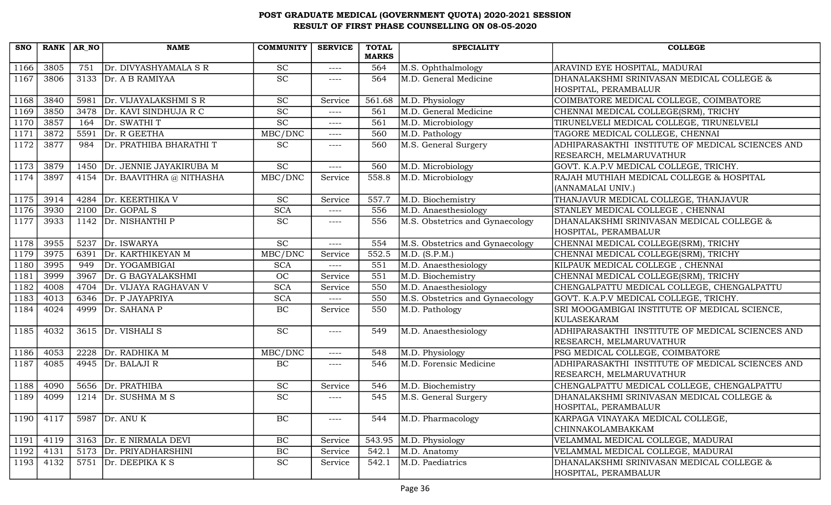| <b>SNO</b> | RANK AR NO |      | <b>NAME</b>                     | <b>COMMUNITY</b> | <b>SERVICE</b> | <b>TOTAL</b><br><b>MARKS</b> | <b>SPECIALITY</b>               | <b>COLLEGE</b>                                                    |
|------------|------------|------|---------------------------------|------------------|----------------|------------------------------|---------------------------------|-------------------------------------------------------------------|
| 1166       | 3805       | 751  | Dr. DIVYASHYAMALA S R           | <b>SC</b>        | $---$          | 564                          | M.S. Ophthalmology              | ARAVIND EYE HOSPITAL, MADURAI                                     |
| 1167       | 3806       | 3133 | Dr. A B RAMIYAA                 | $\overline{SC}$  | $--- -$        | 564                          | M.D. General Medicine           | DHANALAKSHMI SRINIVASAN MEDICAL COLLEGE &                         |
|            |            |      |                                 |                  |                |                              |                                 | HOSPITAL, PERAMBALUR                                              |
| 1168       | 3840       | 5981 | Dr. VIJAYALAKSHMI S R           | <b>SC</b>        | Service        | 561.68                       | M.D. Physiology                 | COIMBATORE MEDICAL COLLEGE, COIMBATORE                            |
| 1169       | 3850       | 3478 | Dr. KAVI SINDHUJA R C           | <b>SC</b>        | $---$          | 561                          | M.D. General Medicine           | CHENNAI MEDICAL COLLEGE(SRM), TRICHY                              |
| 1170       | 3857       | 164  | Dr. SWATHI T                    | $\overline{SC}$  | $--- -$        | 561                          | M.D. Microbiology               | TIRUNELVELI MEDICAL COLLEGE, TIRUNELVELI                          |
| 1171       | 3872       | 5591 | Dr. R GEETHA                    | MBC/DNC          | $--- -$        | 560                          | M.D. Pathology                  | TAGORE MEDICAL COLLEGE, CHENNAI                                   |
| 1172       | 3877       | 984  | Dr. PRATHIBA BHARATHI T         | <b>SC</b>        | $--- - -$      | 560                          | M.S. General Surgery            | ADHIPARASAKTHI INSTITUTE OF MEDICAL SCIENCES AND                  |
|            |            |      |                                 |                  |                |                              |                                 | RESEARCH, MELMARUVATHUR                                           |
| 1173       | 3879       |      | 1450 Dr. JENNIE JAYAKIRUBA M    | <b>SC</b>        | $--- -$        | 560                          | M.D. Microbiology               | GOVT. K.A.P.V MEDICAL COLLEGE, TRICHY.                            |
| 1174       | 3897       |      | 4154   Dr. BAAVITHRA @ NITHASHA | MBC/DNC          | Service        | 558.8                        | M.D. Microbiology               | RAJAH MUTHIAH MEDICAL COLLEGE & HOSPITAL                          |
|            |            |      |                                 |                  |                |                              |                                 | (ANNAMALAI UNIV.)                                                 |
| 1175       | 3914       | 4284 | Dr. KEERTHIKA V                 | <b>SC</b>        | Service        | 557.7                        | M.D. Biochemistry               | THANJAVUR MEDICAL COLLEGE, THANJAVUR                              |
| 1176       | 3930       | 2100 | Dr. GOPAL S                     | <b>SCA</b>       | $--- -$        | 556                          | M.D. Anaesthesiology            | STANLEY MEDICAL COLLEGE , CHENNAI                                 |
| 1177       | 3933       |      | 1142 Dr. NISHANTHI P            | <b>SC</b>        | $--- -$        | 556                          | M.S. Obstetrics and Gynaecology | DHANALAKSHMI SRINIVASAN MEDICAL COLLEGE &                         |
|            |            |      |                                 |                  |                |                              |                                 | HOSPITAL, PERAMBALUR                                              |
| 1178       | 3955       |      | 5237 Dr. ISWARYA                | <b>SC</b>        | $---$          | 554                          | M.S. Obstetrics and Gynaecology | CHENNAI MEDICAL COLLEGE(SRM), TRICHY                              |
| 1179       | 3975       | 6391 | Dr. KARTHIKEYAN M               | MBC/DNC          | Service        | 552.5                        | M.D. (S.P.M.)                   | CHENNAI MEDICAL COLLEGE(SRM), TRICHY                              |
| 1180       | 3995       | 949  | Dr. YOGAMBIGAI                  | <b>SCA</b>       | $---$          | 551                          | M.D. Anaesthesiology            | KILPAUK MEDICAL COLLEGE, CHENNAI                                  |
| 1181       | 3999       | 3967 | Dr. G BAGYALAKSHMI              | OC               | Service        | 551                          | M.D. Biochemistry               | CHENNAI MEDICAL COLLEGE(SRM), TRICHY                              |
| 1182       | 4008       |      | 4704   Dr. VIJAYA RAGHAVAN V    | <b>SCA</b>       | Service        | 550                          | M.D. Anaesthesiology            | CHENGALPATTU MEDICAL COLLEGE, CHENGALPATTU                        |
| 1183       | 4013       |      | 6346 Dr. P JAYAPRIYA            | <b>SCA</b>       | $--- -$        | 550                          | M.S. Obstetrics and Gynaecology | GOVT. K.A.P.V MEDICAL COLLEGE, TRICHY.                            |
| 1184       | 4024       | 4999 | Dr. SAHANA P                    | BC               | Service        | 550                          | M.D. Pathology                  | SRI MOOGAMBIGAI INSTITUTE OF MEDICAL SCIENCE,<br>KULASEKARAM      |
| 1185       | 4032       |      | $3615$ Dr. VISHALI S            | <b>SC</b>        | $--- -$        | 549                          | M.D. Anaesthesiology            | ADHIPARASAKTHI INSTITUTE OF MEDICAL SCIENCES AND                  |
|            |            |      |                                 |                  |                |                              |                                 | RESEARCH, MELMARUVATHUR                                           |
| 1186       | 4053       | 2228 | Dr. RADHIKA M                   | MBC/DNC          | $--- -$        | 548                          | M.D. Physiology                 | PSG MEDICAL COLLEGE, COIMBATORE                                   |
| 1187       | 4085       | 4945 | Dr. BALAJI R                    | BC               | $--- - -$      | 546                          | M.D. Forensic Medicine          | ADHIPARASAKTHI INSTITUTE OF MEDICAL SCIENCES AND                  |
|            |            |      |                                 |                  |                |                              |                                 | RESEARCH, MELMARUVATHUR                                           |
| 1188       | 4090       |      | 5656 Dr. PRATHIBA               | <b>SC</b>        | Service        | 546                          | M.D. Biochemistry               | CHENGALPATTU MEDICAL COLLEGE, CHENGALPATTU                        |
| 1189       | 4099       | 1214 | Dr. SUSHMA M S                  | SC               | $--- -$        | 545                          | M.S. General Surgery            | DHANALAKSHMI SRINIVASAN MEDICAL COLLEGE &                         |
|            |            |      |                                 |                  |                |                              |                                 | HOSPITAL, PERAMBALUR                                              |
| 1190       | 4117       | 5987 | Dr. ANU K                       | BC               | $--- - -$      | 544                          | M.D. Pharmacology               | KARPAGA VINAYAKA MEDICAL COLLEGE,                                 |
|            |            |      |                                 |                  |                |                              |                                 | <b>CHINNAKOLAMBAKKAM</b>                                          |
| 1191       | 4119       |      | 3163 Dr. E NIRMALA DEVI         | $\rm BC$         | Service        | 543.95                       | M.D. Physiology                 | VELAMMAL MEDICAL COLLEGE, MADURAI                                 |
| 1192       | 4131       |      | 5173 Dr. PRIYADHARSHINI         | $\rm BC$         | Service        | 542.1                        | M.D. Anatomy                    | VELAMMAL MEDICAL COLLEGE, MADURAI                                 |
| 1193       | 4132       | 5751 | Dr. DEEPIKA K S                 | <b>SC</b>        | Service        | 542.1                        | M.D. Paediatrics                | DHANALAKSHMI SRINIVASAN MEDICAL COLLEGE &<br>HOSPITAL, PERAMBALUR |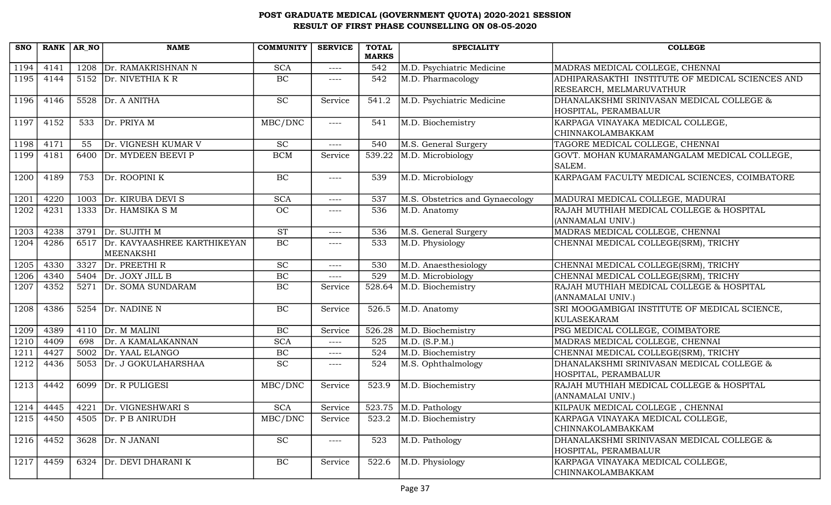| <b>SNO</b> |      | RANK AR NO | <b>NAME</b>                                   | <b>COMMUNITY</b> | <b>SERVICE</b> | <b>TOTAL</b><br><b>MARKS</b> | <b>SPECIALITY</b>               | <b>COLLEGE</b>                                                              |
|------------|------|------------|-----------------------------------------------|------------------|----------------|------------------------------|---------------------------------|-----------------------------------------------------------------------------|
| 1194       | 4141 | 1208       | Dr. RAMAKRISHNAN N                            | <b>SCA</b>       | $--- -$        | 542                          | M.D. Psychiatric Medicine       | MADRAS MEDICAL COLLEGE, CHENNAI                                             |
| 1195       | 4144 |            | 5152 Dr. NIVETHIA KR                          | BC               | $--- -$        | 542                          | M.D. Pharmacology               | ADHIPARASAKTHI INSTITUTE OF MEDICAL SCIENCES AND<br>RESEARCH, MELMARUVATHUR |
| 1196       | 4146 | 5528       | Dr. A ANITHA                                  | <b>SC</b>        | Service        | 541.2                        | M.D. Psychiatric Medicine       | DHANALAKSHMI SRINIVASAN MEDICAL COLLEGE &<br>HOSPITAL, PERAMBALUR           |
| 1197       | 4152 | 533        | Dr. PRIYA M                                   | MBC/DNC          | $--- -$        | 541                          | M.D. Biochemistry               | KARPAGA VINAYAKA MEDICAL COLLEGE,<br>CHINNAKOLAMBAKKAM                      |
| 1198       | 4171 | 55         | Dr. VIGNESH KUMAR V                           | SC               | $--- -$        | 540                          | M.S. General Surgery            | TAGORE MEDICAL COLLEGE, CHENNAI                                             |
| 1199       | 4181 | 6400       | Dr. MYDEEN BEEVI P                            | <b>BCM</b>       | Service        | 539.22                       | M.D. Microbiology               | GOVT. MOHAN KUMARAMANGALAM MEDICAL COLLEGE,<br>SALEM.                       |
| 1200       | 4189 | 753        | Dr. ROOPINI K                                 | $\rm BC$         | $---$          | 539                          | M.D. Microbiology               | KARPAGAM FACULTY MEDICAL SCIENCES, COIMBATORE                               |
| 1201       | 4220 |            | 1003 Dr. KIRUBA DEVI S                        | <b>SCA</b>       | $---$          | 537                          | M.S. Obstetrics and Gynaecology | MADURAI MEDICAL COLLEGE, MADURAI                                            |
| 1202       | 4231 | 1333       | Dr. HAMSIKA S M                               | <b>OC</b>        | $--- - -$      | 536                          | M.D. Anatomy                    | RAJAH MUTHIAH MEDICAL COLLEGE & HOSPITAL<br>(ANNAMALAI UNIV.)               |
| 1203       | 4238 |            | 3791 Dr. SUJITH M                             | <b>ST</b>        | $---$          | 536                          | M.S. General Surgery            | MADRAS MEDICAL COLLEGE, CHENNAI                                             |
| 1204       | 4286 |            | 6517 Dr. KAVYAASHREE KARTHIKEYAN<br>MEENAKSHI | BC               | $--- -$        | 533                          | M.D. Physiology                 | CHENNAI MEDICAL COLLEGE(SRM), TRICHY                                        |
| 1205       | 4330 | 3327       | Dr. PREETHI R                                 | <b>SC</b>        | $--- -$        | 530                          | M.D. Anaesthesiology            | CHENNAI MEDICAL COLLEGE(SRM), TRICHY                                        |
| 1206       | 4340 | 5404       | Dr. JOXY JILL B                               | $\overline{BC}$  | $--- -$        | 529                          | M.D. Microbiology               | CHENNAI MEDICAL COLLEGE(SRM), TRICHY                                        |
| 1207       | 4352 |            | 5271 Dr. SOMA SUNDARAM                        | $\rm BC$         | Service        | 528.64                       | M.D. Biochemistry               | RAJAH MUTHIAH MEDICAL COLLEGE & HOSPITAL<br>(ANNAMALAI UNIV.)               |
| 1208       | 4386 | 5254       | Dr. NADINE N                                  | BC               | Service        | 526.5                        | M.D. Anatomy                    | SRI MOOGAMBIGAI INSTITUTE OF MEDICAL SCIENCE,<br>KULASEKARAM                |
| 1209       | 4389 |            | $4110$ Dr. M MALINI                           | $\rm BC$         | Service        | 526.28                       | M.D. Biochemistry               | PSG MEDICAL COLLEGE, COIMBATORE                                             |
| 1210       | 4409 | 698        | Dr. A KAMALAKANNAN                            | <b>SCA</b>       | ----           | 525                          | M.D. (S.P.M.)                   | MADRAS MEDICAL COLLEGE, CHENNAI                                             |
| 1211       | 4427 | 5002       | Dr. YAAL ELANGO                               | $\overline{BC}$  | $--- -$        | 524                          | M.D. Biochemistry               | CHENNAI MEDICAL COLLEGE(SRM), TRICHY                                        |
| 1212       | 4436 | 5053       | Dr. J GOKULAHARSHAA                           | <b>SC</b>        | $--- - -$      | 524                          | M.S. Ophthalmology              | DHANALAKSHMI SRINIVASAN MEDICAL COLLEGE &<br>HOSPITAL, PERAMBALUR           |
| 1213       | 4442 | 6099       | Dr. R PULIGESI                                | MBC/DNC          | Service        | 523.9                        | M.D. Biochemistry               | RAJAH MUTHIAH MEDICAL COLLEGE & HOSPITAL<br>(ANNAMALAI UNIV.)               |
| 1214       | 4445 |            | 4221 Dr. VIGNESHWARIS                         | <b>SCA</b>       | Service        |                              | $523.75$ M.D. Pathology         | KILPAUK MEDICAL COLLEGE, CHENNAI                                            |
| 1215       | 4450 | 4505       | Dr. P B ANIRUDH                               | MBC/DNC          | Service        | 523.2                        | M.D. Biochemistry               | KARPAGA VINAYAKA MEDICAL COLLEGE,<br>CHINNAKOLAMBAKKAM                      |
| 1216       | 4452 | 3628       | Dr. N JANANI                                  | <b>SC</b>        | $--- - -$      | 523                          | M.D. Pathology                  | DHANALAKSHMI SRINIVASAN MEDICAL COLLEGE &<br>HOSPITAL, PERAMBALUR           |
| 1217       | 4459 | 6324       | Dr. DEVI DHARANI K                            | BC               | Service        | 522.6                        | M.D. Physiology                 | KARPAGA VINAYAKA MEDICAL COLLEGE,<br>CHINNAKOLAMBAKKAM                      |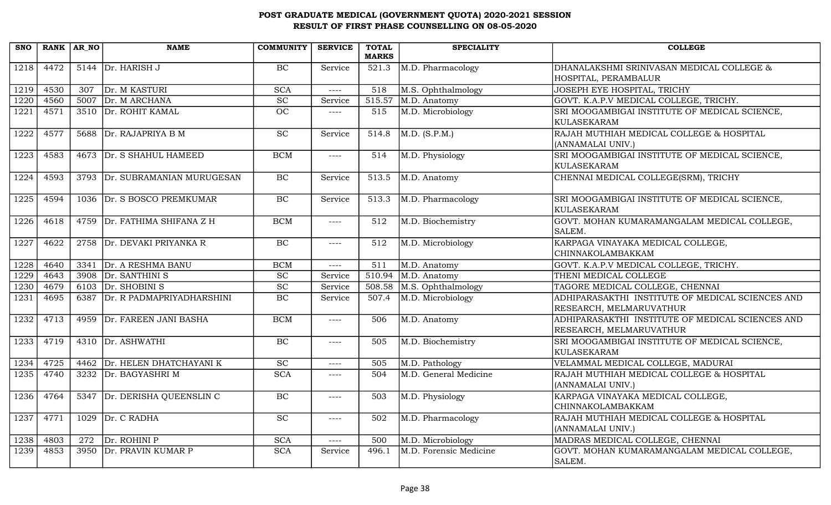| <b>SNO</b> | RANK AR NO |                  | <b>NAME</b>                    | <b>COMMUNITY</b> | <b>SERVICE</b> | <b>TOTAL</b> | <b>SPECIALITY</b>      | <b>COLLEGE</b>                                                    |
|------------|------------|------------------|--------------------------------|------------------|----------------|--------------|------------------------|-------------------------------------------------------------------|
|            |            |                  |                                |                  |                | <b>MARKS</b> |                        |                                                                   |
| 1218       | 4472       |                  | 5144 Dr. HARISH J              | BC               | Service        | 521.3        | M.D. Pharmacology      | DHANALAKSHMI SRINIVASAN MEDICAL COLLEGE &<br>HOSPITAL, PERAMBALUR |
| 1219       |            |                  | Dr. M KASTURI                  |                  |                |              |                        |                                                                   |
|            | 4530       | $\overline{307}$ |                                | <b>SCA</b>       | $---$          | 518          | M.S. Ophthalmology     | <b>JOSEPH EYE HOSPITAL, TRICHY</b>                                |
| 1220       | 4560       | 5007             | Dr. M ARCHANA                  | <b>SC</b>        | Service        | 515.57       | M.D. Anatomy           | GOVT. K.A.P.V MEDICAL COLLEGE, TRICHY.                            |
| 1221       | 4571       | 3510             | Dr. ROHIT KAMAL                | $\overline{OC}$  | $\frac{1}{2}$  | 515          | M.D. Microbiology      | SRI MOOGAMBIGAI INSTITUTE OF MEDICAL SCIENCE,                     |
|            |            |                  |                                |                  |                |              |                        | <b>KULASEKARAM</b>                                                |
| 1222       | 4577       | 5688             | Dr. RAJAPRIYA B M              | SC               | Service        | 514.8        | M.D. (S.P.M.)          | RAJAH MUTHIAH MEDICAL COLLEGE & HOSPITAL                          |
|            |            |                  |                                |                  |                |              |                        | (ANNAMALAI UNIV.)                                                 |
| 1223       | 4583       |                  | 4673 Dr. S SHAHUL HAMEED       | <b>BCM</b>       | $---$          | 514          | M.D. Physiology        | SRI MOOGAMBIGAI INSTITUTE OF MEDICAL SCIENCE,                     |
|            |            |                  |                                |                  |                |              |                        | <b>KULASEKARAM</b>                                                |
| 1224       | 4593       |                  | 3793 Dr. SUBRAMANIAN MURUGESAN | <b>BC</b>        | Service        | 513.5        | M.D. Anatomy           | CHENNAI MEDICAL COLLEGE(SRM), TRICHY                              |
|            |            |                  |                                |                  |                |              |                        |                                                                   |
| 1225       | 4594       |                  | 1036 Dr. S BOSCO PREMKUMAR     | BC               | Service        | 513.3        | M.D. Pharmacology      | SRI MOOGAMBIGAI INSTITUTE OF MEDICAL SCIENCE,                     |
|            |            |                  |                                |                  |                |              |                        | <b>KULASEKARAM</b>                                                |
| 1226       | 4618       | 4759             | Dr. FATHIMA SHIFANA Z H        | <b>BCM</b>       | $\frac{1}{2}$  | 512          | M.D. Biochemistry      | GOVT. MOHAN KUMARAMANGALAM MEDICAL COLLEGE,                       |
|            |            |                  |                                |                  |                |              |                        | SALEM.                                                            |
| 1227       | 4622       | 2758             | Dr. DEVAKI PRIYANKA R          | BC               | $---$          | 512          | M.D. Microbiology      | KARPAGA VINAYAKA MEDICAL COLLEGE,                                 |
|            |            |                  |                                |                  |                |              |                        | CHINNAKOLAMBAKKAM                                                 |
| 1228       | 4640       | 3341             | Dr. A RESHMA BANU              | <b>BCM</b>       | $---$          | 511          | M.D. Anatomy           | GOVT. K.A.P.V MEDICAL COLLEGE, TRICHY.                            |
| 1229       | 4643       | 3908             | Dr. SANTHINI S                 | SC               | Service        | 510.94       | M.D. Anatomy           | THENI MEDICAL COLLEGE                                             |
| 1230       | 4679       |                  | 6103 $Dr.$ SHOBINI S           | $\overline{SC}$  | Service        | 508.58       | M.S. Ophthalmology     | TAGORE MEDICAL COLLEGE, CHENNAI                                   |
| 1231       | 4695       | 6387             | Dr. R PADMAPRIYADHARSHINI      | BC               | Service        | 507.4        | M.D. Microbiology      | ADHIPARASAKTHI INSTITUTE OF MEDICAL SCIENCES AND                  |
|            |            |                  |                                |                  |                |              |                        | RESEARCH, MELMARUVATHUR                                           |
| 1232       | 4713       |                  | 4959 Dr. FAREEN JANI BASHA     | <b>BCM</b>       | $---$          | 506          | M.D. Anatomy           | ADHIPARASAKTHI INSTITUTE OF MEDICAL SCIENCES AND                  |
|            |            |                  |                                |                  |                |              |                        | RESEARCH, MELMARUVATHUR                                           |
| 1233       | 4719       | 4310             | Dr. ASHWATHI                   | BC               | $--- -$        | 505          | M.D. Biochemistry      | SRI MOOGAMBIGAI INSTITUTE OF MEDICAL SCIENCE,                     |
|            |            |                  |                                |                  |                |              |                        | <b>KULASEKARAM</b>                                                |
| 1234       | 4725       | 4462             | Dr. HELEN DHATCHAYANI K        | SC               | $---$          | 505          | M.D. Pathology         | VELAMMAL MEDICAL COLLEGE, MADURAI                                 |
| 1235       | 4740       | 3232             | Dr. BAGYASHRI M                | <b>SCA</b>       | $---$          | 504          | M.D. General Medicine  | RAJAH MUTHIAH MEDICAL COLLEGE & HOSPITAL                          |
|            |            |                  |                                |                  |                |              |                        | (ANNAMALAI UNIV.)                                                 |
| 1236       | 4764       | 5347             | Dr. DERISHA QUEENSLIN C        | $\overline{BC}$  | $\frac{1}{2}$  | 503          | M.D. Physiology        | KARPAGA VINAYAKA MEDICAL COLLEGE,                                 |
|            |            |                  |                                |                  |                |              |                        | CHINNAKOLAMBAKKAM                                                 |
| 1237       | 4771       | 1029             | Dr. C RADHA                    | SC               | $--- -$        | 502          | M.D. Pharmacology      | RAJAH MUTHIAH MEDICAL COLLEGE & HOSPITAL                          |
|            |            |                  |                                |                  |                |              |                        | (ANNAMALAI UNIV.)                                                 |
| 1238       | 4803       | 272              | Dr. ROHINI P                   | <b>SCA</b>       | $---$          | 500          | M.D. Microbiology      | MADRAS MEDICAL COLLEGE, CHENNAI                                   |
| 1239       | 4853       |                  | 3950 Dr. PRAVIN KUMAR P        | SCA              | Service        | 496.1        | M.D. Forensic Medicine | GOVT. MOHAN KUMARAMANGALAM MEDICAL COLLEGE.                       |
|            |            |                  |                                |                  |                |              |                        | SALEM.                                                            |
|            |            |                  |                                |                  |                |              |                        |                                                                   |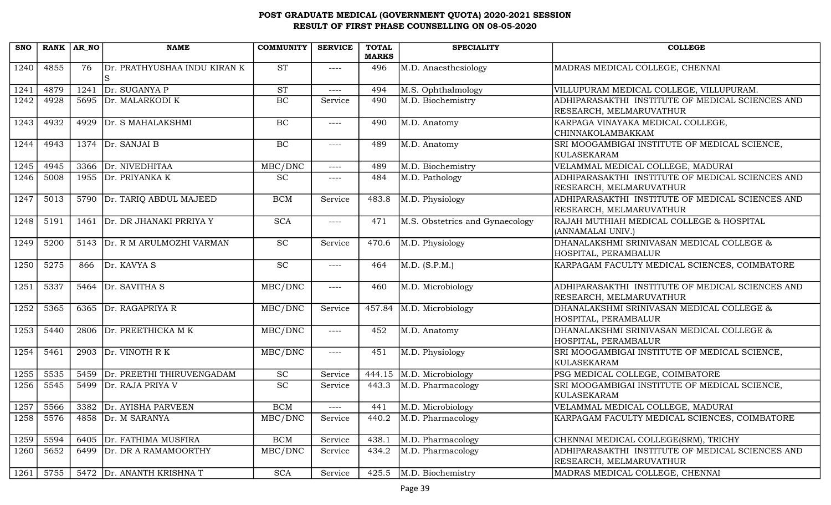| <b>SNO</b> |      | RANK AR NO | <b>NAME</b>                  | <b>COMMUNITY</b>            | <b>SERVICE</b> | <b>TOTAL</b><br><b>MARKS</b> | <b>SPECIALITY</b>               | <b>COLLEGE</b>                                                              |
|------------|------|------------|------------------------------|-----------------------------|----------------|------------------------------|---------------------------------|-----------------------------------------------------------------------------|
| 1240       | 4855 | 76         | Dr. PRATHYUSHAA INDU KIRAN K | <b>ST</b>                   | $--- -$        | 496                          | M.D. Anaesthesiology            | MADRAS MEDICAL COLLEGE, CHENNAI                                             |
| 1241       | 4879 | 1241       | Dr. SUGANYA P                | $\overline{\text{ST}}$      | $--- -$        | 494                          | M.S. Ophthalmology              | VILLUPURAM MEDICAL COLLEGE, VILLUPURAM.                                     |
| 1242       | 4928 |            | 5695 Dr. MALARKODI K         | BC                          | Service        | 490                          | M.D. Biochemistry               | ADHIPARASAKTHI INSTITUTE OF MEDICAL SCIENCES AND<br>RESEARCH, MELMARUVATHUR |
| 1243       | 4932 | 4929       | Dr. S MAHALAKSHMI            | BC                          | $--- -$        | 490                          | $\overline{M}$ .D. Anatomy      | KARPAGA VINAYAKA MEDICAL COLLEGE,<br><b>CHINNAKOLAMBAKKAM</b>               |
| 1244       | 4943 |            | $1374$ Dr. SANJAI B          | $\overline{BC}$             | $--- -$        | 489                          | M.D. Anatomy                    | SRI MOOGAMBIGAI INSTITUTE OF MEDICAL SCIENCE,<br>KULASEKARAM                |
| 1245       | 4945 | 3366       | Dr. NIVEDHITAA               | MBC/DNC                     | $---$          | 489                          | M.D. Biochemistry               | VELAMMAL MEDICAL COLLEGE, MADURAI                                           |
| 1246       | 5008 |            | 1955 Dr. PRIYANKA K          | <b>SC</b>                   | $--- -$        | 484                          | M.D. Pathology                  | ADHIPARASAKTHI INSTITUTE OF MEDICAL SCIENCES AND<br>RESEARCH, MELMARUVATHUR |
| 1247       | 5013 |            | 5790 Dr. TARIQ ABDUL MAJEED  | <b>BCM</b>                  | Service        | 483.8                        | M.D. Physiology                 | ADHIPARASAKTHI INSTITUTE OF MEDICAL SCIENCES AND<br>RESEARCH, MELMARUVATHUR |
| 1248       | 5191 | 1461       | Dr. DR JHANAKI PRRIYA Y      | <b>SCA</b>                  | $--- - -$      | 471                          | M.S. Obstetrics and Gynaecology | RAJAH MUTHIAH MEDICAL COLLEGE & HOSPITAL<br>(ANNAMALAI UNIV.)               |
| 1249       | 5200 | 5143       | Dr. R M ARULMOZHI VARMAN     | <b>SC</b>                   | Service        | 470.6                        | M.D. Physiology                 | DHANALAKSHMI SRINIVASAN MEDICAL COLLEGE &<br>HOSPITAL, PERAMBALUR           |
| 1250       | 5275 | 866        | Dr. KAVYA S                  | <b>SC</b>                   | $--- -$        | 464                          | M.D. (S.P.M.)                   | KARPAGAM FACULTY MEDICAL SCIENCES, COIMBATORE                               |
| 1251       | 5337 |            | 5464 Dr. SAVITHA S           | MBC/DNC                     | $--- -$        | 460                          | M.D. Microbiology               | ADHIPARASAKTHI INSTITUTE OF MEDICAL SCIENCES AND<br>RESEARCH, MELMARUVATHUR |
| 1252       | 5365 |            | 6365 Dr. RAGAPRIYA R         | MBC/DNC                     | Service        | 457.84                       | M.D. Microbiology               | DHANALAKSHMI SRINIVASAN MEDICAL COLLEGE &<br>HOSPITAL, PERAMBALUR           |
| 1253       | 5440 | 2806       | Dr. PREETHICKA M K           | MBC/DNC                     | $--- -$        | 452                          | M.D. Anatomy                    | DHANALAKSHMI SRINIVASAN MEDICAL COLLEGE &<br>HOSPITAL, PERAMBALUR           |
| 1254       | 5461 |            | 2903 Dr. VINOTH R K          | MBC/DNC                     | $---$          | 451                          | M.D. Physiology                 | SRI MOOGAMBIGAI INSTITUTE OF MEDICAL SCIENCE,<br>KULASEKARAM                |
| 1255       | 5535 | 5459       | Dr. PREETHI THIRUVENGADAM    | $\protect\operatorname{SC}$ | Service        | 444.15                       | M.D. Microbiology               | PSG MEDICAL COLLEGE, COIMBATORE                                             |
| 1256       | 5545 | 5499       | Dr. RAJA PRIYA V             | <b>SC</b>                   | Service        | 443.3                        | M.D. Pharmacology               | SRI MOOGAMBIGAI INSTITUTE OF MEDICAL SCIENCE,<br>KULASEKARAM                |
| 1257       | 5566 |            | 3382 Dr. AYISHA PARVEEN      | <b>BCM</b>                  | $--- -$        | 441                          | M.D. Microbiology               | VELAMMAL MEDICAL COLLEGE, MADURAI                                           |
| 1258       | 5576 | 4858       | Dr. M SARANYA                | MBC/DNC                     | Service        | 440.2                        | M.D. Pharmacology               | KARPAGAM FACULTY MEDICAL SCIENCES, COIMBATORE                               |
| 1259       | 5594 | 6405       | Dr. FATHIMA MUSFIRA          | $\rm BCM$                   | Service        | 438.1                        | M.D. Pharmacology               | CHENNAI MEDICAL COLLEGE(SRM), TRICHY                                        |
| 1260       | 5652 | 6499       | Dr. DR A RAMAMOORTHY         | MBC/DNC                     | Service        | 434.2                        | M.D. Pharmacology               | ADHIPARASAKTHI INSTITUTE OF MEDICAL SCIENCES AND<br>RESEARCH, MELMARUVATHUR |
| 1261       | 5755 |            | 5472 Dr. ANANTH KRISHNA T    | <b>SCA</b>                  | Service        | 425.5                        | M.D. Biochemistry               | MADRAS MEDICAL COLLEGE, CHENNAI                                             |